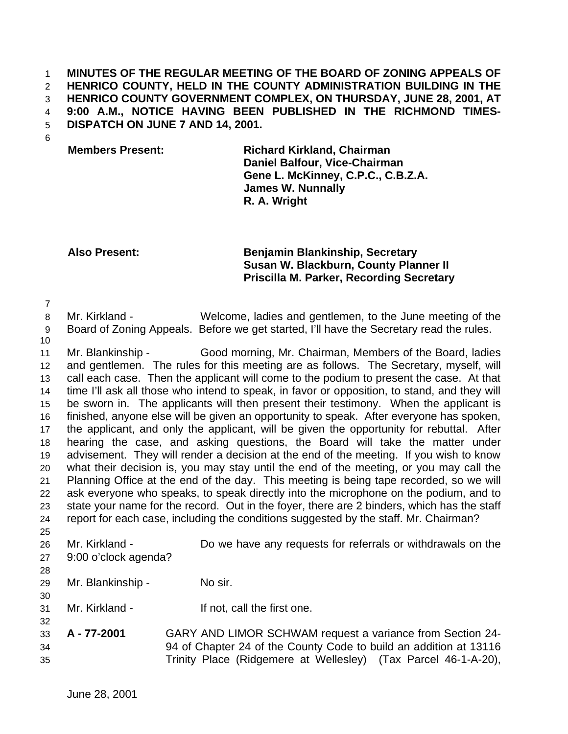### **MINUTES OF THE REGULAR MEETING OF THE BOARD OF ZONING APPEALS OF HENRICO COUNTY, HELD IN THE COUNTY ADMINISTRATION BUILDING IN THE HENRICO COUNTY GOVERNMENT COMPLEX, ON THURSDAY, JUNE 28, 2001, AT 9:00 A.M., NOTICE HAVING BEEN PUBLISHED IN THE RICHMOND TIMES-DISPATCH ON JUNE 7 AND 14, 2001.**

# **Members Present: Richard Kirkland, Chairman Daniel Balfour, Vice-Chairman Gene L. McKinney, C.P.C., C.B.Z.A. James W. Nunnally R. A. Wright**

# **Also Present: Benjamin Blankinship, Secretary Susan W. Blackburn, County Planner II Priscilla M. Parker, Recording Secretary**

 Mr. Kirkland - Welcome, ladies and gentlemen, to the June meeting of the Board of Zoning Appeals. Before we get started, I'll have the Secretary read the rules.

 Mr. Blankinship - Good morning, Mr. Chairman, Members of the Board, ladies and gentlemen. The rules for this meeting are as follows. The Secretary, myself, will call each case. Then the applicant will come to the podium to present the case. At that time I'll ask all those who intend to speak, in favor or opposition, to stand, and they will be sworn in. The applicants will then present their testimony. When the applicant is finished, anyone else will be given an opportunity to speak. After everyone has spoken, the applicant, and only the applicant, will be given the opportunity for rebuttal. After hearing the case, and asking questions, the Board will take the matter under advisement. They will render a decision at the end of the meeting. If you wish to know what their decision is, you may stay until the end of the meeting, or you may call the Planning Office at the end of the day. This meeting is being tape recorded, so we will ask everyone who speaks, to speak directly into the microphone on the podium, and to state your name for the record. Out in the foyer, there are 2 binders, which has the staff report for each case, including the conditions suggested by the staff. Mr. Chairman? 

- Mr. Kirkland Do we have any requests for referrals or withdrawals on the 9:00 o'clock agenda?
- 

- Mr. Blankinship No sir.
- Mr. Kirkland If not, call the first one.
- **A 77-2001** GARY AND LIMOR SCHWAM request a variance from Section 24- 94 of Chapter 24 of the County Code to build an addition at 13116 Trinity Place (Ridgemere at Wellesley) (Tax Parcel 46-1-A-20),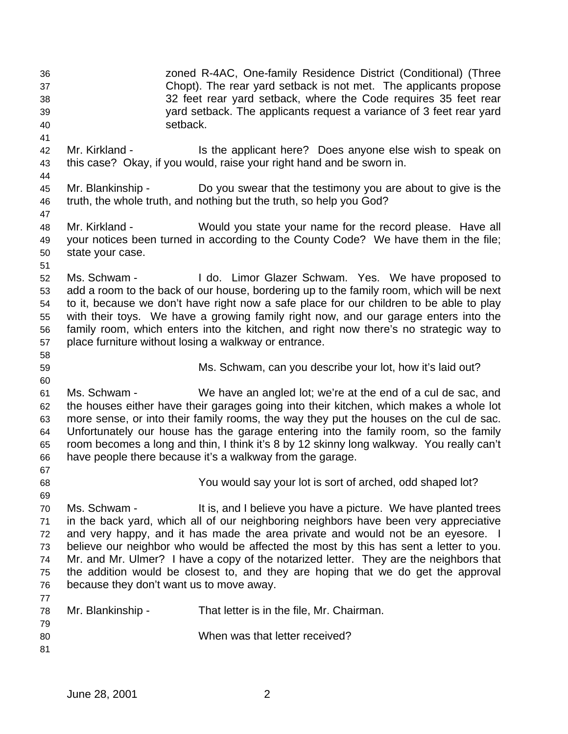zoned R-4AC, One-family Residence District (Conditional) (Three Chopt). The rear yard setback is not met. The applicants propose 32 feet rear yard setback, where the Code requires 35 feet rear yard setback. The applicants request a variance of 3 feet rear yard setback. Mr. Kirkland - Is the applicant here? Does anyone else wish to speak on this case? Okay, if you would, raise your right hand and be sworn in. Mr. Blankinship - Do you swear that the testimony you are about to give is the truth, the whole truth, and nothing but the truth, so help you God? Mr. Kirkland - Would you state your name for the record please. Have all your notices been turned in according to the County Code? We have them in the file; state your case. Ms. Schwam - I do. Limor Glazer Schwam. Yes. We have proposed to add a room to the back of our house, bordering up to the family room, which will be next to it, because we don't have right now a safe place for our children to be able to play with their toys. We have a growing family right now, and our garage enters into the family room, which enters into the kitchen, and right now there's no strategic way to place furniture without losing a walkway or entrance. Ms. Schwam, can you describe your lot, how it's laid out? Ms. Schwam - We have an angled lot; we're at the end of a cul de sac, and the houses either have their garages going into their kitchen, which makes a whole lot more sense, or into their family rooms, the way they put the houses on the cul de sac. Unfortunately our house has the garage entering into the family room, so the family room becomes a long and thin, I think it's 8 by 12 skinny long walkway. You really can't have people there because it's a walkway from the garage. You would say your lot is sort of arched, odd shaped lot? Ms. Schwam - It is, and I believe you have a picture. We have planted trees in the back yard, which all of our neighboring neighbors have been very appreciative and very happy, and it has made the area private and would not be an eyesore. I believe our neighbor who would be affected the most by this has sent a letter to you. Mr. and Mr. Ulmer? I have a copy of the notarized letter. They are the neighbors that the addition would be closest to, and they are hoping that we do get the approval because they don't want us to move away. Mr. Blankinship - That letter is in the file, Mr. Chairman. When was that letter received?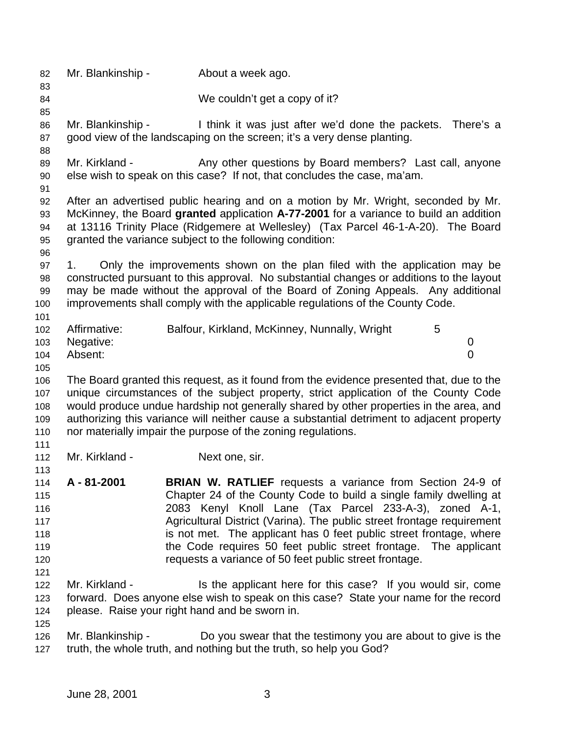Mr. Blankinship - About a week ago. We couldn't get a copy of it? Mr. Blankinship - I think it was just after we'd done the packets. There's a 87 good view of the landscaping on the screen; it's a very dense planting. 89 Mr. Kirkland - Any other questions by Board members? Last call, anyone else wish to speak on this case? If not, that concludes the case, ma'am. After an advertised public hearing and on a motion by Mr. Wright, seconded by Mr. McKinney, the Board **granted** application **A-77-2001** for a variance to build an addition at 13116 Trinity Place (Ridgemere at Wellesley) (Tax Parcel 46-1-A-20). The Board granted the variance subject to the following condition: 1. Only the improvements shown on the plan filed with the application may be constructed pursuant to this approval. No substantial changes or additions to the layout may be made without the approval of the Board of Zoning Appeals. Any additional improvements shall comply with the applicable regulations of the County Code. 102 Affirmative: Balfour, Kirkland, McKinney, Nunnally, Wright 5 Negative: 0 Absent: 0 The Board granted this request, as it found from the evidence presented that, due to the unique circumstances of the subject property, strict application of the County Code would produce undue hardship not generally shared by other properties in the area, and authorizing this variance will neither cause a substantial detriment to adjacent property nor materially impair the purpose of the zoning regulations. 112 Mr. Kirkland - Next one, sir. **A - 81-2001 BRIAN W. RATLIEF** requests a variance from Section 24-9 of Chapter 24 of the County Code to build a single family dwelling at 2083 Kenyl Knoll Lane (Tax Parcel 233-A-3), zoned A-1, Agricultural District (Varina). The public street frontage requirement **is not met.** The applicant has 0 feet public street frontage, where the Code requires 50 feet public street frontage. The applicant requests a variance of 50 feet public street frontage. 122 Mr. Kirkland - Is the applicant here for this case? If you would sir, come forward. Does anyone else wish to speak on this case? State your name for the record please. Raise your right hand and be sworn in. Mr. Blankinship - Do you swear that the testimony you are about to give is the truth, the whole truth, and nothing but the truth, so help you God?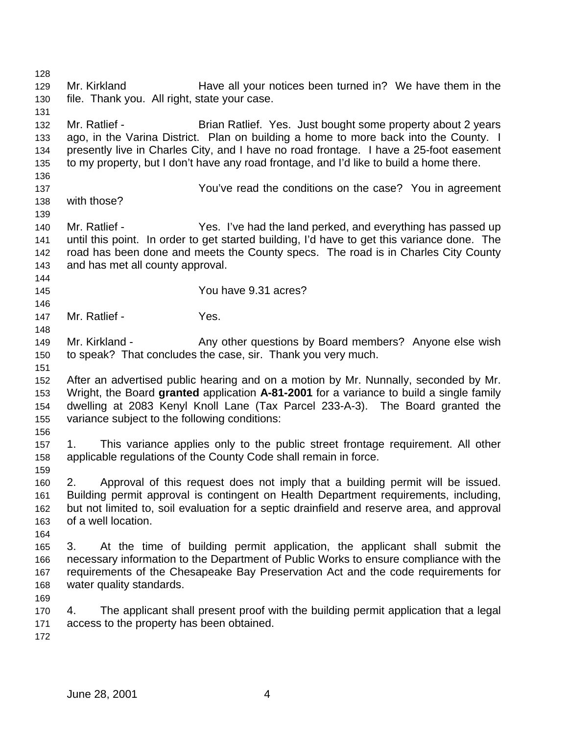129 Mr. Kirkland Have all your notices been turned in? We have them in the file. Thank you. All right, state your case. Mr. Ratlief - Brian Ratlief. Yes. Just bought some property about 2 years ago, in the Varina District. Plan on building a home to more back into the County. I presently live in Charles City, and I have no road frontage. I have a 25-foot easement to my property, but I don't have any road frontage, and I'd like to build a home there. You've read the conditions on the case? You in agreement with those? Mr. Ratlief - Yes. I've had the land perked, and everything has passed up until this point. In order to get started building, I'd have to get this variance done. The road has been done and meets the County specs. The road is in Charles City County and has met all county approval. You have 9.31 acres? 147 Mr. Ratlief - Yes. 149 Mr. Kirkland - Any other questions by Board members? Anyone else wish to speak? That concludes the case, sir. Thank you very much. After an advertised public hearing and on a motion by Mr. Nunnally, seconded by Mr. Wright, the Board **granted** application **A-81-2001** for a variance to build a single family dwelling at 2083 Kenyl Knoll Lane (Tax Parcel 233-A-3). The Board granted the variance subject to the following conditions: 1. This variance applies only to the public street frontage requirement. All other applicable regulations of the County Code shall remain in force. 2. Approval of this request does not imply that a building permit will be issued. Building permit approval is contingent on Health Department requirements, including, but not limited to, soil evaluation for a septic drainfield and reserve area, and approval of a well location. 3. At the time of building permit application, the applicant shall submit the necessary information to the Department of Public Works to ensure compliance with the requirements of the Chesapeake Bay Preservation Act and the code requirements for water quality standards. 4. The applicant shall present proof with the building permit application that a legal access to the property has been obtained.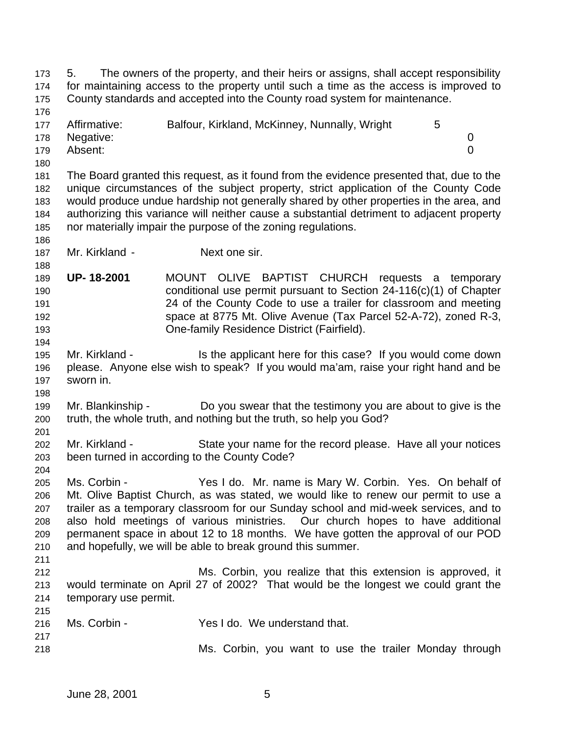5. The owners of the property, and their heirs or assigns, shall accept responsibility for maintaining access to the property until such a time as the access is improved to County standards and accepted into the County road system for maintenance. 177 Affirmative: Balfour, Kirkland, McKinney, Nunnally, Wright 5 Negative: 0 Absent: 0 The Board granted this request, as it found from the evidence presented that, due to the unique circumstances of the subject property, strict application of the County Code would produce undue hardship not generally shared by other properties in the area, and authorizing this variance will neither cause a substantial detriment to adjacent property nor materially impair the purpose of the zoning regulations. Mr. Kirkland - Next one sir. **UP- 18-2001** MOUNT OLIVE BAPTIST CHURCH requests a temporary conditional use permit pursuant to Section 24-116(c)(1) of Chapter 24 of the County Code to use a trailer for classroom and meeting space at 8775 Mt. Olive Avenue (Tax Parcel 52-A-72), zoned R-3, One-family Residence District (Fairfield). Mr. Kirkland - Is the applicant here for this case? If you would come down please. Anyone else wish to speak? If you would ma'am, raise your right hand and be sworn in. Mr. Blankinship - Do you swear that the testimony you are about to give is the truth, the whole truth, and nothing but the truth, so help you God? Mr. Kirkland - State your name for the record please. Have all your notices been turned in according to the County Code? Ms. Corbin - Yes I do. Mr. name is Mary W. Corbin. Yes. On behalf of Mt. Olive Baptist Church, as was stated, we would like to renew our permit to use a trailer as a temporary classroom for our Sunday school and mid-week services, and to also hold meetings of various ministries. Our church hopes to have additional permanent space in about 12 to 18 months. We have gotten the approval of our POD and hopefully, we will be able to break ground this summer. Ms. Corbin, you realize that this extension is approved, it would terminate on April 27 of 2002? That would be the longest we could grant the temporary use permit. Ms. Corbin - Yes I do. We understand that. Ms. Corbin, you want to use the trailer Monday through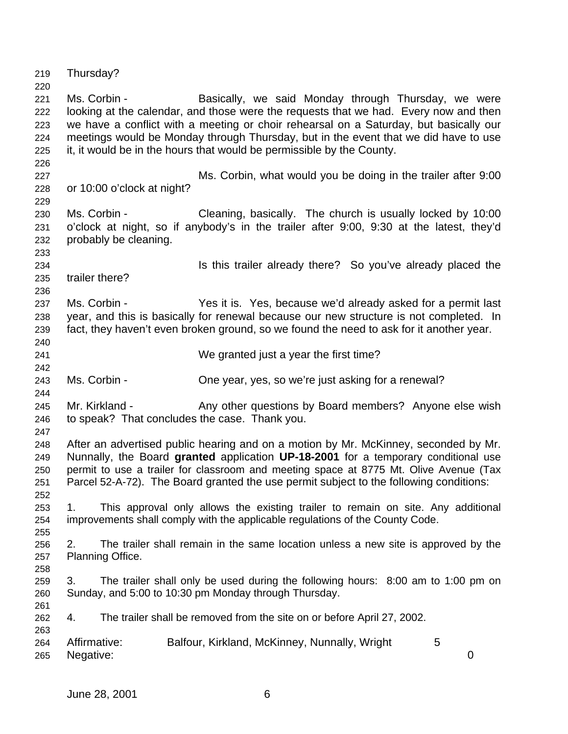Thursday? Ms. Corbin - Basically, we said Monday through Thursday, we were looking at the calendar, and those were the requests that we had. Every now and then we have a conflict with a meeting or choir rehearsal on a Saturday, but basically our meetings would be Monday through Thursday, but in the event that we did have to use it, it would be in the hours that would be permissible by the County. Ms. Corbin, what would you be doing in the trailer after 9:00 or 10:00 o'clock at night? Ms. Corbin - Cleaning, basically. The church is usually locked by 10:00 o'clock at night, so if anybody's in the trailer after 9:00, 9:30 at the latest, they'd probably be cleaning. Is this trailer already there? So you've already placed the trailer there? Ms. Corbin - Yes it is. Yes, because we'd already asked for a permit last year, and this is basically for renewal because our new structure is not completed. In fact, they haven't even broken ground, so we found the need to ask for it another year. We granted just a year the first time? Ms. Corbin - One year, yes, so we're just asking for a renewal? Mr. Kirkland - Any other questions by Board members? Anyone else wish to speak? That concludes the case. Thank you. After an advertised public hearing and on a motion by Mr. McKinney, seconded by Mr. Nunnally, the Board **granted** application **UP-18-2001** for a temporary conditional use permit to use a trailer for classroom and meeting space at 8775 Mt. Olive Avenue (Tax Parcel 52-A-72). The Board granted the use permit subject to the following conditions: 1. This approval only allows the existing trailer to remain on site. Any additional improvements shall comply with the applicable regulations of the County Code. 2. The trailer shall remain in the same location unless a new site is approved by the Planning Office. 3. The trailer shall only be used during the following hours: 8:00 am to 1:00 pm on Sunday, and 5:00 to 10:30 pm Monday through Thursday. 4. The trailer shall be removed from the site on or before April 27, 2002. Affirmative: Balfour, Kirkland, McKinney, Nunnally, Wright 5 Negative: 0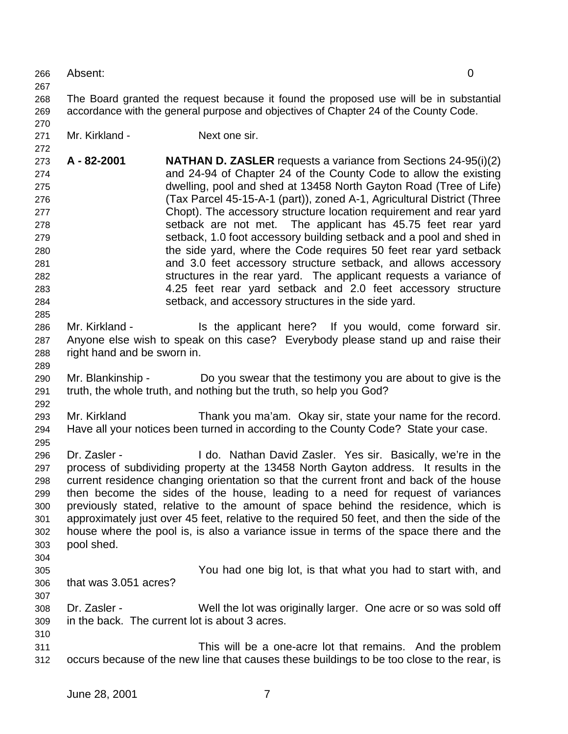The Board granted the request because it found the proposed use will be in substantial accordance with the general purpose and objectives of Chapter 24 of the County Code. 271 Mr. Kirkland - Next one sir. **A - 82-2001 NATHAN D. ZASLER** requests a variance from Sections 24-95(i)(2) and 24-94 of Chapter 24 of the County Code to allow the existing dwelling, pool and shed at 13458 North Gayton Road (Tree of Life) (Tax Parcel 45-15-A-1 (part)), zoned A-1, Agricultural District (Three Chopt). The accessory structure location requirement and rear yard setback are not met. The applicant has 45.75 feet rear yard setback, 1.0 foot accessory building setback and a pool and shed in the side yard, where the Code requires 50 feet rear yard setback and 3.0 feet accessory structure setback, and allows accessory structures in the rear yard. The applicant requests a variance of 4.25 feet rear yard setback and 2.0 feet accessory structure setback, and accessory structures in the side yard. 286 Mr. Kirkland - Is the applicant here? If you would, come forward sir. Anyone else wish to speak on this case? Everybody please stand up and raise their right hand and be sworn in. Mr. Blankinship - Do you swear that the testimony you are about to give is the truth, the whole truth, and nothing but the truth, so help you God? Mr. Kirkland Thank you ma'am. Okay sir, state your name for the record. Have all your notices been turned in according to the County Code? State your case. Dr. Zasler - I do. Nathan David Zasler. Yes sir. Basically, we're in the process of subdividing property at the 13458 North Gayton address. It results in the current residence changing orientation so that the current front and back of the house then become the sides of the house, leading to a need for request of variances previously stated, relative to the amount of space behind the residence, which is approximately just over 45 feet, relative to the required 50 feet, and then the side of the house where the pool is, is also a variance issue in terms of the space there and the

- pool shed.
- 

 You had one big lot, is that what you had to start with, and that was 3.051 acres?

- Dr. Zasler Well the lot was originally larger. One acre or so was sold off in the back. The current lot is about 3 acres.
- This will be a one-acre lot that remains. And the problem occurs because of the new line that causes these buildings to be too close to the rear, is

Absent: 0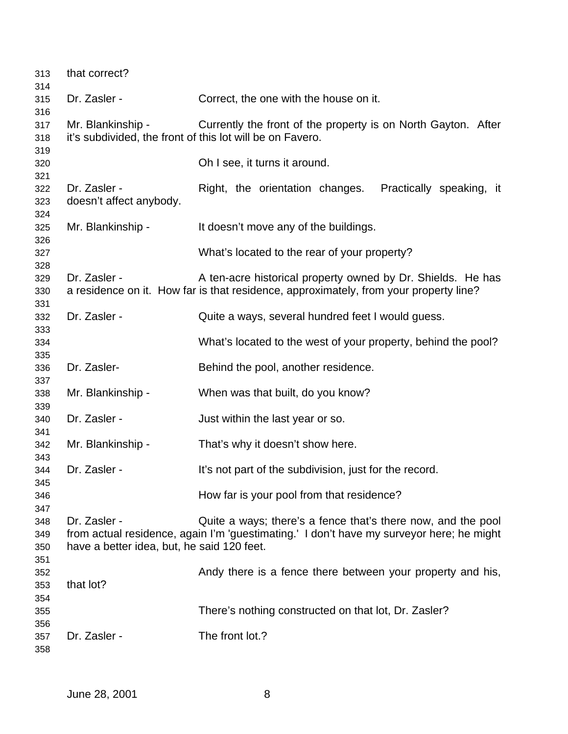| 313<br>314               | that correct?                                                                  |                                                                                                                                                          |
|--------------------------|--------------------------------------------------------------------------------|----------------------------------------------------------------------------------------------------------------------------------------------------------|
| 315<br>316               | Dr. Zasler -                                                                   | Correct, the one with the house on it.                                                                                                                   |
| 317<br>318               | Mr. Blankinship -<br>it's subdivided, the front of this lot will be on Favero. | Currently the front of the property is on North Gayton. After                                                                                            |
| 319<br>320<br>321        |                                                                                | Oh I see, it turns it around.                                                                                                                            |
| 322<br>323<br>324        | Dr. Zasler -<br>doesn't affect anybody.                                        | Right, the orientation changes. Practically speaking, it                                                                                                 |
| 325<br>326               | Mr. Blankinship -                                                              | It doesn't move any of the buildings.                                                                                                                    |
| 327<br>328               |                                                                                | What's located to the rear of your property?                                                                                                             |
| 329<br>330<br>331        | Dr. Zasler -                                                                   | A ten-acre historical property owned by Dr. Shields. He has<br>a residence on it. How far is that residence, approximately, from your property line?     |
| 332<br>333               | Dr. Zasler -                                                                   | Quite a ways, several hundred feet I would guess.                                                                                                        |
| 334<br>335               |                                                                                | What's located to the west of your property, behind the pool?                                                                                            |
| 336<br>337               | Dr. Zasler-                                                                    | Behind the pool, another residence.                                                                                                                      |
| 338                      | Mr. Blankinship -                                                              | When was that built, do you know?                                                                                                                        |
| 339<br>340               | Dr. Zasler -                                                                   | Just within the last year or so.                                                                                                                         |
| 341<br>342               | Mr. Blankinship -                                                              | That's why it doesn't show here.                                                                                                                         |
| 343<br>344               | Dr. Zasler -                                                                   | It's not part of the subdivision, just for the record.                                                                                                   |
| 345<br>346               |                                                                                | How far is your pool from that residence?                                                                                                                |
| 347<br>348<br>349<br>350 | Dr. Zasler -<br>have a better idea, but, he said 120 feet.                     | Quite a ways; there's a fence that's there now, and the pool<br>from actual residence, again I'm 'guestimating.' I don't have my surveyor here; he might |
| 351<br>352<br>353        | that lot?                                                                      | Andy there is a fence there between your property and his,                                                                                               |
| 354<br>355<br>356        |                                                                                | There's nothing constructed on that lot, Dr. Zasler?                                                                                                     |
| 357<br>358               | Dr. Zasler -                                                                   | The front lot.?                                                                                                                                          |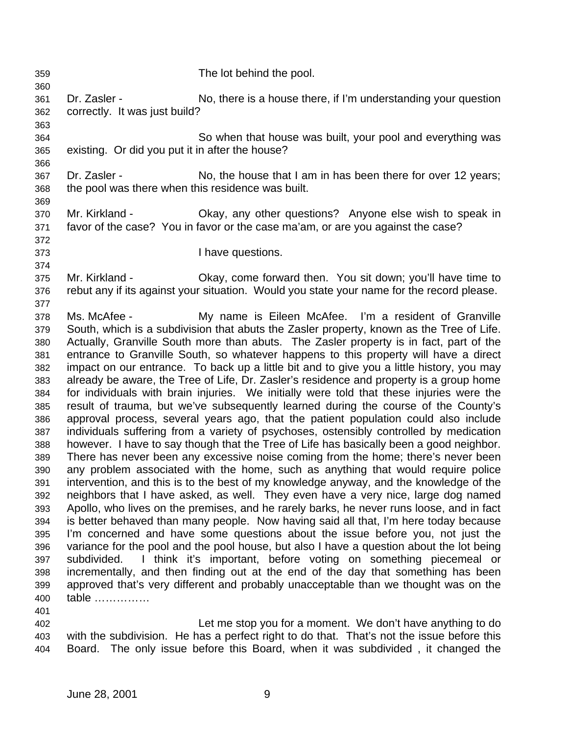- The lot behind the pool. Dr. Zasler - No, there is a house there, if I'm understanding your question correctly. It was just build? So when that house was built, your pool and everything was existing. Or did you put it in after the house? Dr. Zasler - No, the house that I am in has been there for over 12 years; the pool was there when this residence was built. Mr. Kirkland - Okay, any other questions? Anyone else wish to speak in favor of the case? You in favor or the case ma'am, or are you against the case? I have questions. Mr. Kirkland - Okay, come forward then. You sit down; you'll have time to rebut any if its against your situation. Would you state your name for the record please. Ms. McAfee - My name is Eileen McAfee. I'm a resident of Granville South, which is a subdivision that abuts the Zasler property, known as the Tree of Life. Actually, Granville South more than abuts. The Zasler property is in fact, part of the entrance to Granville South, so whatever happens to this property will have a direct impact on our entrance. To back up a little bit and to give you a little history, you may already be aware, the Tree of Life, Dr. Zasler's residence and property is a group home for individuals with brain injuries. We initially were told that these injuries were the result of trauma, but we've subsequently learned during the course of the County's approval process, several years ago, that the patient population could also include individuals suffering from a variety of psychoses, ostensibly controlled by medication however. I have to say though that the Tree of Life has basically been a good neighbor. There has never been any excessive noise coming from the home; there's never been any problem associated with the home, such as anything that would require police intervention, and this is to the best of my knowledge anyway, and the knowledge of the neighbors that I have asked, as well. They even have a very nice, large dog named Apollo, who lives on the premises, and he rarely barks, he never runs loose, and in fact is better behaved than many people. Now having said all that, I'm here today because I'm concerned and have some questions about the issue before you, not just the variance for the pool and the pool house, but also I have a question about the lot being subdivided. I think it's important, before voting on something piecemeal or incrementally, and then finding out at the end of the day that something has been approved that's very different and probably unacceptable than we thought was on the table …………… Let me stop you for a moment. We don't have anything to do
	- with the subdivision. He has a perfect right to do that. That's not the issue before this Board. The only issue before this Board, when it was subdivided , it changed the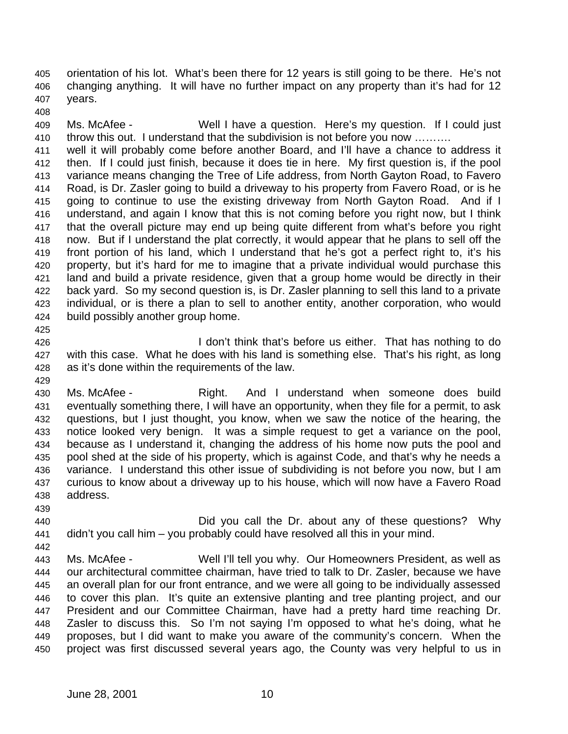orientation of his lot. What's been there for 12 years is still going to be there. He's not changing anything. It will have no further impact on any property than it's had for 12 years.

 Ms. McAfee - Well I have a question. Here's my question. If I could just throw this out. I understand that the subdivision is not before you now ……….

 well it will probably come before another Board, and I'll have a chance to address it then. If I could just finish, because it does tie in here. My first question is, if the pool variance means changing the Tree of Life address, from North Gayton Road, to Favero Road, is Dr. Zasler going to build a driveway to his property from Favero Road, or is he going to continue to use the existing driveway from North Gayton Road. And if I understand, and again I know that this is not coming before you right now, but I think that the overall picture may end up being quite different from what's before you right now. But if I understand the plat correctly, it would appear that he plans to sell off the front portion of his land, which I understand that he's got a perfect right to, it's his property, but it's hard for me to imagine that a private individual would purchase this land and build a private residence, given that a group home would be directly in their back yard. So my second question is, is Dr. Zasler planning to sell this land to a private individual, or is there a plan to sell to another entity, another corporation, who would build possibly another group home.

- **I don't think that's before us either.** That has nothing to do with this case. What he does with his land is something else. That's his right, as long as it's done within the requirements of the law.
- Ms. McAfee Right. And I understand when someone does build eventually something there, I will have an opportunity, when they file for a permit, to ask questions, but I just thought, you know, when we saw the notice of the hearing, the notice looked very benign. It was a simple request to get a variance on the pool, because as I understand it, changing the address of his home now puts the pool and pool shed at the side of his property, which is against Code, and that's why he needs a variance. I understand this other issue of subdividing is not before you now, but I am curious to know about a driveway up to his house, which will now have a Favero Road address.
- 
- Did you call the Dr. about any of these questions? Why didn't you call him – you probably could have resolved all this in your mind.
- Ms. McAfee Well I'll tell you why. Our Homeowners President, as well as our architectural committee chairman, have tried to talk to Dr. Zasler, because we have an overall plan for our front entrance, and we were all going to be individually assessed to cover this plan. It's quite an extensive planting and tree planting project, and our President and our Committee Chairman, have had a pretty hard time reaching Dr. Zasler to discuss this. So I'm not saying I'm opposed to what he's doing, what he proposes, but I did want to make you aware of the community's concern. When the project was first discussed several years ago, the County was very helpful to us in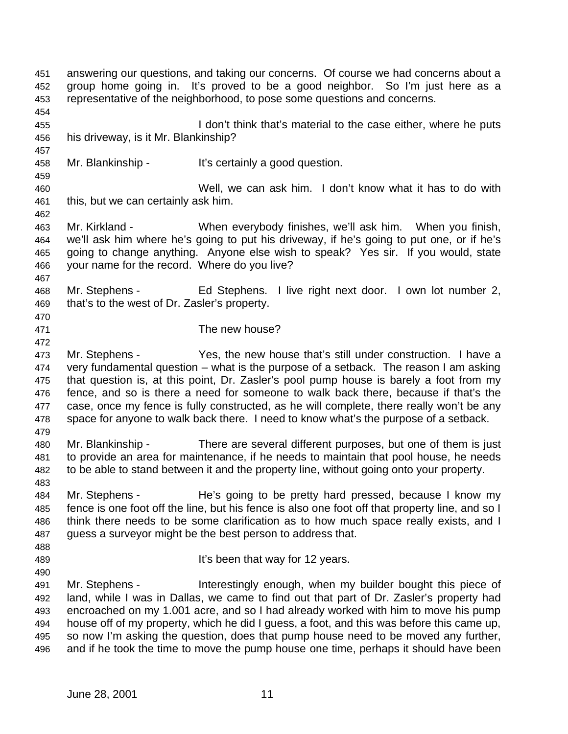answering our questions, and taking our concerns. Of course we had concerns about a group home going in. It's proved to be a good neighbor. So I'm just here as a representative of the neighborhood, to pose some questions and concerns. I don't think that's material to the case either, where he puts his driveway, is it Mr. Blankinship? Mr. Blankinship - It's certainly a good question. Well, we can ask him. I don't know what it has to do with this, but we can certainly ask him. Mr. Kirkland - When everybody finishes, we'll ask him. When you finish, we'll ask him where he's going to put his driveway, if he's going to put one, or if he's going to change anything. Anyone else wish to speak? Yes sir. If you would, state your name for the record. Where do you live? Mr. Stephens - Ed Stephens. I live right next door. I own lot number 2, that's to the west of Dr. Zasler's property. The new house? Mr. Stephens - Yes, the new house that's still under construction. I have a very fundamental question – what is the purpose of a setback. The reason I am asking that question is, at this point, Dr. Zasler's pool pump house is barely a foot from my fence, and so is there a need for someone to walk back there, because if that's the case, once my fence is fully constructed, as he will complete, there really won't be any space for anyone to walk back there. I need to know what's the purpose of a setback. Mr. Blankinship - There are several different purposes, but one of them is just to provide an area for maintenance, if he needs to maintain that pool house, he needs to be able to stand between it and the property line, without going onto your property. Mr. Stephens - He's going to be pretty hard pressed, because I know my fence is one foot off the line, but his fence is also one foot off that property line, and so I think there needs to be some clarification as to how much space really exists, and I guess a surveyor might be the best person to address that. **It's been that way for 12 years.**  Mr. Stephens - Interestingly enough, when my builder bought this piece of land, while I was in Dallas, we came to find out that part of Dr. Zasler's property had encroached on my 1.001 acre, and so I had already worked with him to move his pump house off of my property, which he did I guess, a foot, and this was before this came up, so now I'm asking the question, does that pump house need to be moved any further, and if he took the time to move the pump house one time, perhaps it should have been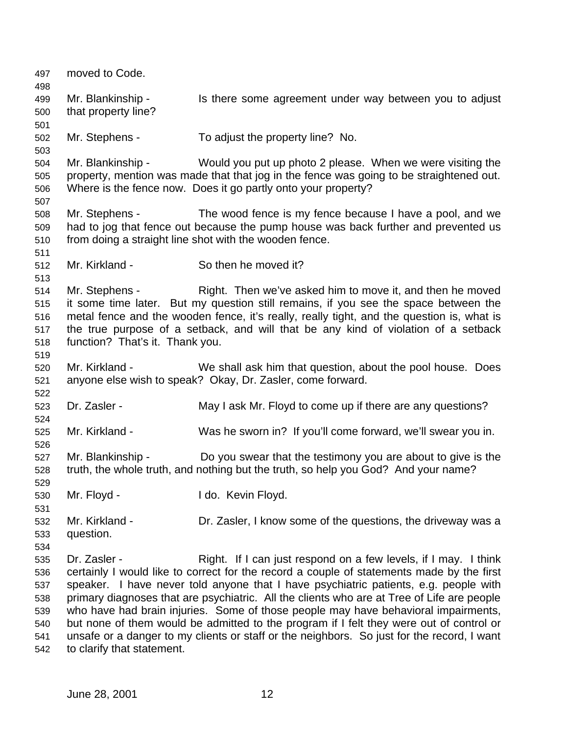moved to Code. Mr. Blankinship - Is there some agreement under way between you to adjust that property line? Mr. Stephens - To adjust the property line? No. Mr. Blankinship - Would you put up photo 2 please. When we were visiting the property, mention was made that that jog in the fence was going to be straightened out. Where is the fence now. Does it go partly onto your property? Mr. Stephens - The wood fence is my fence because I have a pool, and we had to jog that fence out because the pump house was back further and prevented us from doing a straight line shot with the wooden fence. Mr. Kirkland - So then he moved it? Mr. Stephens - Right. Then we've asked him to move it, and then he moved it some time later. But my question still remains, if you see the space between the metal fence and the wooden fence, it's really, really tight, and the question is, what is the true purpose of a setback, and will that be any kind of violation of a setback function? That's it. Thank you. Mr. Kirkland - We shall ask him that question, about the pool house. Does anyone else wish to speak? Okay, Dr. Zasler, come forward. Dr. Zasler - May I ask Mr. Floyd to come up if there are any questions? Mr. Kirkland - Was he sworn in? If you'll come forward, we'll swear you in. Mr. Blankinship - Do you swear that the testimony you are about to give is the truth, the whole truth, and nothing but the truth, so help you God? And your name? Mr. Floyd - I do. Kevin Floyd. Mr. Kirkland - Dr. Zasler, I know some of the questions, the driveway was a question. Dr. Zasler - Right. If I can just respond on a few levels, if I may. I think certainly I would like to correct for the record a couple of statements made by the first speaker. I have never told anyone that I have psychiatric patients, e.g. people with primary diagnoses that are psychiatric. All the clients who are at Tree of Life are people who have had brain injuries. Some of those people may have behavioral impairments, but none of them would be admitted to the program if I felt they were out of control or unsafe or a danger to my clients or staff or the neighbors. So just for the record, I want to clarify that statement.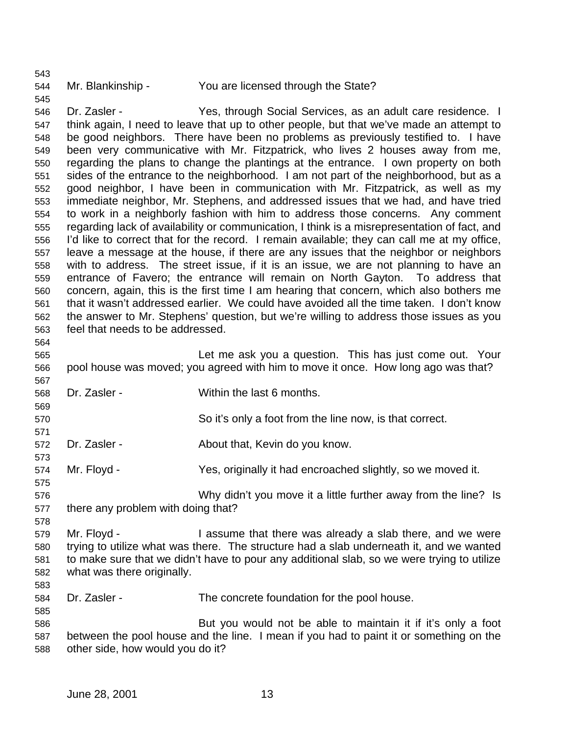### 

Mr. Blankinship - You are licensed through the State?

 Dr. Zasler - Yes, through Social Services, as an adult care residence. I think again, I need to leave that up to other people, but that we've made an attempt to be good neighbors. There have been no problems as previously testified to. I have been very communicative with Mr. Fitzpatrick, who lives 2 houses away from me, regarding the plans to change the plantings at the entrance. I own property on both sides of the entrance to the neighborhood. I am not part of the neighborhood, but as a good neighbor, I have been in communication with Mr. Fitzpatrick, as well as my immediate neighbor, Mr. Stephens, and addressed issues that we had, and have tried to work in a neighborly fashion with him to address those concerns. Any comment regarding lack of availability or communication, I think is a misrepresentation of fact, and I'd like to correct that for the record. I remain available; they can call me at my office, leave a message at the house, if there are any issues that the neighbor or neighbors with to address. The street issue, if it is an issue, we are not planning to have an entrance of Favero; the entrance will remain on North Gayton. To address that concern, again, this is the first time I am hearing that concern, which also bothers me that it wasn't addressed earlier. We could have avoided all the time taken. I don't know the answer to Mr. Stephens' question, but we're willing to address those issues as you feel that needs to be addressed.

 Let me ask you a question. This has just come out. Your pool house was moved; you agreed with him to move it once. How long ago was that?

- Dr. Zasler Within the last 6 months.
- So it's only a foot from the line now, is that correct.

Dr. Zasler - About that, Kevin do you know.

Mr. Floyd - Yes, originally it had encroached slightly, so we moved it.

 Why didn't you move it a little further away from the line? Is there any problem with doing that?

579 Mr. Floyd - I assume that there was already a slab there, and we were trying to utilize what was there. The structure had a slab underneath it, and we wanted to make sure that we didn't have to pour any additional slab, so we were trying to utilize what was there originally.

Dr. Zasler - The concrete foundation for the pool house.

 But you would not be able to maintain it if it's only a foot between the pool house and the line. I mean if you had to paint it or something on the other side, how would you do it?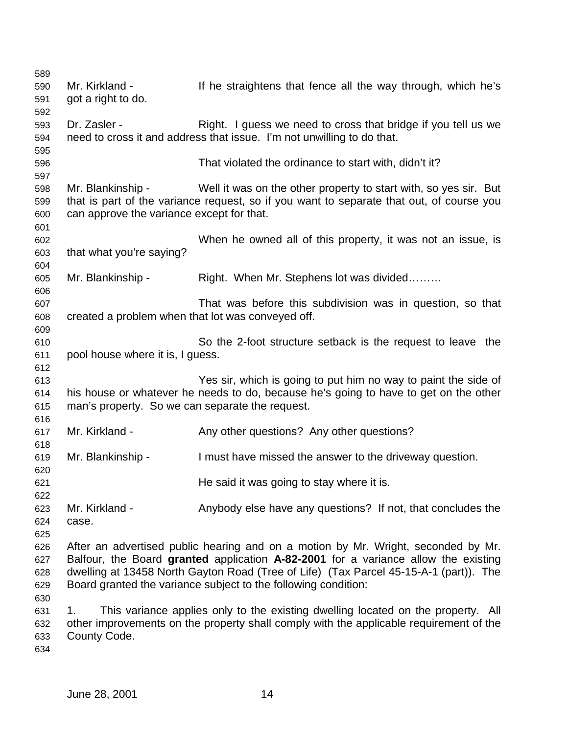| 589 |                                                   |                                                                                          |
|-----|---------------------------------------------------|------------------------------------------------------------------------------------------|
| 590 | Mr. Kirkland -                                    | If he straightens that fence all the way through, which he's                             |
| 591 | got a right to do.                                |                                                                                          |
| 592 |                                                   |                                                                                          |
| 593 | Dr. Zasler -                                      | Right. I guess we need to cross that bridge if you tell us we                            |
| 594 |                                                   | need to cross it and address that issue. I'm not unwilling to do that.                   |
| 595 |                                                   |                                                                                          |
|     |                                                   |                                                                                          |
| 596 |                                                   | That violated the ordinance to start with, didn't it?                                    |
| 597 |                                                   |                                                                                          |
| 598 | Mr. Blankinship -                                 | Well it was on the other property to start with, so yes sir. But                         |
| 599 |                                                   | that is part of the variance request, so if you want to separate that out, of course you |
| 600 | can approve the variance except for that.         |                                                                                          |
| 601 |                                                   |                                                                                          |
| 602 |                                                   | When he owned all of this property, it was not an issue, is                              |
| 603 | that what you're saying?                          |                                                                                          |
| 604 |                                                   |                                                                                          |
| 605 | Mr. Blankinship -                                 | Right. When Mr. Stephens lot was divided                                                 |
| 606 |                                                   |                                                                                          |
| 607 |                                                   | That was before this subdivision was in question, so that                                |
| 608 | created a problem when that lot was conveyed off. |                                                                                          |
| 609 |                                                   |                                                                                          |
| 610 |                                                   | So the 2-foot structure setback is the request to leave the                              |
| 611 | pool house where it is, I guess.                  |                                                                                          |
| 612 |                                                   |                                                                                          |
| 613 |                                                   | Yes sir, which is going to put him no way to paint the side of                           |
| 614 |                                                   | his house or whatever he needs to do, because he's going to have to get on the other     |
| 615 | man's property. So we can separate the request.   |                                                                                          |
| 616 |                                                   |                                                                                          |
|     | Mr. Kirkland -                                    | Any other questions? Any other questions?                                                |
| 617 |                                                   |                                                                                          |
| 618 |                                                   |                                                                                          |
| 619 | Mr. Blankinship -                                 | I must have missed the answer to the driveway question.                                  |
| 620 |                                                   |                                                                                          |
| 621 |                                                   | He said it was going to stay where it is.                                                |
| 622 |                                                   |                                                                                          |
| 623 | Mr. Kirkland -                                    | Anybody else have any questions? If not, that concludes the                              |
| 624 | case.                                             |                                                                                          |
| 625 |                                                   |                                                                                          |
| 626 |                                                   | After an advertised public hearing and on a motion by Mr. Wright, seconded by Mr.        |
| 627 |                                                   | Balfour, the Board granted application A-82-2001 for a variance allow the existing       |
| 628 |                                                   | dwelling at 13458 North Gayton Road (Tree of Life) (Tax Parcel 45-15-A-1 (part)). The    |
| 629 |                                                   | Board granted the variance subject to the following condition:                           |
| 630 |                                                   |                                                                                          |
| 631 | 1.                                                | This variance applies only to the existing dwelling located on the property. All         |
| 632 |                                                   | other improvements on the property shall comply with the applicable requirement of the   |
| 633 | County Code.                                      |                                                                                          |
| 634 |                                                   |                                                                                          |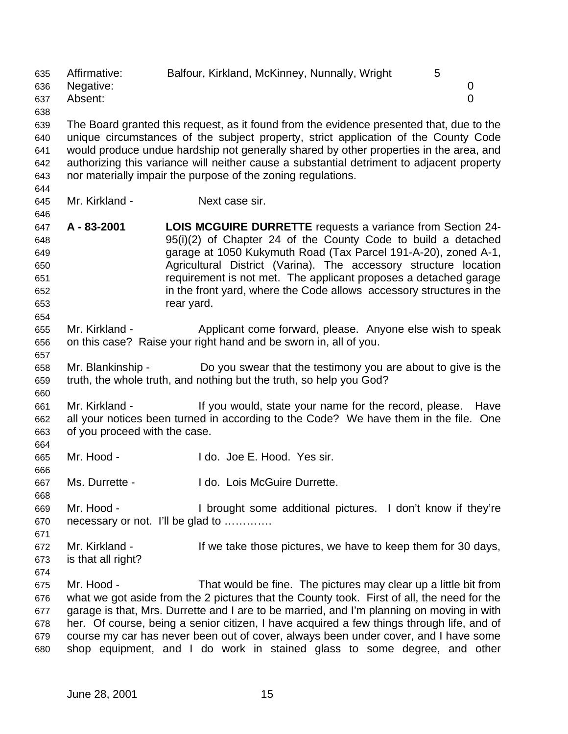Affirmative: Balfour, Kirkland, McKinney, Nunnally, Wright 5 Negative: 0 Absent: 0 The Board granted this request, as it found from the evidence presented that, due to the unique circumstances of the subject property, strict application of the County Code would produce undue hardship not generally shared by other properties in the area, and authorizing this variance will neither cause a substantial detriment to adjacent property nor materially impair the purpose of the zoning regulations. Mr. Kirkland - Next case sir. **A - 83-2001 LOIS MCGUIRE DURRETTE** requests a variance from Section 24- 95(i)(2) of Chapter 24 of the County Code to build a detached garage at 1050 Kukymuth Road (Tax Parcel 191-A-20), zoned A-1, Agricultural District (Varina). The accessory structure location requirement is not met. The applicant proposes a detached garage in the front yard, where the Code allows accessory structures in the rear yard. Mr. Kirkland - Applicant come forward, please. Anyone else wish to speak on this case? Raise your right hand and be sworn in, all of you. Mr. Blankinship - Do you swear that the testimony you are about to give is the truth, the whole truth, and nothing but the truth, so help you God? Mr. Kirkland - If you would, state your name for the record, please. Have all your notices been turned in according to the Code? We have them in the file. One of you proceed with the case. Mr. Hood - I do. Joe E. Hood. Yes sir. Ms. Durrette - I do. Lois McGuire Durrette. Mr. Hood - I brought some additional pictures. I don't know if they're necessary or not. I'll be glad to …………. Mr. Kirkland - If we take those pictures, we have to keep them for 30 days, is that all right? Mr. Hood - That would be fine. The pictures may clear up a little bit from what we got aside from the 2 pictures that the County took. First of all, the need for the garage is that, Mrs. Durrette and I are to be married, and I'm planning on moving in with her. Of course, being a senior citizen, I have acquired a few things through life, and of course my car has never been out of cover, always been under cover, and I have some shop equipment, and I do work in stained glass to some degree, and other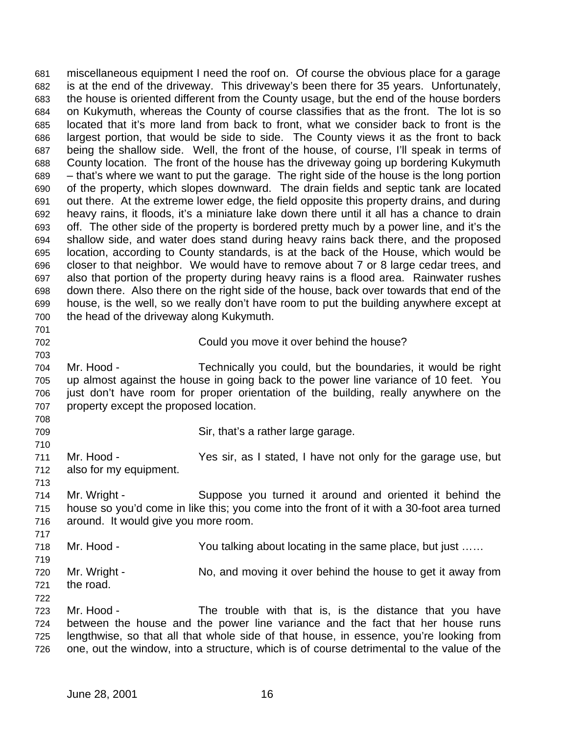miscellaneous equipment I need the roof on. Of course the obvious place for a garage is at the end of the driveway. This driveway's been there for 35 years. Unfortunately, the house is oriented different from the County usage, but the end of the house borders on Kukymuth, whereas the County of course classifies that as the front. The lot is so located that it's more land from back to front, what we consider back to front is the largest portion, that would be side to side. The County views it as the front to back being the shallow side. Well, the front of the house, of course, I'll speak in terms of County location. The front of the house has the driveway going up bordering Kukymuth – that's where we want to put the garage. The right side of the house is the long portion of the property, which slopes downward. The drain fields and septic tank are located out there. At the extreme lower edge, the field opposite this property drains, and during heavy rains, it floods, it's a miniature lake down there until it all has a chance to drain off. The other side of the property is bordered pretty much by a power line, and it's the shallow side, and water does stand during heavy rains back there, and the proposed location, according to County standards, is at the back of the House, which would be closer to that neighbor. We would have to remove about 7 or 8 large cedar trees, and also that portion of the property during heavy rains is a flood area. Rainwater rushes down there. Also there on the right side of the house, back over towards that end of the house, is the well, so we really don't have room to put the building anywhere except at the head of the driveway along Kukymuth. Could you move it over behind the house? Mr. Hood - Technically you could, but the boundaries, it would be right up almost against the house in going back to the power line variance of 10 feet. You just don't have room for proper orientation of the building, really anywhere on the property except the proposed location. 

Sir, that's a rather large garage.

 Mr. Hood - Yes sir, as I stated, I have not only for the garage use, but also for my equipment.

 Mr. Wright - Suppose you turned it around and oriented it behind the house so you'd come in like this; you come into the front of it with a 30-foot area turned around. It would give you more room.

718 Mr. Hood - You talking about locating in the same place, but just ...... 

 Mr. Wright - No, and moving it over behind the house to get it away from the road. 

 Mr. Hood - The trouble with that is, is the distance that you have between the house and the power line variance and the fact that her house runs lengthwise, so that all that whole side of that house, in essence, you're looking from one, out the window, into a structure, which is of course detrimental to the value of the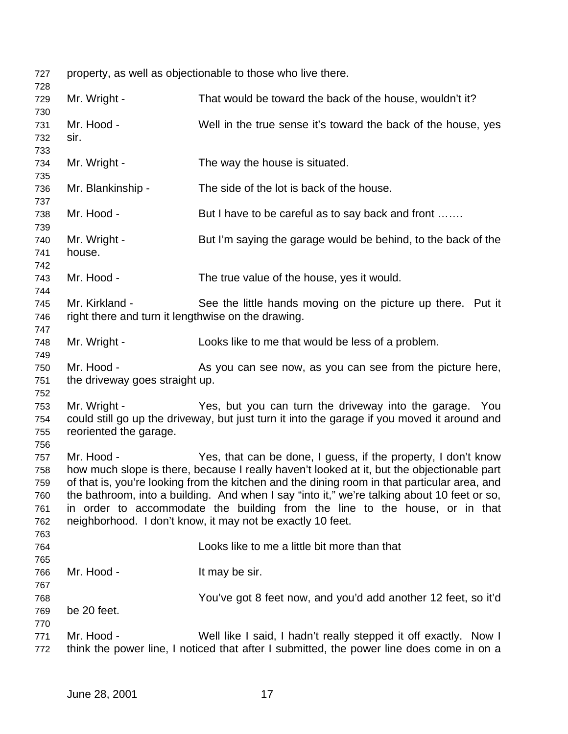property, as well as objectionable to those who live there. 727<br>728

| 120        |                                                    |                                                                                              |
|------------|----------------------------------------------------|----------------------------------------------------------------------------------------------|
| 729        | Mr. Wright -                                       | That would be toward the back of the house, wouldn't it?                                     |
| 730<br>731 | Mr. Hood -                                         | Well in the true sense it's toward the back of the house, yes                                |
| 732        | sir.                                               |                                                                                              |
| 733        |                                                    |                                                                                              |
| 734        | Mr. Wright -                                       | The way the house is situated.                                                               |
| 735        |                                                    |                                                                                              |
| 736        | Mr. Blankinship -                                  | The side of the lot is back of the house.                                                    |
| 737        |                                                    |                                                                                              |
| 738        | Mr. Hood -                                         | But I have to be careful as to say back and front                                            |
| 739        |                                                    |                                                                                              |
| 740        | Mr. Wright -                                       | But I'm saying the garage would be behind, to the back of the                                |
| 741        | house.                                             |                                                                                              |
| 742        |                                                    |                                                                                              |
| 743        | Mr. Hood -                                         | The true value of the house, yes it would.                                                   |
| 744        |                                                    |                                                                                              |
| 745        | Mr. Kirkland -                                     | See the little hands moving on the picture up there. Put it                                  |
| 746        | right there and turn it lengthwise on the drawing. |                                                                                              |
| 747        |                                                    |                                                                                              |
| 748        | Mr. Wright -                                       | Looks like to me that would be less of a problem.                                            |
| 749        |                                                    |                                                                                              |
| 750        | Mr. Hood -                                         | As you can see now, as you can see from the picture here,                                    |
| 751        | the driveway goes straight up.                     |                                                                                              |
| 752        |                                                    |                                                                                              |
| 753        | Mr. Wright -                                       | Yes, but you can turn the driveway into the garage. You                                      |
| 754        |                                                    | could still go up the driveway, but just turn it into the garage if you moved it around and  |
| 755        | reoriented the garage.                             |                                                                                              |
| 756        |                                                    |                                                                                              |
| 757        | Mr. Hood -                                         | Yes, that can be done, I guess, if the property, I don't know                                |
| 758        |                                                    | how much slope is there, because I really haven't looked at it, but the objectionable part   |
| 759        |                                                    | of that is, you're looking from the kitchen and the dining room in that particular area, and |
| 760        |                                                    | the bathroom, into a building. And when I say "into it," we're talking about 10 feet or so,  |
| 761        |                                                    | in order to accommodate the building from the line to the house, or in that                  |
| 762        |                                                    | neighborhood. I don't know, it may not be exactly 10 feet.                                   |
| 763        |                                                    | Looks like to me a little bit more than that                                                 |
| 764<br>765 |                                                    |                                                                                              |
| 766        | Mr. Hood -                                         | It may be sir.                                                                               |
| 767        |                                                    |                                                                                              |
| 768        |                                                    | You've got 8 feet now, and you'd add another 12 feet, so it'd                                |
| 769        | be 20 feet.                                        |                                                                                              |
| 770        |                                                    |                                                                                              |
| 771        | Mr. Hood -                                         | Well like I said, I hadn't really stepped it off exactly. Now I                              |
| 772        |                                                    | think the power line, I noticed that after I submitted, the power line does come in on a     |
|            |                                                    |                                                                                              |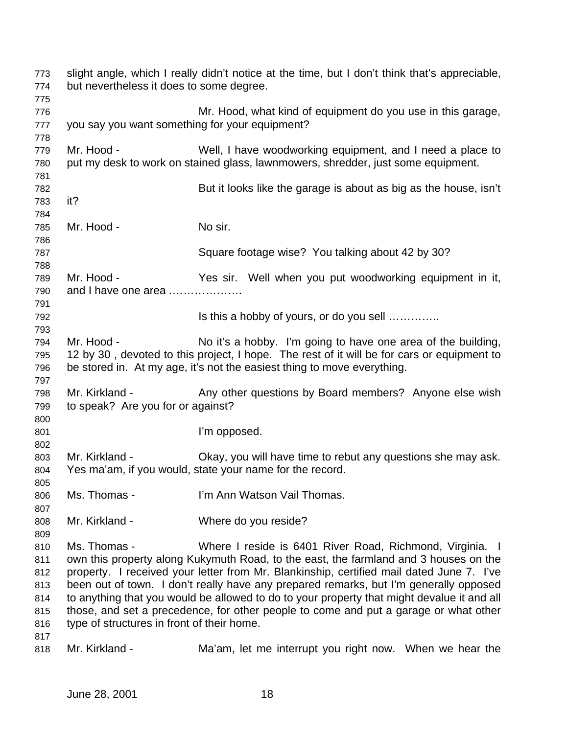| 773<br>774<br>775                                    | but nevertheless it does to some degree.                   | slight angle, which I really didn't notice at the time, but I don't think that's appreciable,                                                                                                                                                                                                                                                                                                                                                                                                                               |
|------------------------------------------------------|------------------------------------------------------------|-----------------------------------------------------------------------------------------------------------------------------------------------------------------------------------------------------------------------------------------------------------------------------------------------------------------------------------------------------------------------------------------------------------------------------------------------------------------------------------------------------------------------------|
| 776<br>777                                           | you say you want something for your equipment?             | Mr. Hood, what kind of equipment do you use in this garage,                                                                                                                                                                                                                                                                                                                                                                                                                                                                 |
| 778<br>779<br>780                                    | Mr. Hood -                                                 | Well, I have woodworking equipment, and I need a place to<br>put my desk to work on stained glass, lawnmowers, shredder, just some equipment.                                                                                                                                                                                                                                                                                                                                                                               |
| 781<br>782<br>783                                    | it?                                                        | But it looks like the garage is about as big as the house, isn't                                                                                                                                                                                                                                                                                                                                                                                                                                                            |
| 784<br>785<br>786                                    | Mr. Hood -                                                 | No sir.                                                                                                                                                                                                                                                                                                                                                                                                                                                                                                                     |
| 787<br>788                                           |                                                            | Square footage wise? You talking about 42 by 30?                                                                                                                                                                                                                                                                                                                                                                                                                                                                            |
| 789<br>790<br>791                                    | Mr. Hood -<br>and I have one area                          | Yes sir. Well when you put woodworking equipment in it,                                                                                                                                                                                                                                                                                                                                                                                                                                                                     |
| 792<br>793                                           |                                                            | Is this a hobby of yours, or do you sell                                                                                                                                                                                                                                                                                                                                                                                                                                                                                    |
| 794<br>795<br>796                                    | Mr. Hood -                                                 | No it's a hobby. I'm going to have one area of the building,<br>12 by 30, devoted to this project, I hope. The rest of it will be for cars or equipment to<br>be stored in. At my age, it's not the easiest thing to move everything.                                                                                                                                                                                                                                                                                       |
| 797<br>798<br>799                                    | Mr. Kirkland -<br>to speak? Are you for or against?        | Any other questions by Board members? Anyone else wish                                                                                                                                                                                                                                                                                                                                                                                                                                                                      |
| 800<br>801<br>802                                    |                                                            | I'm opposed.                                                                                                                                                                                                                                                                                                                                                                                                                                                                                                                |
| 803<br>804<br>805                                    | Mr. Kirkland -                                             | Okay, you will have time to rebut any questions she may ask.<br>Yes ma'am, if you would, state your name for the record.                                                                                                                                                                                                                                                                                                                                                                                                    |
| 806<br>807                                           | Ms. Thomas -                                               | I'm Ann Watson Vail Thomas.                                                                                                                                                                                                                                                                                                                                                                                                                                                                                                 |
| 808<br>809                                           | Mr. Kirkland -                                             | Where do you reside?                                                                                                                                                                                                                                                                                                                                                                                                                                                                                                        |
| 810<br>811<br>812<br>813<br>814<br>815<br>816<br>817 | Ms. Thomas -<br>type of structures in front of their home. | Where I reside is 6401 River Road, Richmond, Virginia. I<br>own this property along Kukymuth Road, to the east, the farmland and 3 houses on the<br>property. I received your letter from Mr. Blankinship, certified mail dated June 7. I've<br>been out of town. I don't really have any prepared remarks, but I'm generally opposed<br>to anything that you would be allowed to do to your property that might devalue it and all<br>those, and set a precedence, for other people to come and put a garage or what other |
| 818                                                  | Mr. Kirkland -                                             | Ma'am, let me interrupt you right now. When we hear the                                                                                                                                                                                                                                                                                                                                                                                                                                                                     |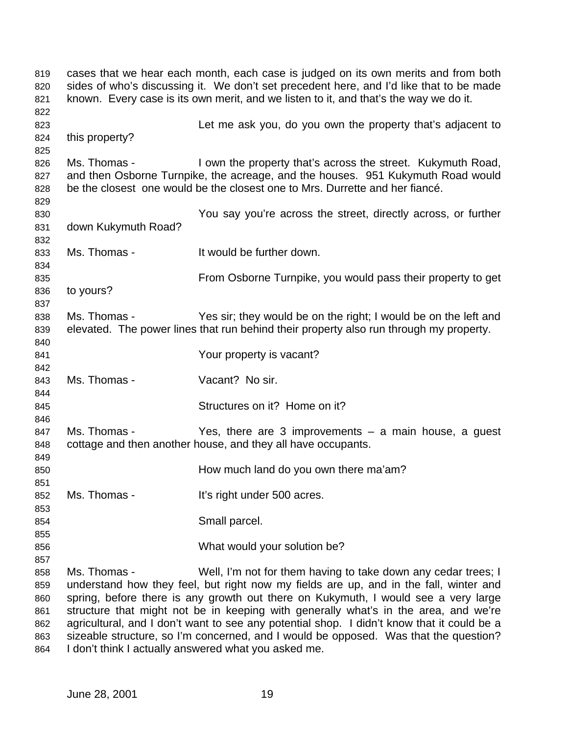cases that we hear each month, each case is judged on its own merits and from both sides of who's discussing it. We don't set precedent here, and I'd like that to be made known. Every case is its own merit, and we listen to it, and that's the way we do it. Let me ask you, do you own the property that's adjacent to this property? 826 Ms. Thomas - I own the property that's across the street. Kukymuth Road, and then Osborne Turnpike, the acreage, and the houses. 951 Kukymuth Road would be the closest one would be the closest one to Mrs. Durrette and her fiancé. You say you're across the street, directly across, or further down Kukymuth Road? Ms. Thomas - It would be further down. From Osborne Turnpike, you would pass their property to get to yours? 838 Ms. Thomas - Yes sir; they would be on the right; I would be on the left and elevated. The power lines that run behind their property also run through my property. Your property is vacant? Ms. Thomas - Vacant? No sir. Structures on it? Home on it? 847 Ms. Thomas - Yes, there are 3 improvements – a main house, a guest cottage and then another house, and they all have occupants. How much land do you own there ma'am? 852 Ms. Thomas - It's right under 500 acres. Small parcel. What would your solution be? Ms. Thomas - Well, I'm not for them having to take down any cedar trees; I understand how they feel, but right now my fields are up, and in the fall, winter and spring, before there is any growth out there on Kukymuth, I would see a very large structure that might not be in keeping with generally what's in the area, and we're agricultural, and I don't want to see any potential shop. I didn't know that it could be a sizeable structure, so I'm concerned, and I would be opposed. Was that the question?

I don't think I actually answered what you asked me.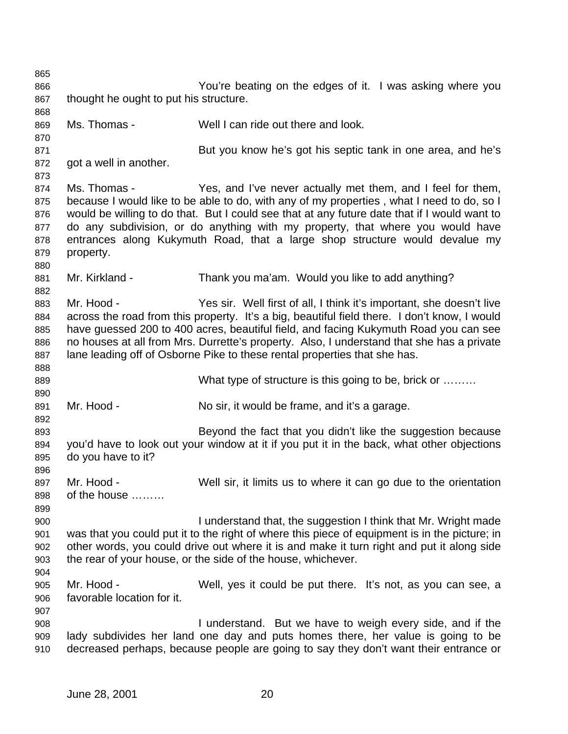You're beating on the edges of it. I was asking where you 867 thought he ought to put his structure. Ms. Thomas - Well I can ride out there and look. But you know he's got his septic tank in one area, and he's got a well in another. Ms. Thomas - Yes, and I've never actually met them, and I feel for them, 875 because I would like to be able to do, with any of my properties, what I need to do, so I would be willing to do that. But I could see that at any future date that if I would want to do any subdivision, or do anything with my property, that where you would have entrances along Kukymuth Road, that a large shop structure would devalue my property. 881 Mr. Kirkland - Thank you ma'am. Would you like to add anything? Mr. Hood - Yes sir. Well first of all, I think it's important, she doesn't live across the road from this property. It's a big, beautiful field there. I don't know, I would have guessed 200 to 400 acres, beautiful field, and facing Kukymuth Road you can see no houses at all from Mrs. Durrette's property. Also, I understand that she has a private lane leading off of Osborne Pike to these rental properties that she has. 889 What type of structure is this going to be, brick or ........ Mr. Hood - No sir, it would be frame, and it's a garage. Beyond the fact that you didn't like the suggestion because you'd have to look out your window at it if you put it in the back, what other objections do you have to it? 897 Mr. Hood - Well sir, it limits us to where it can go due to the orientation of the house ……… I understand that, the suggestion I think that Mr. Wright made was that you could put it to the right of where this piece of equipment is in the picture; in other words, you could drive out where it is and make it turn right and put it along side the rear of your house, or the side of the house, whichever. Mr. Hood - Well, yes it could be put there. It's not, as you can see, a favorable location for it. I understand. But we have to weigh every side, and if the lady subdivides her land one day and puts homes there, her value is going to be decreased perhaps, because people are going to say they don't want their entrance or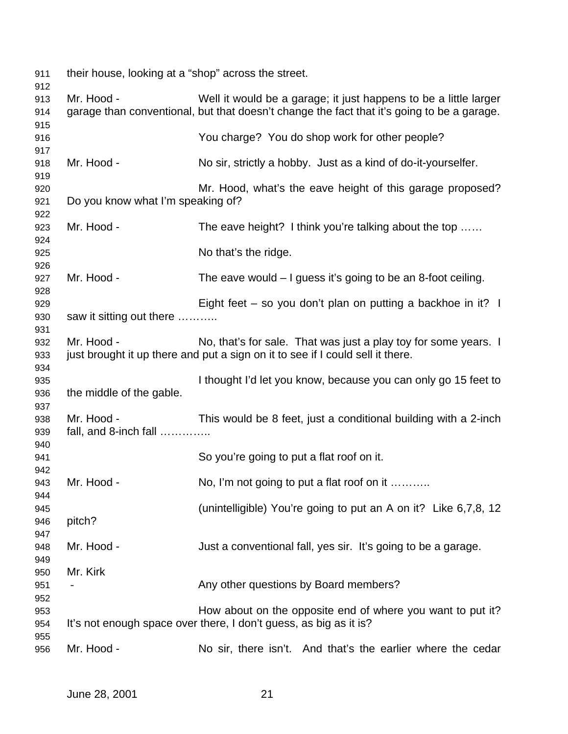| 911                      | their house, looking at a "shop" across the street. |                                                                                                                                                                |
|--------------------------|-----------------------------------------------------|----------------------------------------------------------------------------------------------------------------------------------------------------------------|
| 912<br>913<br>914<br>915 | Mr. Hood -                                          | Well it would be a garage; it just happens to be a little larger<br>garage than conventional, but that doesn't change the fact that it's going to be a garage. |
| 916                      |                                                     | You charge? You do shop work for other people?                                                                                                                 |
| 917<br>918               | Mr. Hood -                                          | No sir, strictly a hobby. Just as a kind of do-it-yourselfer.                                                                                                  |
| 919<br>920<br>921        | Do you know what I'm speaking of?                   | Mr. Hood, what's the eave height of this garage proposed?                                                                                                      |
| 922<br>923               | Mr. Hood -                                          | The eave height? I think you're talking about the top                                                                                                          |
| 924<br>925<br>926        |                                                     | No that's the ridge.                                                                                                                                           |
| 927<br>928               | Mr. Hood -                                          | The eave would $-1$ guess it's going to be an 8-foot ceiling.                                                                                                  |
| 929<br>930               | saw it sitting out there                            | Eight feet – so you don't plan on putting a backhoe in it? $\blacksquare$                                                                                      |
| 931<br>932<br>933        | Mr. Hood -                                          | No, that's for sale. That was just a play toy for some years. I<br>just brought it up there and put a sign on it to see if I could sell it there.              |
| 934<br>935<br>936        | the middle of the gable.                            | I thought I'd let you know, because you can only go 15 feet to                                                                                                 |
| 937<br>938<br>939        | Mr. Hood -<br>fall, and 8-inch fall                 | This would be 8 feet, just a conditional building with a 2-inch                                                                                                |
| 940<br>941               |                                                     | So you're going to put a flat roof on it.                                                                                                                      |
| 942<br>943               | Mr. Hood -                                          | No, I'm not going to put a flat roof on it                                                                                                                     |
| 944<br>945<br>946        | pitch?                                              | (unintelligible) You're going to put an A on it? Like 6,7,8, 12                                                                                                |
| 947<br>948<br>949        | Mr. Hood -                                          | Just a conventional fall, yes sir. It's going to be a garage.                                                                                                  |
| 950<br>951               | Mr. Kirk                                            | Any other questions by Board members?                                                                                                                          |
| 952<br>953<br>954        |                                                     | How about on the opposite end of where you want to put it?<br>It's not enough space over there, I don't guess, as big as it is?                                |
| 955<br>956               | Mr. Hood -                                          | No sir, there isn't. And that's the earlier where the cedar                                                                                                    |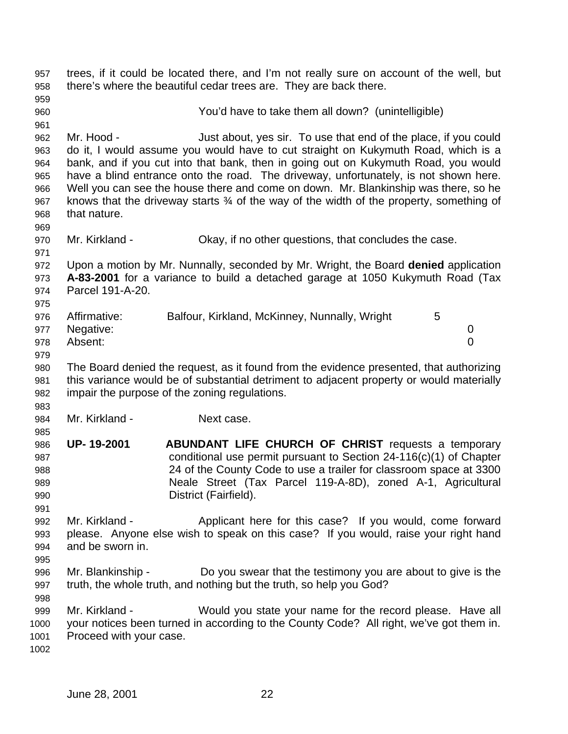trees, if it could be located there, and I'm not really sure on account of the well, but there's where the beautiful cedar trees are. They are back there. You'd have to take them all down? (unintelligible) Mr. Hood - Just about, yes sir. To use that end of the place, if you could do it, I would assume you would have to cut straight on Kukymuth Road, which is a bank, and if you cut into that bank, then in going out on Kukymuth Road, you would have a blind entrance onto the road. The driveway, unfortunately, is not shown here. Well you can see the house there and come on down. Mr. Blankinship was there, so he knows that the driveway starts ¾ of the way of the width of the property, something of that nature. Mr. Kirkland - Okay, if no other questions, that concludes the case. Upon a motion by Mr. Nunnally, seconded by Mr. Wright, the Board **denied** application **A-83-2001** for a variance to build a detached garage at 1050 Kukymuth Road (Tax Parcel 191-A-20. 976 Affirmative: Balfour, Kirkland, McKinney, Nunnally, Wright 5 Negative: 0 Absent: 0 The Board denied the request, as it found from the evidence presented, that authorizing this variance would be of substantial detriment to adjacent property or would materially impair the purpose of the zoning regulations. 984 Mr. Kirkland - Next case. **UP- 19-2001 ABUNDANT LIFE CHURCH OF CHRIST** requests a temporary conditional use permit pursuant to Section 24-116(c)(1) of Chapter 24 of the County Code to use a trailer for classroom space at 3300 Neale Street (Tax Parcel 119-A-8D), zoned A-1, Agricultural District (Fairfield). Mr. Kirkland - Applicant here for this case? If you would, come forward please. Anyone else wish to speak on this case? If you would, raise your right hand and be sworn in. Mr. Blankinship - Do you swear that the testimony you are about to give is the truth, the whole truth, and nothing but the truth, so help you God? Mr. Kirkland - Would you state your name for the record please. Have all your notices been turned in according to the County Code? All right, we've got them in. Proceed with your case.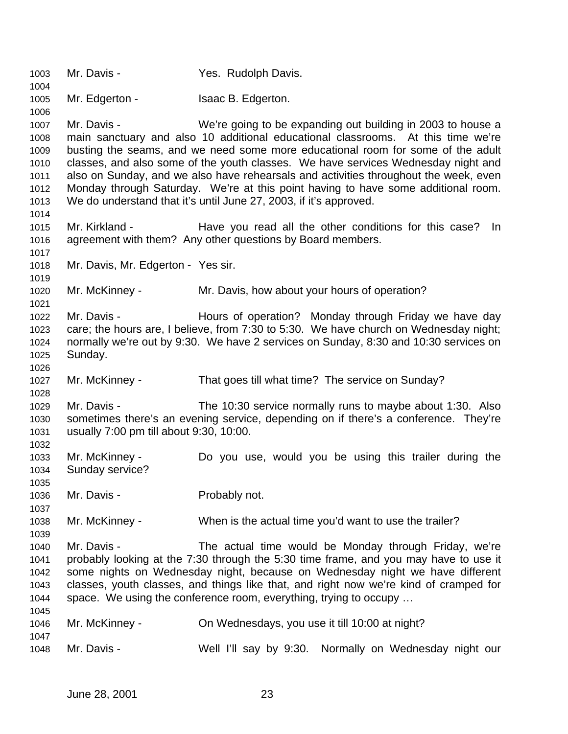Mr. Davis - Yes. Rudolph Davis. Mr. Edgerton - Isaac B. Edgerton. Mr. Davis - We're going to be expanding out building in 2003 to house a main sanctuary and also 10 additional educational classrooms. At this time we're busting the seams, and we need some more educational room for some of the adult classes, and also some of the youth classes. We have services Wednesday night and also on Sunday, and we also have rehearsals and activities throughout the week, even Monday through Saturday. We're at this point having to have some additional room. We do understand that it's until June 27, 2003, if it's approved. Mr. Kirkland - Have you read all the other conditions for this case? In agreement with them? Any other questions by Board members. Mr. Davis, Mr. Edgerton - Yes sir. Mr. McKinney - Mr. Davis, how about your hours of operation? 1022 Mr. Davis - **Hours of operation?** Monday through Friday we have day care; the hours are, I believe, from 7:30 to 5:30. We have church on Wednesday night; normally we're out by 9:30. We have 2 services on Sunday, 8:30 and 10:30 services on Sunday. Mr. McKinney - That goes till what time? The service on Sunday? Mr. Davis - The 10:30 service normally runs to maybe about 1:30. Also sometimes there's an evening service, depending on if there's a conference. They're usually 7:00 pm till about 9:30, 10:00. Mr. McKinney - Do you use, would you be using this trailer during the Sunday service? Mr. Davis - Probably not. Mr. McKinney - When is the actual time you'd want to use the trailer? Mr. Davis - The actual time would be Monday through Friday, we're probably looking at the 7:30 through the 5:30 time frame, and you may have to use it some nights on Wednesday night, because on Wednesday night we have different classes, youth classes, and things like that, and right now we're kind of cramped for space. We using the conference room, everything, trying to occupy … Mr. McKinney - On Wednesdays, you use it till 10:00 at night? Mr. Davis - Well I'll say by 9:30. Normally on Wednesday night our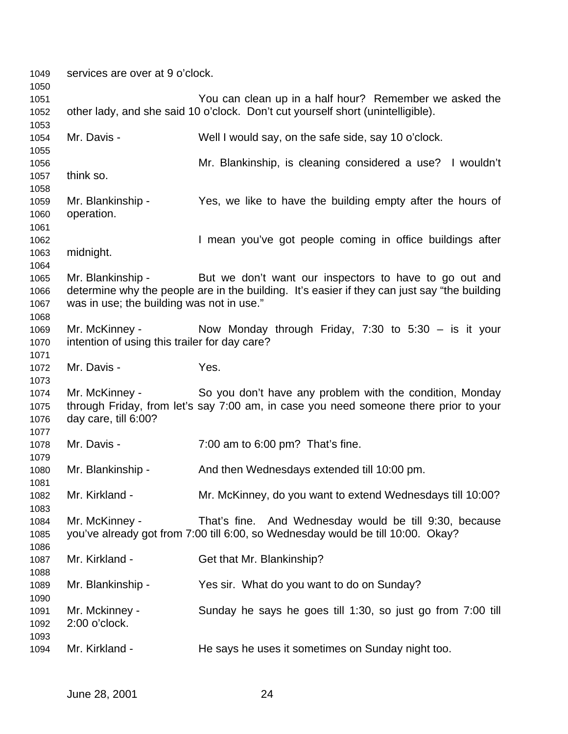| 1049<br>1050 | services are over at 9 o'clock.               |                                                                                              |
|--------------|-----------------------------------------------|----------------------------------------------------------------------------------------------|
| 1051         |                                               | You can clean up in a half hour? Remember we asked the                                       |
| 1052<br>1053 |                                               | other lady, and she said 10 o'clock. Don't cut yourself short (unintelligible).              |
| 1054         | Mr. Davis -                                   | Well I would say, on the safe side, say 10 o'clock.                                          |
| 1055<br>1056 |                                               | Mr. Blankinship, is cleaning considered a use? I wouldn't                                    |
| 1057         | think so.                                     |                                                                                              |
| 1058         |                                               |                                                                                              |
| 1059         | Mr. Blankinship -                             | Yes, we like to have the building empty after the hours of                                   |
| 1060         | operation.                                    |                                                                                              |
| 1061         |                                               |                                                                                              |
| 1062         |                                               | I mean you've got people coming in office buildings after                                    |
| 1063         | midnight.                                     |                                                                                              |
| 1064         |                                               |                                                                                              |
| 1065         | Mr. Blankinship -                             | But we don't want our inspectors to have to go out and                                       |
| 1066         |                                               | determine why the people are in the building. It's easier if they can just say "the building |
| 1067         | was in use; the building was not in use."     |                                                                                              |
| 1068         |                                               |                                                                                              |
| 1069         | Mr. McKinney -                                | Now Monday through Friday, 7:30 to $5:30 - is$ it your                                       |
| 1070         | intention of using this trailer for day care? |                                                                                              |
| 1071         |                                               |                                                                                              |
| 1072         | Mr. Davis -                                   | Yes.                                                                                         |
| 1073         |                                               |                                                                                              |
| 1074         | Mr. McKinney -                                | So you don't have any problem with the condition, Monday                                     |
| 1075         |                                               | through Friday, from let's say 7:00 am, in case you need someone there prior to your         |
| 1076         | day care, till 6:00?                          |                                                                                              |
| 1077         |                                               |                                                                                              |
| 1078         | Mr. Davis -                                   | 7:00 am to 6:00 pm? That's fine.                                                             |
| 1079         |                                               |                                                                                              |
| 1080         | Mr. Blankinship -                             | And then Wednesdays extended till 10:00 pm.                                                  |
| 1081         |                                               |                                                                                              |
| 1082         | Mr. Kirkland -                                | Mr. McKinney, do you want to extend Wednesdays till 10:00?                                   |
| 1083         |                                               |                                                                                              |
| 1084         | Mr. McKinney -                                | That's fine. And Wednesday would be till 9:30, because                                       |
| 1085         |                                               | you've already got from 7:00 till 6:00, so Wednesday would be till 10:00. Okay?              |
| 1086         |                                               |                                                                                              |
| 1087         | Mr. Kirkland -                                | Get that Mr. Blankinship?                                                                    |
| 1088         |                                               |                                                                                              |
| 1089         | Mr. Blankinship -                             | Yes sir. What do you want to do on Sunday?                                                   |
| 1090         |                                               |                                                                                              |
| 1091         | Mr. Mckinney -                                | Sunday he says he goes till 1:30, so just go from 7:00 till                                  |
| 1092         | 2:00 o'clock.                                 |                                                                                              |
| 1093         |                                               |                                                                                              |
| 1094         | Mr. Kirkland -                                | He says he uses it sometimes on Sunday night too.                                            |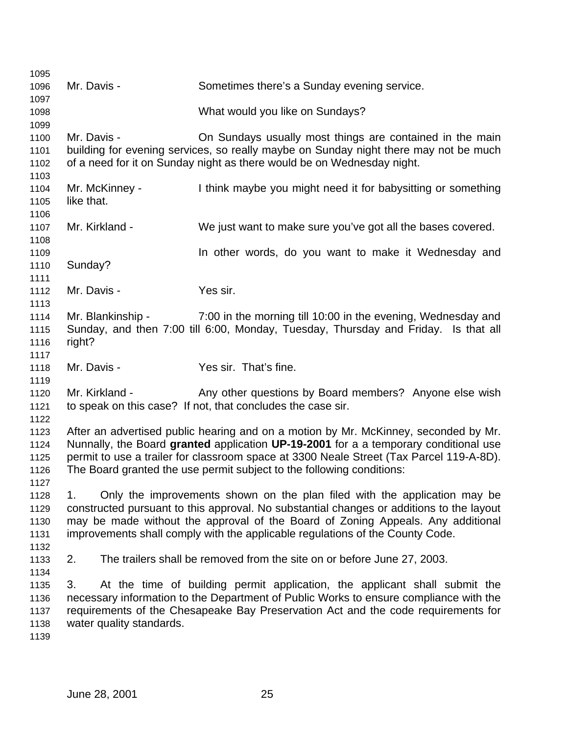Mr. Davis - Sometimes there's a Sunday evening service. What would you like on Sundays? 1100 Mr. Davis - **On Sundays usually most things are contained in the main**  building for evening services, so really maybe on Sunday night there may not be much of a need for it on Sunday night as there would be on Wednesday night. Mr. McKinney - I think maybe you might need it for babysitting or something like that. Mr. Kirkland - We just want to make sure you've got all the bases covered. **In other words, do you want to make it Wednesday and**  Sunday? 1112 Mr. Davis - Yes sir. Mr. Blankinship - 7:00 in the morning till 10:00 in the evening, Wednesday and Sunday, and then 7:00 till 6:00, Monday, Tuesday, Thursday and Friday. Is that all right? Mr. Davis - Yes sir. That's fine. 1120 Mr. Kirkland - Any other questions by Board members? Anyone else wish to speak on this case? If not, that concludes the case sir. After an advertised public hearing and on a motion by Mr. McKinney, seconded by Mr. Nunnally, the Board **granted** application **UP-19-2001** for a a temporary conditional use permit to use a trailer for classroom space at 3300 Neale Street (Tax Parcel 119-A-8D). The Board granted the use permit subject to the following conditions: 1. Only the improvements shown on the plan filed with the application may be constructed pursuant to this approval. No substantial changes or additions to the layout may be made without the approval of the Board of Zoning Appeals. Any additional improvements shall comply with the applicable regulations of the County Code. 2. The trailers shall be removed from the site on or before June 27, 2003. 3. At the time of building permit application, the applicant shall submit the necessary information to the Department of Public Works to ensure compliance with the requirements of the Chesapeake Bay Preservation Act and the code requirements for water quality standards.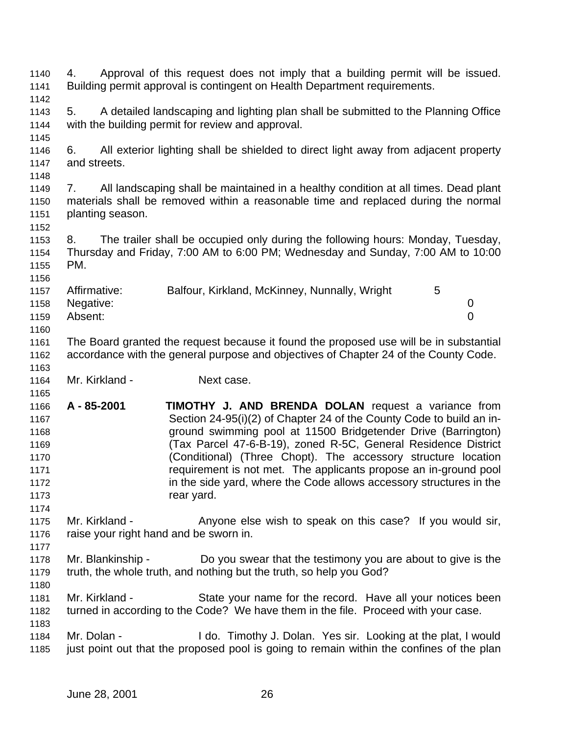4. Approval of this request does not imply that a building permit will be issued. Building permit approval is contingent on Health Department requirements. 5. A detailed landscaping and lighting plan shall be submitted to the Planning Office with the building permit for review and approval. 6. All exterior lighting shall be shielded to direct light away from adjacent property and streets. 7. All landscaping shall be maintained in a healthy condition at all times. Dead plant materials shall be removed within a reasonable time and replaced during the normal planting season. 8. The trailer shall be occupied only during the following hours: Monday, Tuesday, Thursday and Friday, 7:00 AM to 6:00 PM; Wednesday and Sunday, 7:00 AM to 10:00 PM. 1157 Affirmative: Balfour, Kirkland, McKinney, Nunnally, Wright 5 Negative: 0 Absent: 0 The Board granted the request because it found the proposed use will be in substantial accordance with the general purpose and objectives of Chapter 24 of the County Code. Mr. Kirkland - Next case. **A - 85-2001 TIMOTHY J. AND BRENDA DOLAN** request a variance from Section 24-95(i)(2) of Chapter 24 of the County Code to build an in- ground swimming pool at 11500 Bridgetender Drive (Barrington) (Tax Parcel 47-6-B-19), zoned R-5C, General Residence District (Conditional) (Three Chopt). The accessory structure location requirement is not met. The applicants propose an in-ground pool **in the side yard, where the Code allows accessory structures in the rear vard.**  1175 Mr. Kirkland - Anyone else wish to speak on this case? If you would sir, 1176 raise your right hand and be sworn in. Mr. Blankinship - Do you swear that the testimony you are about to give is the truth, the whole truth, and nothing but the truth, so help you God? Mr. Kirkland - State your name for the record. Have all your notices been turned in according to the Code? We have them in the file. Proceed with your case. Mr. Dolan - I do. Timothy J. Dolan. Yes sir. Looking at the plat, I would 1185 just point out that the proposed pool is going to remain within the confines of the plan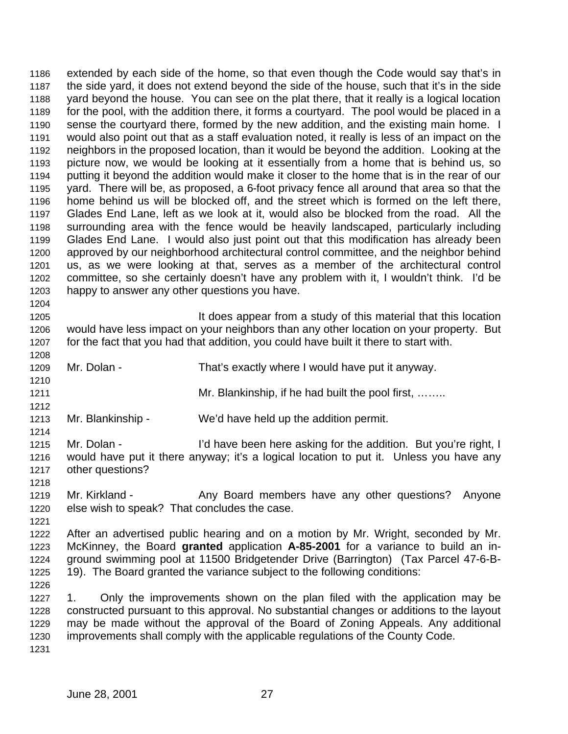extended by each side of the home, so that even though the Code would say that's in the side yard, it does not extend beyond the side of the house, such that it's in the side yard beyond the house. You can see on the plat there, that it really is a logical location for the pool, with the addition there, it forms a courtyard. The pool would be placed in a sense the courtyard there, formed by the new addition, and the existing main home. I would also point out that as a staff evaluation noted, it really is less of an impact on the neighbors in the proposed location, than it would be beyond the addition. Looking at the picture now, we would be looking at it essentially from a home that is behind us, so putting it beyond the addition would make it closer to the home that is in the rear of our yard. There will be, as proposed, a 6-foot privacy fence all around that area so that the home behind us will be blocked off, and the street which is formed on the left there, Glades End Lane, left as we look at it, would also be blocked from the road. All the surrounding area with the fence would be heavily landscaped, particularly including Glades End Lane. I would also just point out that this modification has already been approved by our neighborhood architectural control committee, and the neighbor behind us, as we were looking at that, serves as a member of the architectural control committee, so she certainly doesn't have any problem with it, I wouldn't think. I'd be happy to answer any other questions you have. 

 It does appear from a study of this material that this location would have less impact on your neighbors than any other location on your property. But for the fact that you had that addition, you could have built it there to start with.

Mr. Dolan - That's exactly where I would have put it anyway.

**Mr. Blankinship, if he had built the pool first, ……..** 

Mr. Blankinship - We'd have held up the addition permit.

1215 Mr. Dolan - I'd have been here asking for the addition. But you're right, I would have put it there anyway; it's a logical location to put it. Unless you have any other questions?

1219 Mr. Kirkland - Any Board members have any other questions? Anyone else wish to speak? That concludes the case.

 After an advertised public hearing and on a motion by Mr. Wright, seconded by Mr. McKinney, the Board **granted** application **A-85-2001** for a variance to build an in- ground swimming pool at 11500 Bridgetender Drive (Barrington) (Tax Parcel 47-6-B-19). The Board granted the variance subject to the following conditions:

 1. Only the improvements shown on the plan filed with the application may be constructed pursuant to this approval. No substantial changes or additions to the layout may be made without the approval of the Board of Zoning Appeals. Any additional improvements shall comply with the applicable regulations of the County Code.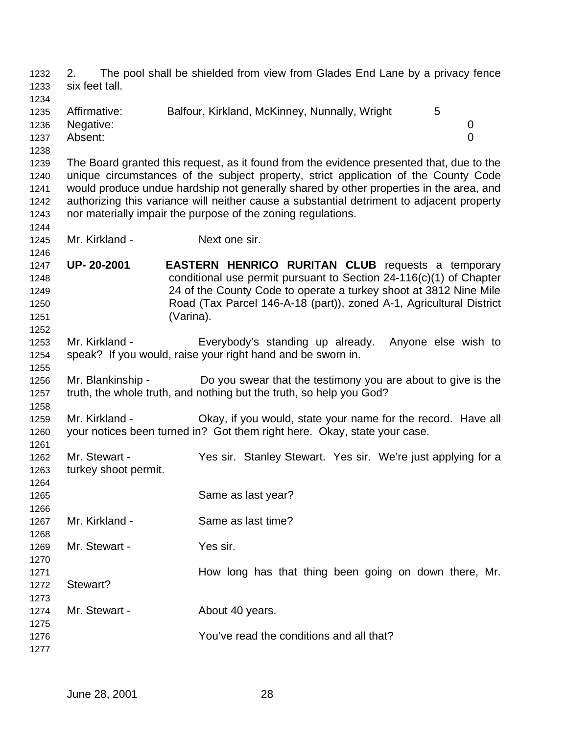2. The pool shall be shielded from view from Glades End Lane by a privacy fence six feet tall. 1235 Affirmative: Balfour, Kirkland, McKinney, Nunnally, Wright 5 Negative: 0 Absent: 0 The Board granted this request, as it found from the evidence presented that, due to the unique circumstances of the subject property, strict application of the County Code would produce undue hardship not generally shared by other properties in the area, and authorizing this variance will neither cause a substantial detriment to adjacent property nor materially impair the purpose of the zoning regulations. Mr. Kirkland - Next one sir. **UP- 20-2001 EASTERN HENRICO RURITAN CLUB** requests a temporary conditional use permit pursuant to Section 24-116(c)(1) of Chapter 24 of the County Code to operate a turkey shoot at 3812 Nine Mile Road (Tax Parcel 146-A-18 (part)), zoned A-1, Agricultural District (Varina). Mr. Kirkland - Everybody's standing up already. Anyone else wish to speak? If you would, raise your right hand and be sworn in. Mr. Blankinship - Do you swear that the testimony you are about to give is the truth, the whole truth, and nothing but the truth, so help you God? Mr. Kirkland - Okay, if you would, state your name for the record. Have all your notices been turned in? Got them right here. Okay, state your case. Mr. Stewart - Yes sir. Stanley Stewart. Yes sir. We're just applying for a turkey shoot permit. 1265 Same as last year? 1267 Mr. Kirkland - Same as last time? Mr. Stewart - Yes sir. **How long has that thing been going on down there, Mr.**  Stewart? 1274 Mr. Stewart - **About 40 years.**  You've read the conditions and all that?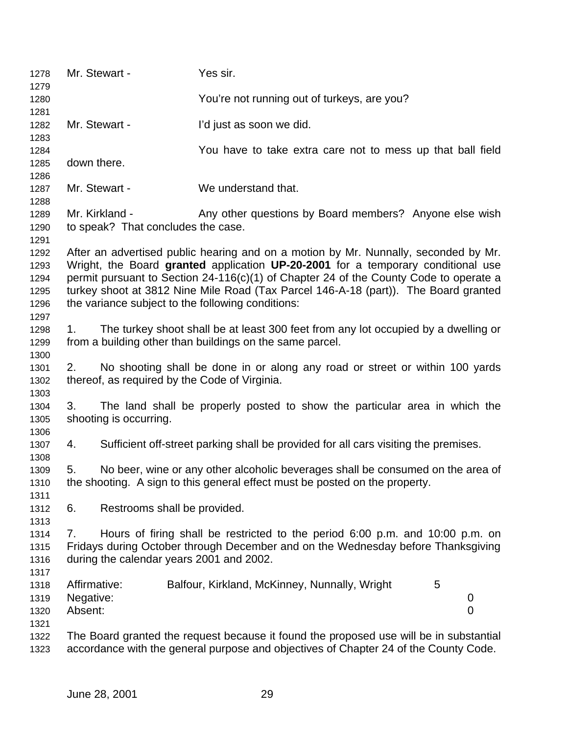| 1278         |                                                                                                                                     | Mr. Stewart -                            | Yes sir.                                                                               |   |             |  |
|--------------|-------------------------------------------------------------------------------------------------------------------------------------|------------------------------------------|----------------------------------------------------------------------------------------|---|-------------|--|
| 1279<br>1280 |                                                                                                                                     |                                          | You're not running out of turkeys, are you?                                            |   |             |  |
| 1281         |                                                                                                                                     |                                          |                                                                                        |   |             |  |
| 1282         |                                                                                                                                     | Mr. Stewart -                            | I'd just as soon we did.                                                               |   |             |  |
| 1283<br>1284 |                                                                                                                                     |                                          | You have to take extra care not to mess up that ball field                             |   |             |  |
| 1285         | down there.                                                                                                                         |                                          |                                                                                        |   |             |  |
| 1286         |                                                                                                                                     |                                          |                                                                                        |   |             |  |
| 1287         |                                                                                                                                     | Mr. Stewart -                            | We understand that.                                                                    |   |             |  |
| 1288         |                                                                                                                                     |                                          |                                                                                        |   |             |  |
| 1289         |                                                                                                                                     | Mr. Kirkland -                           | Any other questions by Board members? Anyone else wish                                 |   |             |  |
| 1290         |                                                                                                                                     | to speak? That concludes the case.       |                                                                                        |   |             |  |
| 1291<br>1292 |                                                                                                                                     |                                          | After an advertised public hearing and on a motion by Mr. Nunnally, seconded by Mr.    |   |             |  |
| 1293         |                                                                                                                                     |                                          | Wright, the Board granted application UP-20-2001 for a temporary conditional use       |   |             |  |
| 1294         |                                                                                                                                     |                                          | permit pursuant to Section 24-116(c)(1) of Chapter 24 of the County Code to operate a  |   |             |  |
| 1295         |                                                                                                                                     |                                          | turkey shoot at 3812 Nine Mile Road (Tax Parcel 146-A-18 (part)). The Board granted    |   |             |  |
| 1296         |                                                                                                                                     |                                          | the variance subject to the following conditions:                                      |   |             |  |
| 1297         |                                                                                                                                     |                                          |                                                                                        |   |             |  |
| 1298         | 1.                                                                                                                                  |                                          | The turkey shoot shall be at least 300 feet from any lot occupied by a dwelling or     |   |             |  |
| 1299         |                                                                                                                                     |                                          | from a building other than buildings on the same parcel.                               |   |             |  |
| 1300         |                                                                                                                                     |                                          |                                                                                        |   |             |  |
| 1301<br>1302 | No shooting shall be done in or along any road or street or within 100 yards<br>2.<br>thereof, as required by the Code of Virginia. |                                          |                                                                                        |   |             |  |
| 1303         |                                                                                                                                     |                                          |                                                                                        |   |             |  |
| 1304         | 3.                                                                                                                                  |                                          | The land shall be properly posted to show the particular area in which the             |   |             |  |
| 1305         | shooting is occurring.                                                                                                              |                                          |                                                                                        |   |             |  |
| 1306         |                                                                                                                                     |                                          |                                                                                        |   |             |  |
| 1307         | 4.                                                                                                                                  |                                          | Sufficient off-street parking shall be provided for all cars visiting the premises.    |   |             |  |
| 1308         |                                                                                                                                     |                                          |                                                                                        |   |             |  |
| 1309         | 5.                                                                                                                                  |                                          | No beer, wine or any other alcoholic beverages shall be consumed on the area of        |   |             |  |
| 1310<br>1311 |                                                                                                                                     |                                          | the shooting. A sign to this general effect must be posted on the property.            |   |             |  |
| 1312         | 6.                                                                                                                                  | Restrooms shall be provided.             |                                                                                        |   |             |  |
| 1313         |                                                                                                                                     |                                          |                                                                                        |   |             |  |
| 1314         | 7.                                                                                                                                  |                                          | Hours of firing shall be restricted to the period 6:00 p.m. and 10:00 p.m. on          |   |             |  |
| 1315         |                                                                                                                                     |                                          | Fridays during October through December and on the Wednesday before Thanksgiving       |   |             |  |
| 1316         |                                                                                                                                     | during the calendar years 2001 and 2002. |                                                                                        |   |             |  |
| 1317         |                                                                                                                                     |                                          |                                                                                        |   |             |  |
| 1318         | Affirmative:                                                                                                                        |                                          | Balfour, Kirkland, McKinney, Nunnally, Wright                                          | 5 |             |  |
| 1319         | Negative:                                                                                                                           |                                          |                                                                                        |   | 0           |  |
| 1320<br>1321 | Absent:                                                                                                                             |                                          |                                                                                        |   | $\mathbf 0$ |  |
| 1322         |                                                                                                                                     |                                          | The Board granted the request because it found the proposed use will be in substantial |   |             |  |
| 1323         |                                                                                                                                     |                                          | accordance with the general purpose and objectives of Chapter 24 of the County Code.   |   |             |  |
|              |                                                                                                                                     |                                          |                                                                                        |   |             |  |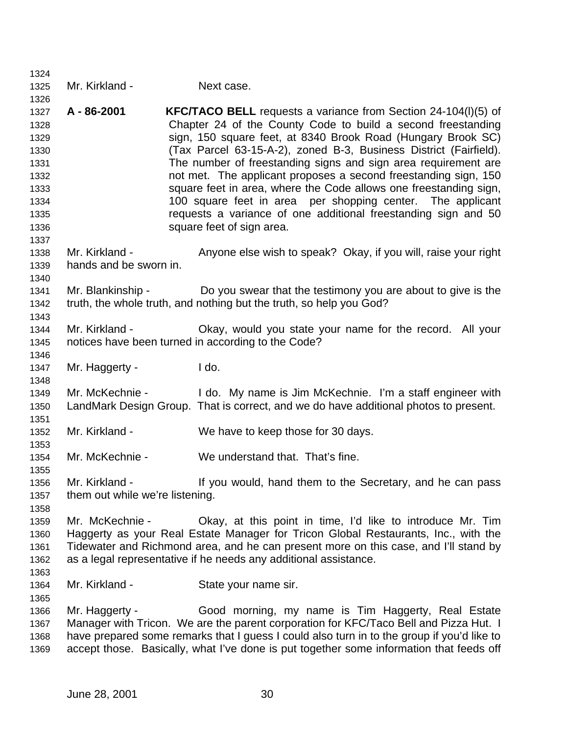| 1324                                                                                         |                                          |                                                                                                                                                                                                                                                                                                                                                                                                                                                                                                                                                                                                                                                   |
|----------------------------------------------------------------------------------------------|------------------------------------------|---------------------------------------------------------------------------------------------------------------------------------------------------------------------------------------------------------------------------------------------------------------------------------------------------------------------------------------------------------------------------------------------------------------------------------------------------------------------------------------------------------------------------------------------------------------------------------------------------------------------------------------------------|
| 1325                                                                                         | Mr. Kirkland -                           | Next case.                                                                                                                                                                                                                                                                                                                                                                                                                                                                                                                                                                                                                                        |
| 1326<br>1327<br>1328<br>1329<br>1330<br>1331<br>1332<br>1333<br>1334<br>1335<br>1336<br>1337 | A - 86-2001                              | <b>KFC/TACO BELL</b> requests a variance from Section 24-104(I)(5) of<br>Chapter 24 of the County Code to build a second freestanding<br>sign, 150 square feet, at 8340 Brook Road (Hungary Brook SC)<br>(Tax Parcel 63-15-A-2), zoned B-3, Business District (Fairfield).<br>The number of freestanding signs and sign area requirement are<br>not met. The applicant proposes a second freestanding sign, 150<br>square feet in area, where the Code allows one freestanding sign,<br>100 square feet in area per shopping center. The applicant<br>requests a variance of one additional freestanding sign and 50<br>square feet of sign area. |
| 1338<br>1339<br>1340                                                                         | Mr. Kirkland -<br>hands and be sworn in. | Anyone else wish to speak? Okay, if you will, raise your right                                                                                                                                                                                                                                                                                                                                                                                                                                                                                                                                                                                    |
| 1341<br>1342<br>1343                                                                         | Mr. Blankinship -                        | Do you swear that the testimony you are about to give is the<br>truth, the whole truth, and nothing but the truth, so help you God?                                                                                                                                                                                                                                                                                                                                                                                                                                                                                                               |
| 1344                                                                                         | Mr. Kirkland -                           | Okay, would you state your name for the record. All your                                                                                                                                                                                                                                                                                                                                                                                                                                                                                                                                                                                          |
| 1345                                                                                         |                                          | notices have been turned in according to the Code?                                                                                                                                                                                                                                                                                                                                                                                                                                                                                                                                                                                                |
| 1346<br>1347                                                                                 | Mr. Haggerty -                           | I do.                                                                                                                                                                                                                                                                                                                                                                                                                                                                                                                                                                                                                                             |
| 1348                                                                                         |                                          |                                                                                                                                                                                                                                                                                                                                                                                                                                                                                                                                                                                                                                                   |
| 1349<br>1350<br>1351                                                                         | Mr. McKechnie -                          | I do. My name is Jim McKechnie. I'm a staff engineer with<br>LandMark Design Group. That is correct, and we do have additional photos to present.                                                                                                                                                                                                                                                                                                                                                                                                                                                                                                 |
| 1352                                                                                         | Mr. Kirkland -                           | We have to keep those for 30 days.                                                                                                                                                                                                                                                                                                                                                                                                                                                                                                                                                                                                                |
| 1353<br>1354<br>1355                                                                         | Mr. McKechnie -                          | We understand that. That's fine.                                                                                                                                                                                                                                                                                                                                                                                                                                                                                                                                                                                                                  |
| 1356<br>1357<br>1358                                                                         | them out while we're listening.          | Mr. Kirkland - If you would, hand them to the Secretary, and he can pass                                                                                                                                                                                                                                                                                                                                                                                                                                                                                                                                                                          |
| 1359<br>1360<br>1361<br>1362                                                                 | Mr. McKechnie -                          | Okay, at this point in time, I'd like to introduce Mr. Tim<br>Haggerty as your Real Estate Manager for Tricon Global Restaurants, Inc., with the<br>Tidewater and Richmond area, and he can present more on this case, and I'll stand by<br>as a legal representative if he needs any additional assistance.                                                                                                                                                                                                                                                                                                                                      |
| 1363<br>1364                                                                                 | Mr. Kirkland -                           | State your name sir.                                                                                                                                                                                                                                                                                                                                                                                                                                                                                                                                                                                                                              |
| 1365<br>1366<br>1367<br>1368<br>1369                                                         | Mr. Haggerty -                           | Good morning, my name is Tim Haggerty, Real Estate<br>Manager with Tricon. We are the parent corporation for KFC/Taco Bell and Pizza Hut. I<br>have prepared some remarks that I guess I could also turn in to the group if you'd like to<br>accept those. Basically, what I've done is put together some information that feeds off                                                                                                                                                                                                                                                                                                              |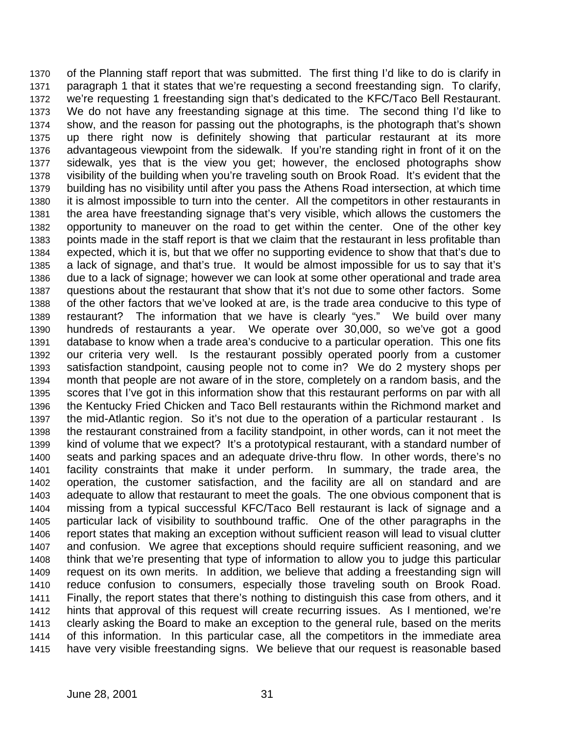of the Planning staff report that was submitted. The first thing I'd like to do is clarify in paragraph 1 that it states that we're requesting a second freestanding sign. To clarify, we're requesting 1 freestanding sign that's dedicated to the KFC/Taco Bell Restaurant. We do not have any freestanding signage at this time. The second thing I'd like to show, and the reason for passing out the photographs, is the photograph that's shown up there right now is definitely showing that particular restaurant at its more advantageous viewpoint from the sidewalk. If you're standing right in front of it on the sidewalk, yes that is the view you get; however, the enclosed photographs show visibility of the building when you're traveling south on Brook Road. It's evident that the building has no visibility until after you pass the Athens Road intersection, at which time it is almost impossible to turn into the center. All the competitors in other restaurants in the area have freestanding signage that's very visible, which allows the customers the opportunity to maneuver on the road to get within the center. One of the other key points made in the staff report is that we claim that the restaurant in less profitable than expected, which it is, but that we offer no supporting evidence to show that that's due to a lack of signage, and that's true. It would be almost impossible for us to say that it's due to a lack of signage; however we can look at some other operational and trade area questions about the restaurant that show that it's not due to some other factors. Some of the other factors that we've looked at are, is the trade area conducive to this type of restaurant? The information that we have is clearly "yes." We build over many hundreds of restaurants a year. We operate over 30,000, so we've got a good database to know when a trade area's conducive to a particular operation. This one fits our criteria very well. Is the restaurant possibly operated poorly from a customer satisfaction standpoint, causing people not to come in? We do 2 mystery shops per month that people are not aware of in the store, completely on a random basis, and the scores that I've got in this information show that this restaurant performs on par with all the Kentucky Fried Chicken and Taco Bell restaurants within the Richmond market and the mid-Atlantic region. So it's not due to the operation of a particular restaurant . Is the restaurant constrained from a facility standpoint, in other words, can it not meet the kind of volume that we expect? It's a prototypical restaurant, with a standard number of seats and parking spaces and an adequate drive-thru flow. In other words, there's no facility constraints that make it under perform. In summary, the trade area, the operation, the customer satisfaction, and the facility are all on standard and are adequate to allow that restaurant to meet the goals. The one obvious component that is missing from a typical successful KFC/Taco Bell restaurant is lack of signage and a particular lack of visibility to southbound traffic. One of the other paragraphs in the report states that making an exception without sufficient reason will lead to visual clutter and confusion. We agree that exceptions should require sufficient reasoning, and we think that we're presenting that type of information to allow you to judge this particular request on its own merits. In addition, we believe that adding a freestanding sign will reduce confusion to consumers, especially those traveling south on Brook Road. Finally, the report states that there's nothing to distinguish this case from others, and it hints that approval of this request will create recurring issues. As I mentioned, we're clearly asking the Board to make an exception to the general rule, based on the merits of this information. In this particular case, all the competitors in the immediate area have very visible freestanding signs. We believe that our request is reasonable based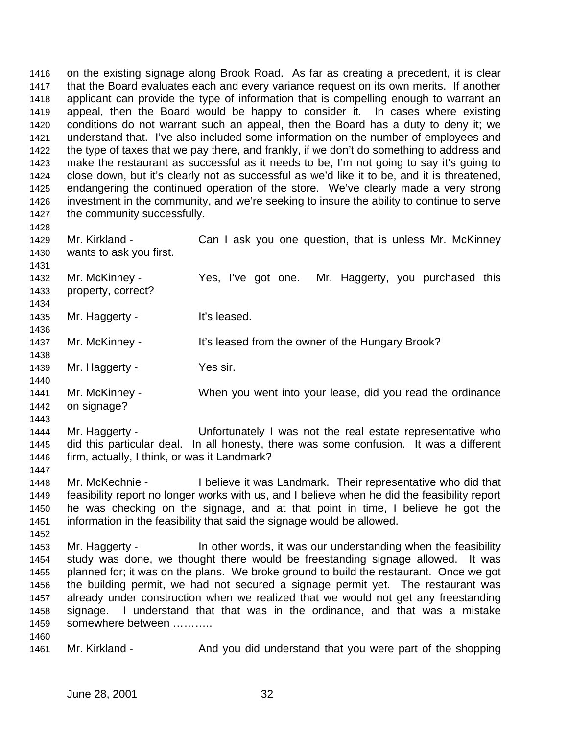on the existing signage along Brook Road. As far as creating a precedent, it is clear that the Board evaluates each and every variance request on its own merits. If another applicant can provide the type of information that is compelling enough to warrant an appeal, then the Board would be happy to consider it. In cases where existing conditions do not warrant such an appeal, then the Board has a duty to deny it; we understand that. I've also included some information on the number of employees and the type of taxes that we pay there, and frankly, if we don't do something to address and make the restaurant as successful as it needs to be, I'm not going to say it's going to close down, but it's clearly not as successful as we'd like it to be, and it is threatened, endangering the continued operation of the store. We've clearly made a very strong investment in the community, and we're seeking to insure the ability to continue to serve 1427 the community successfully.

 1429 Mr. Kirkland - Can I ask you one question, that is unless Mr. McKinney wants to ask you first. Mr. McKinney - Yes, I've got one. Mr. Haggerty, you purchased this property, correct? 1435 Mr. Haggerty - It's leased. 1437 Mr. McKinney - It's leased from the owner of the Hungary Brook? 1439 Mr. Haggerty - Yes sir. Mr. McKinney - When you went into your lease, did you read the ordinance on signage? Mr. Haggerty - Unfortunately I was not the real estate representative who did this particular deal. In all honesty, there was some confusion. It was a different firm, actually, I think, or was it Landmark? Mr. McKechnie - I believe it was Landmark. Their representative who did that feasibility report no longer works with us, and I believe when he did the feasibility report he was checking on the signage, and at that point in time, I believe he got the information in the feasibility that said the signage would be allowed.

- 1453 Mr. Haggerty - In other words, it was our understanding when the feasibility study was done, we thought there would be freestanding signage allowed. It was planned for; it was on the plans. We broke ground to build the restaurant. Once we got the building permit, we had not secured a signage permit yet. The restaurant was already under construction when we realized that we would not get any freestanding signage. I understand that that was in the ordinance, and that was a mistake somewhere between ………..
- 1461 Mr. Kirkland And you did understand that you were part of the shopping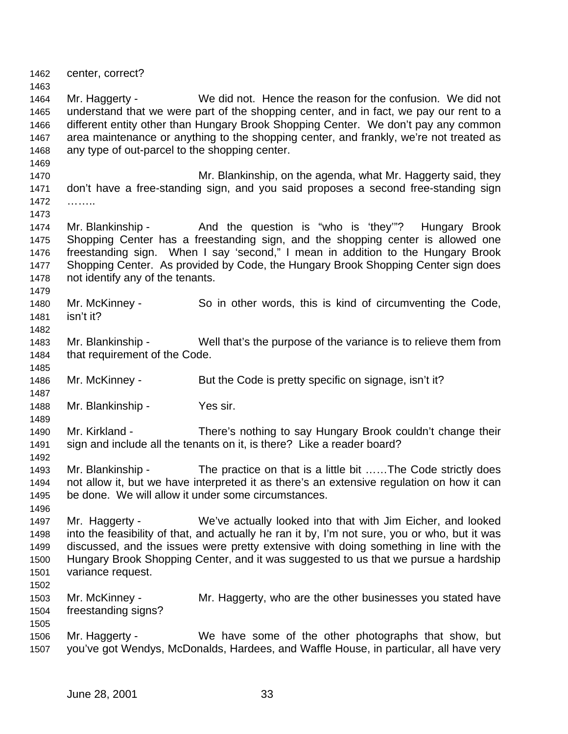center, correct? Mr. Haggerty - We did not. Hence the reason for the confusion. We did not understand that we were part of the shopping center, and in fact, we pay our rent to a different entity other than Hungary Brook Shopping Center. We don't pay any common area maintenance or anything to the shopping center, and frankly, we're not treated as any type of out-parcel to the shopping center. **Mr. Blankinship, on the agenda, what Mr. Haggerty said, they**  don't have a free-standing sign, and you said proposes a second free-standing sign …….. 1474 Mr. Blankinship - And the question is "who is 'they'"? Hungary Brook Shopping Center has a freestanding sign, and the shopping center is allowed one freestanding sign. When I say 'second," I mean in addition to the Hungary Brook Shopping Center. As provided by Code, the Hungary Brook Shopping Center sign does not identify any of the tenants. Mr. McKinney - So in other words, this is kind of circumventing the Code, isn't it? Mr. Blankinship - Well that's the purpose of the variance is to relieve them from that requirement of the Code. 1486 Mr. McKinney - But the Code is pretty specific on signage, isn't it? Mr. Blankinship - Yes sir. Mr. Kirkland - There's nothing to say Hungary Brook couldn't change their sign and include all the tenants on it, is there? Like a reader board? Mr. Blankinship - The practice on that is a little bit ……The Code strictly does not allow it, but we have interpreted it as there's an extensive regulation on how it can be done. We will allow it under some circumstances. Mr. Haggerty - We've actually looked into that with Jim Eicher, and looked into the feasibility of that, and actually he ran it by, I'm not sure, you or who, but it was discussed, and the issues were pretty extensive with doing something in line with the Hungary Brook Shopping Center, and it was suggested to us that we pursue a hardship variance request. Mr. McKinney - Mr. Haggerty, who are the other businesses you stated have freestanding signs? Mr. Haggerty - We have some of the other photographs that show, but you've got Wendys, McDonalds, Hardees, and Waffle House, in particular, all have very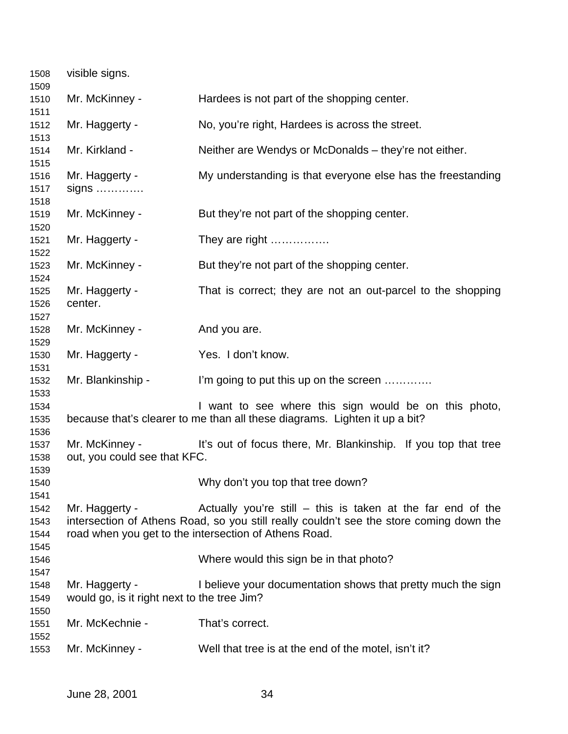| 1508<br>1509 | visible signs.                              |                                                                                         |
|--------------|---------------------------------------------|-----------------------------------------------------------------------------------------|
| 1510         | Mr. McKinney -                              | Hardees is not part of the shopping center.                                             |
| 1511<br>1512 | Mr. Haggerty -                              | No, you're right, Hardees is across the street.                                         |
| 1513         |                                             |                                                                                         |
| 1514<br>1515 | Mr. Kirkland -                              | Neither are Wendys or McDonalds – they're not either.                                   |
| 1516         | Mr. Haggerty -                              | My understanding is that everyone else has the freestanding                             |
| 1517         | $signs$                                     |                                                                                         |
| 1518         |                                             |                                                                                         |
| 1519<br>1520 | Mr. McKinney -                              | But they're not part of the shopping center.                                            |
| 1521         | Mr. Haggerty -                              | They are right                                                                          |
| 1522<br>1523 | Mr. McKinney -                              | But they're not part of the shopping center.                                            |
| 1524         |                                             |                                                                                         |
| 1525         | Mr. Haggerty -                              | That is correct; they are not an out-parcel to the shopping                             |
| 1526<br>1527 | center.                                     |                                                                                         |
| 1528         | Mr. McKinney -                              | And you are.                                                                            |
| 1529         |                                             |                                                                                         |
| 1530<br>1531 | Mr. Haggerty -                              | Yes. I don't know.                                                                      |
| 1532         | Mr. Blankinship -                           | I'm going to put this up on the screen                                                  |
| 1533         |                                             |                                                                                         |
| 1534         |                                             | I want to see where this sign would be on this photo,                                   |
| 1535         |                                             | because that's clearer to me than all these diagrams. Lighten it up a bit?              |
| 1536<br>1537 | Mr. McKinney -                              | It's out of focus there, Mr. Blankinship. If you top that tree                          |
| 1538         | out, you could see that KFC.                |                                                                                         |
| 1539         |                                             |                                                                                         |
| 1540         |                                             | Why don't you top that tree down?                                                       |
| 1541         |                                             |                                                                                         |
| 1542         | Mr. Haggerty -                              | Actually you're still $-$ this is taken at the far end of the                           |
| 1543         |                                             | intersection of Athens Road, so you still really couldn't see the store coming down the |
| 1544         |                                             | road when you get to the intersection of Athens Road.                                   |
| 1545         |                                             |                                                                                         |
| 1546         |                                             | Where would this sign be in that photo?                                                 |
| 1547<br>1548 | Mr. Haggerty -                              | I believe your documentation shows that pretty much the sign                            |
| 1549         | would go, is it right next to the tree Jim? |                                                                                         |
| 1550         |                                             |                                                                                         |
| 1551         | Mr. McKechnie -                             | That's correct.                                                                         |
| 1552<br>1553 | Mr. McKinney -                              | Well that tree is at the end of the motel, isn't it?                                    |
|              |                                             |                                                                                         |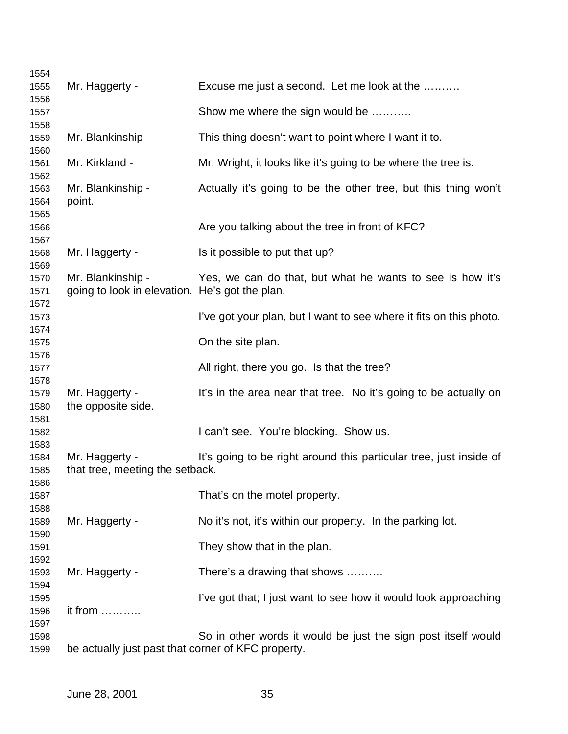| 1554         |                                                                     |                                                                    |
|--------------|---------------------------------------------------------------------|--------------------------------------------------------------------|
| 1555         | Mr. Haggerty -                                                      | Excuse me just a second. Let me look at the                        |
| 1556         |                                                                     |                                                                    |
| 1557         |                                                                     | Show me where the sign would be                                    |
| 1558         |                                                                     |                                                                    |
| 1559         | Mr. Blankinship -                                                   | This thing doesn't want to point where I want it to.               |
| 1560         |                                                                     |                                                                    |
| 1561         | Mr. Kirkland -                                                      | Mr. Wright, it looks like it's going to be where the tree is.      |
| 1562         |                                                                     |                                                                    |
| 1563         | Mr. Blankinship -                                                   | Actually it's going to be the other tree, but this thing won't     |
| 1564         | point.                                                              |                                                                    |
| 1565         |                                                                     |                                                                    |
| 1566         |                                                                     | Are you talking about the tree in front of KFC?                    |
| 1567         |                                                                     |                                                                    |
| 1568         | Mr. Haggerty -                                                      | Is it possible to put that up?                                     |
| 1569         |                                                                     |                                                                    |
| 1570         | Mr. Blankinship -<br>going to look in elevation. He's got the plan. | Yes, we can do that, but what he wants to see is how it's          |
| 1571<br>1572 |                                                                     |                                                                    |
| 1573         |                                                                     | I've got your plan, but I want to see where it fits on this photo. |
| 1574         |                                                                     |                                                                    |
| 1575         |                                                                     | On the site plan.                                                  |
| 1576         |                                                                     |                                                                    |
| 1577         |                                                                     | All right, there you go. Is that the tree?                         |
| 1578         |                                                                     |                                                                    |
| 1579         | Mr. Haggerty -                                                      | It's in the area near that tree. No it's going to be actually on   |
| 1580         | the opposite side.                                                  |                                                                    |
| 1581         |                                                                     |                                                                    |
| 1582         |                                                                     | I can't see. You're blocking. Show us.                             |
| 1583         |                                                                     |                                                                    |
| 1584         | Mr. Haggerty -                                                      | It's going to be right around this particular tree, just inside of |
| 1585         | that tree, meeting the setback.                                     |                                                                    |
| 1586         |                                                                     |                                                                    |
| 1587         |                                                                     | That's on the motel property.                                      |
| 1588         |                                                                     |                                                                    |
| 1589         | Mr. Haggerty -                                                      | No it's not, it's within our property. In the parking lot.         |
| 1590         |                                                                     |                                                                    |
| 1591         |                                                                     | They show that in the plan.                                        |
| 1592         |                                                                     |                                                                    |
| 1593         | Mr. Haggerty -                                                      | There's a drawing that shows                                       |
| 1594         |                                                                     |                                                                    |
| 1595         |                                                                     | I've got that; I just want to see how it would look approaching    |
| 1596         | it from                                                             |                                                                    |
| 1597<br>1598 |                                                                     | So in other words it would be just the sign post itself would      |
| 1599         | be actually just past that corner of KFC property.                  |                                                                    |
|              |                                                                     |                                                                    |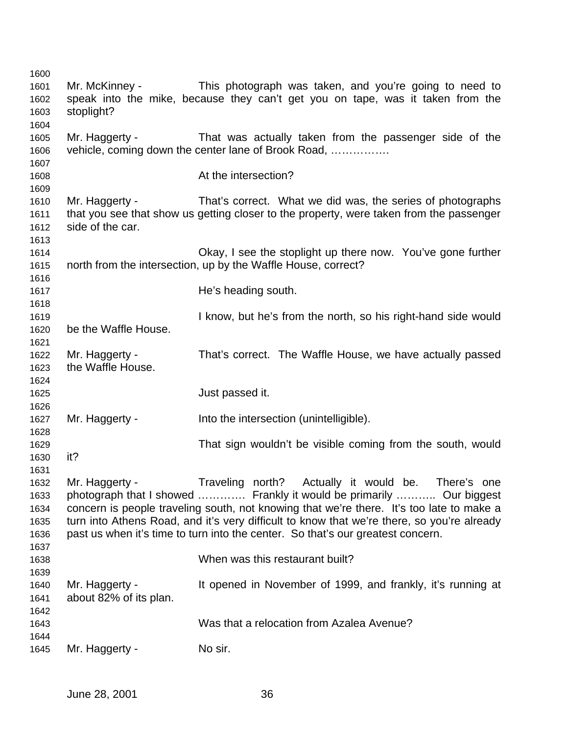Mr. McKinney - This photograph was taken, and you're going to need to speak into the mike, because they can't get you on tape, was it taken from the stoplight? Mr. Haggerty - That was actually taken from the passenger side of the vehicle, coming down the center lane of Brook Road, ……………. **At the intersection?**  Mr. Haggerty - That's correct. What we did was, the series of photographs that you see that show us getting closer to the property, were taken from the passenger side of the car. Okay, I see the stoplight up there now. You've gone further north from the intersection, up by the Waffle House, correct? **He's heading south.**  I know, but he's from the north, so his right-hand side would be the Waffle House. Mr. Haggerty - That's correct. The Waffle House, we have actually passed the Waffle House. Just passed it. Mr. Haggerty - Into the intersection (unintelligible). That sign wouldn't be visible coming from the south, would it? Mr. Haggerty - Traveling north? Actually it would be. There's one photograph that I showed …………. Frankly it would be primarily ……….. Our biggest concern is people traveling south, not knowing that we're there. It's too late to make a turn into Athens Road, and it's very difficult to know that we're there, so you're already past us when it's time to turn into the center. So that's our greatest concern. When was this restaurant built? Mr. Haggerty - It opened in November of 1999, and frankly, it's running at about 82% of its plan. Was that a relocation from Azalea Avenue? 1645 Mr. Haggerty - No sir.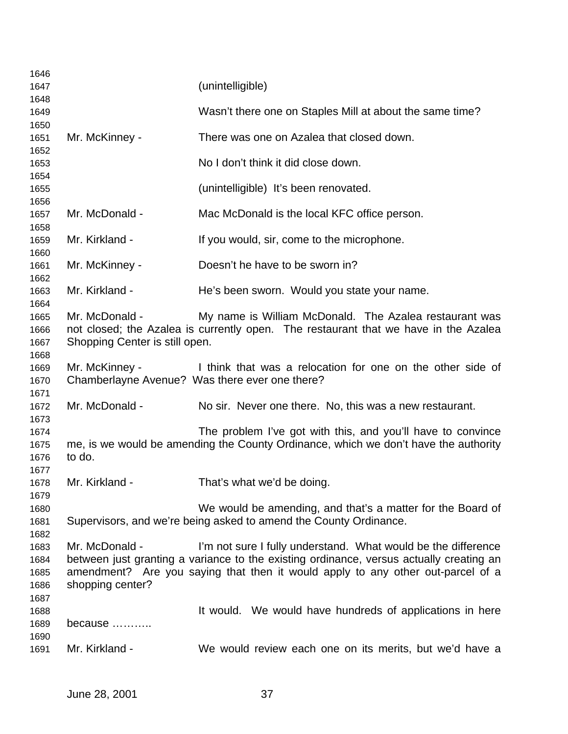| 1646                         |                                                  |                                                                                                                                                                                                                                             |
|------------------------------|--------------------------------------------------|---------------------------------------------------------------------------------------------------------------------------------------------------------------------------------------------------------------------------------------------|
| 1647                         |                                                  | (unintelligible)                                                                                                                                                                                                                            |
| 1648                         |                                                  |                                                                                                                                                                                                                                             |
| 1649                         |                                                  | Wasn't there one on Staples Mill at about the same time?                                                                                                                                                                                    |
| 1650<br>1651                 | Mr. McKinney -                                   | There was one on Azalea that closed down.                                                                                                                                                                                                   |
| 1652<br>1653                 |                                                  | No I don't think it did close down.                                                                                                                                                                                                         |
| 1654<br>1655                 |                                                  | (unintelligible) It's been renovated.                                                                                                                                                                                                       |
| 1656<br>1657<br>1658         | Mr. McDonald -                                   | Mac McDonald is the local KFC office person.                                                                                                                                                                                                |
| 1659<br>1660                 | Mr. Kirkland -                                   | If you would, sir, come to the microphone.                                                                                                                                                                                                  |
| 1661<br>1662                 | Mr. McKinney -                                   | Doesn't he have to be sworn in?                                                                                                                                                                                                             |
| 1663<br>1664                 | Mr. Kirkland -                                   | He's been sworn. Would you state your name.                                                                                                                                                                                                 |
| 1665<br>1666<br>1667<br>1668 | Mr. McDonald -<br>Shopping Center is still open. | My name is William McDonald. The Azalea restaurant was<br>not closed; the Azalea is currently open. The restaurant that we have in the Azalea                                                                                               |
| 1669<br>1670                 | Mr. McKinney -                                   | I think that was a relocation for one on the other side of<br>Chamberlayne Avenue? Was there ever one there?                                                                                                                                |
| 1671<br>1672<br>1673         | Mr. McDonald -                                   | No sir. Never one there. No, this was a new restaurant.                                                                                                                                                                                     |
| 1674                         |                                                  | The problem I've got with this, and you'll have to convince                                                                                                                                                                                 |
| 1675<br>1676<br>1677         | to do.                                           | me, is we would be amending the County Ordinance, which we don't have the authority                                                                                                                                                         |
| 1678<br>1679                 | Mr. Kirkland -                                   | That's what we'd be doing.                                                                                                                                                                                                                  |
| 1680<br>1681<br>1682         |                                                  | We would be amending, and that's a matter for the Board of<br>Supervisors, and we're being asked to amend the County Ordinance.                                                                                                             |
| 1683<br>1684<br>1685<br>1686 | Mr. McDonald -<br>shopping center?               | I'm not sure I fully understand. What would be the difference<br>between just granting a variance to the existing ordinance, versus actually creating an<br>amendment? Are you saying that then it would apply to any other out-parcel of a |
| 1687<br>1688<br>1689         | because                                          | It would. We would have hundreds of applications in here                                                                                                                                                                                    |
| 1690<br>1691                 | Mr. Kirkland -                                   | We would review each one on its merits, but we'd have a                                                                                                                                                                                     |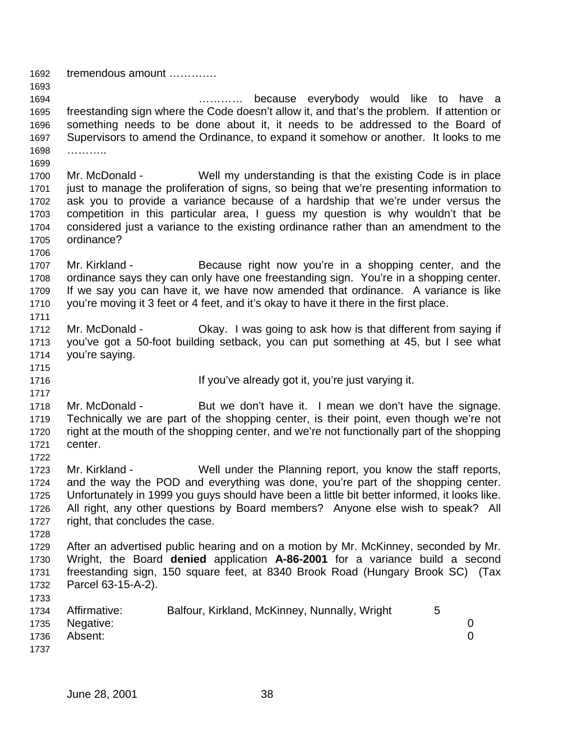tremendous amount ………….

 ………… because everybody would like to have a freestanding sign where the Code doesn't allow it, and that's the problem. If attention or something needs to be done about it, it needs to be addressed to the Board of Supervisors to amend the Ordinance, to expand it somehow or another. It looks to me ………..

 Mr. McDonald - Well my understanding is that the existing Code is in place just to manage the proliferation of signs, so being that we're presenting information to ask you to provide a variance because of a hardship that we're under versus the competition in this particular area, I guess my question is why wouldn't that be considered just a variance to the existing ordinance rather than an amendment to the ordinance?

- 1707 Mr. Kirkland Because right now you're in a shopping center, and the ordinance says they can only have one freestanding sign. You're in a shopping center. If we say you can have it, we have now amended that ordinance. A variance is like you're moving it 3 feet or 4 feet, and it's okay to have it there in the first place.
- Mr. McDonald Okay. I was going to ask how is that different from saying if you've got a 50-foot building setback, you can put something at 45, but I see what you're saying.
- 

**If you've already got it, you're just varying it.** 

1718 Mr. McDonald - But we don't have it. I mean we don't have the signage. Technically we are part of the shopping center, is their point, even though we're not right at the mouth of the shopping center, and we're not functionally part of the shopping center.

- Mr. Kirkland Well under the Planning report, you know the staff reports, and the way the POD and everything was done, you're part of the shopping center. Unfortunately in 1999 you guys should have been a little bit better informed, it looks like. All right, any other questions by Board members? Anyone else wish to speak? All right, that concludes the case.
- 

 After an advertised public hearing and on a motion by Mr. McKinney, seconded by Mr. Wright, the Board **denied** application **A-86-2001** for a variance build a second freestanding sign, 150 square feet, at 8340 Brook Road (Hungary Brook SC) (Tax Parcel 63-15-A-2).

|      | 1734 Affirmative: | Balfour, Kirkland, McKinney, Nunnally, Wright | 5 |          |
|------|-------------------|-----------------------------------------------|---|----------|
|      | 1735 Negative:    |                                               |   |          |
| 1736 | Absent:           |                                               |   | $\Omega$ |
| 1737 |                   |                                               |   |          |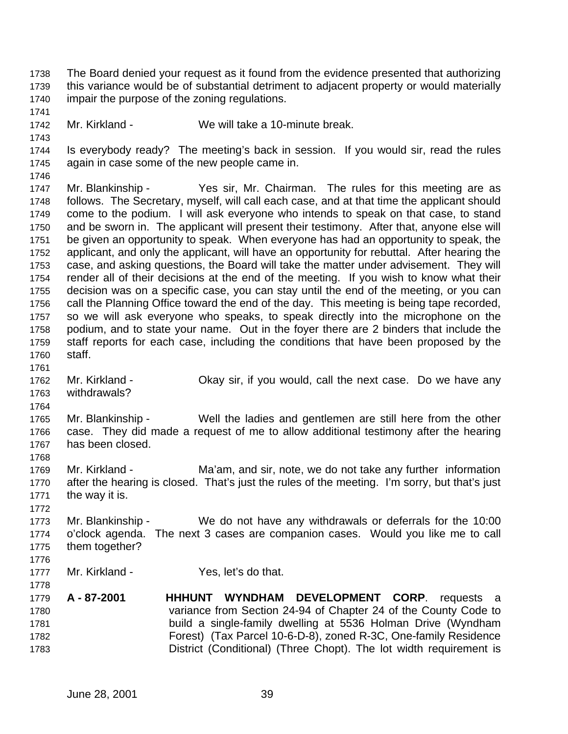The Board denied your request as it found from the evidence presented that authorizing this variance would be of substantial detriment to adjacent property or would materially impair the purpose of the zoning regulations. Mr. Kirkland - We will take a 10-minute break. Is everybody ready? The meeting's back in session. If you would sir, read the rules again in case some of the new people came in. Mr. Blankinship - Yes sir, Mr. Chairman. The rules for this meeting are as follows. The Secretary, myself, will call each case, and at that time the applicant should come to the podium. I will ask everyone who intends to speak on that case, to stand and be sworn in. The applicant will present their testimony. After that, anyone else will be given an opportunity to speak. When everyone has had an opportunity to speak, the applicant, and only the applicant, will have an opportunity for rebuttal. After hearing the case, and asking questions, the Board will take the matter under advisement. They will render all of their decisions at the end of the meeting. If you wish to know what their decision was on a specific case, you can stay until the end of the meeting, or you can call the Planning Office toward the end of the day. This meeting is being tape recorded, so we will ask everyone who speaks, to speak directly into the microphone on the podium, and to state your name. Out in the foyer there are 2 binders that include the staff reports for each case, including the conditions that have been proposed by the staff. Mr. Kirkland - Okay sir, if you would, call the next case. Do we have any withdrawals? Mr. Blankinship - Well the ladies and gentlemen are still here from the other case. They did made a request of me to allow additional testimony after the hearing has been closed. Mr. Kirkland - Ma'am, and sir, note, we do not take any further information after the hearing is closed. That's just the rules of the meeting. I'm sorry, but that's just the way it is. Mr. Blankinship - We do not have any withdrawals or deferrals for the 10:00 o'clock agenda. The next 3 cases are companion cases. Would you like me to call them together? Mr. Kirkland - Yes, let's do that. **A - 87-2001 HHHUNT WYNDHAM DEVELOPMENT CORP**. requests a variance from Section 24-94 of Chapter 24 of the County Code to build a single-family dwelling at 5536 Holman Drive (Wyndham Forest) (Tax Parcel 10-6-D-8), zoned R-3C, One-family Residence District (Conditional) (Three Chopt). The lot width requirement is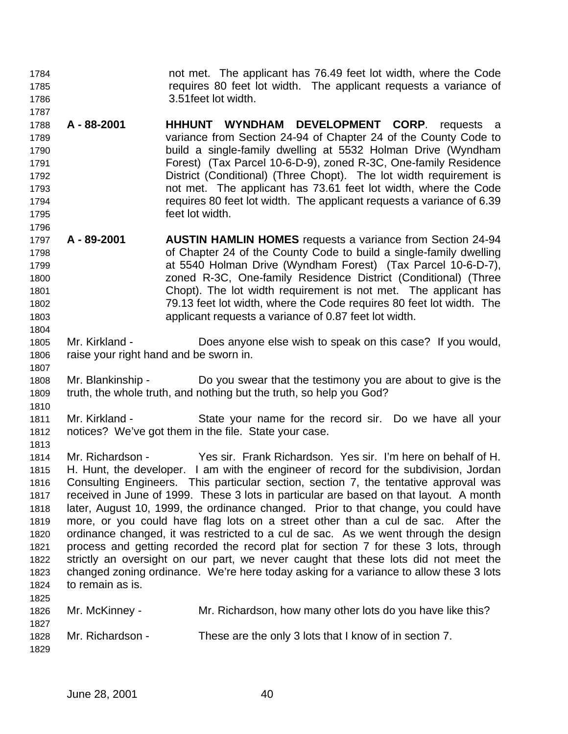not met. The applicant has 76.49 feet lot width, where the Code requires 80 feet lot width. The applicant requests a variance of 3.51feet lot width. 

 **A - 88-2001 HHHUNT WYNDHAM DEVELOPMENT CORP**. requests a variance from Section 24-94 of Chapter 24 of the County Code to build a single-family dwelling at 5532 Holman Drive (Wyndham Forest) (Tax Parcel 10-6-D-9), zoned R-3C, One-family Residence District (Conditional) (Three Chopt). The lot width requirement is not met. The applicant has 73.61 feet lot width, where the Code requires 80 feet lot width. The applicant requests a variance of 6.39 feet lot width.

- **A 89-2001 AUSTIN HAMLIN HOMES** requests a variance from Section 24-94 of Chapter 24 of the County Code to build a single-family dwelling at 5540 Holman Drive (Wyndham Forest) (Tax Parcel 10-6-D-7), zoned R-3C, One-family Residence District (Conditional) (Three Chopt). The lot width requirement is not met. The applicant has 79.13 feet lot width, where the Code requires 80 feet lot width. The applicant requests a variance of 0.87 feet lot width.
- Mr. Kirkland Does anyone else wish to speak on this case? If you would, raise your right hand and be sworn in.
- Mr. Blankinship Do you swear that the testimony you are about to give is the truth, the whole truth, and nothing but the truth, so help you God?
- 

 Mr. Kirkland - State your name for the record sir. Do we have all your notices? We've got them in the file. State your case. 

 Mr. Richardson - Yes sir. Frank Richardson. Yes sir. I'm here on behalf of H. H. Hunt, the developer. I am with the engineer of record for the subdivision, Jordan Consulting Engineers. This particular section, section 7, the tentative approval was received in June of 1999. These 3 lots in particular are based on that layout. A month later, August 10, 1999, the ordinance changed. Prior to that change, you could have more, or you could have flag lots on a street other than a cul de sac. After the ordinance changed, it was restricted to a cul de sac. As we went through the design process and getting recorded the record plat for section 7 for these 3 lots, through strictly an oversight on our part, we never caught that these lots did not meet the changed zoning ordinance. We're here today asking for a variance to allow these 3 lots to remain as is. 

| .<br>1826<br>1827 | Mr. McKinney -   | Mr. Richardson, how many other lots do you have like this? |
|-------------------|------------------|------------------------------------------------------------|
| 1828<br>1829      | Mr. Richardson - | These are the only 3 lots that I know of in section 7.     |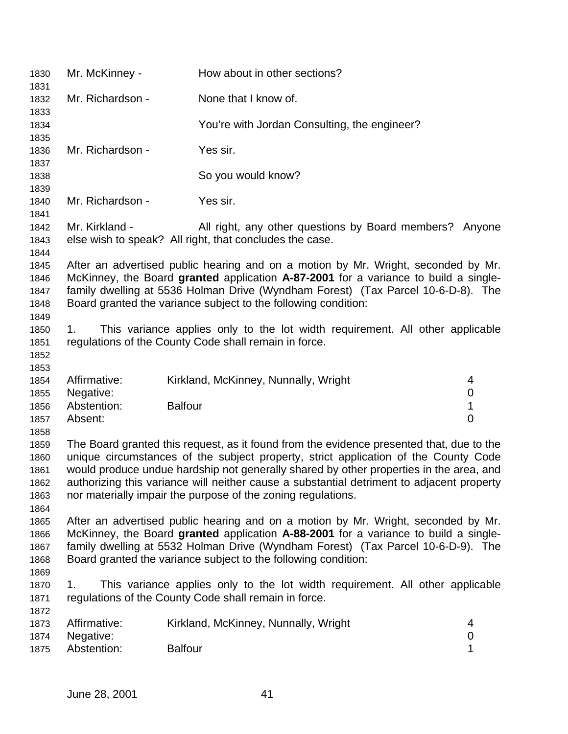| 1830<br>1831                                 | Mr. McKinney -                                                                                                                                                                                                                                                                                                                                                                                                                         | How about in other sections?                                                                                                                                                                                                                                                                                                   |                                         |
|----------------------------------------------|----------------------------------------------------------------------------------------------------------------------------------------------------------------------------------------------------------------------------------------------------------------------------------------------------------------------------------------------------------------------------------------------------------------------------------------|--------------------------------------------------------------------------------------------------------------------------------------------------------------------------------------------------------------------------------------------------------------------------------------------------------------------------------|-----------------------------------------|
| 1832                                         | Mr. Richardson -                                                                                                                                                                                                                                                                                                                                                                                                                       | None that I know of.                                                                                                                                                                                                                                                                                                           |                                         |
| 1833<br>1834                                 |                                                                                                                                                                                                                                                                                                                                                                                                                                        | You're with Jordan Consulting, the engineer?                                                                                                                                                                                                                                                                                   |                                         |
| 1835<br>1836                                 | Mr. Richardson -                                                                                                                                                                                                                                                                                                                                                                                                                       | Yes sir.                                                                                                                                                                                                                                                                                                                       |                                         |
| 1837<br>1838                                 |                                                                                                                                                                                                                                                                                                                                                                                                                                        | So you would know?                                                                                                                                                                                                                                                                                                             |                                         |
| 1839<br>1840                                 | Mr. Richardson -                                                                                                                                                                                                                                                                                                                                                                                                                       | Yes sir.                                                                                                                                                                                                                                                                                                                       |                                         |
| 1841<br>1842<br>1843                         | Mr. Kirkland -                                                                                                                                                                                                                                                                                                                                                                                                                         | All right, any other questions by Board members? Anyone<br>else wish to speak? All right, that concludes the case.                                                                                                                                                                                                             |                                         |
| 1844<br>1845<br>1846<br>1847<br>1848         |                                                                                                                                                                                                                                                                                                                                                                                                                                        | After an advertised public hearing and on a motion by Mr. Wright, seconded by Mr.<br>McKinney, the Board granted application A-87-2001 for a variance to build a single-<br>family dwelling at 5536 Holman Drive (Wyndham Forest) (Tax Parcel 10-6-D-8). The<br>Board granted the variance subject to the following condition: |                                         |
| 1849<br>1850<br>1851<br>1852<br>1853         | 1.                                                                                                                                                                                                                                                                                                                                                                                                                                     | This variance applies only to the lot width requirement. All other applicable<br>regulations of the County Code shall remain in force.                                                                                                                                                                                         |                                         |
| 1854                                         | Affirmative:                                                                                                                                                                                                                                                                                                                                                                                                                           | Kirkland, McKinney, Nunnally, Wright                                                                                                                                                                                                                                                                                           | 4                                       |
| 1855<br>1856<br>1857<br>1858                 | Negative:<br>Abstention:<br>Absent:                                                                                                                                                                                                                                                                                                                                                                                                    | <b>Balfour</b>                                                                                                                                                                                                                                                                                                                 | $\boldsymbol{0}$<br>1<br>$\overline{0}$ |
| 1859<br>1860<br>1861<br>1862<br>1863<br>1864 | The Board granted this request, as it found from the evidence presented that, due to the<br>unique circumstances of the subject property, strict application of the County Code<br>would produce undue hardship not generally shared by other properties in the area, and<br>authorizing this variance will neither cause a substantial detriment to adjacent property<br>nor materially impair the purpose of the zoning regulations. |                                                                                                                                                                                                                                                                                                                                |                                         |
| 1865<br>1866<br>1867<br>1868<br>1869         | After an advertised public hearing and on a motion by Mr. Wright, seconded by Mr.<br>McKinney, the Board granted application A-88-2001 for a variance to build a single-<br>family dwelling at 5532 Holman Drive (Wyndham Forest) (Tax Parcel 10-6-D-9). The<br>Board granted the variance subject to the following condition:                                                                                                         |                                                                                                                                                                                                                                                                                                                                |                                         |
| 1870<br>1871                                 | 1.                                                                                                                                                                                                                                                                                                                                                                                                                                     | This variance applies only to the lot width requirement. All other applicable<br>regulations of the County Code shall remain in force.                                                                                                                                                                                         |                                         |
| 1872<br>1873                                 | Affirmative:                                                                                                                                                                                                                                                                                                                                                                                                                           | Kirkland, McKinney, Nunnally, Wright                                                                                                                                                                                                                                                                                           | 4                                       |
| 1874<br>1875                                 | Negative:<br>Abstention:                                                                                                                                                                                                                                                                                                                                                                                                               | <b>Balfour</b>                                                                                                                                                                                                                                                                                                                 | $\boldsymbol{0}$<br>1                   |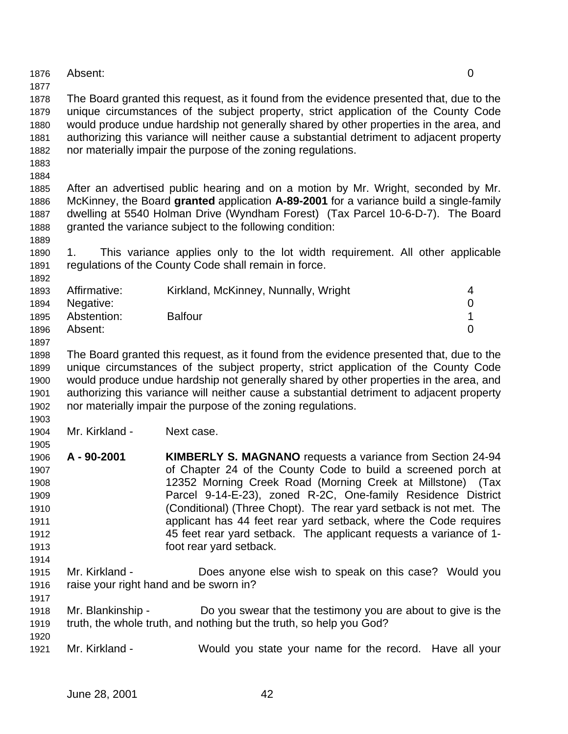Absent: 0

 The Board granted this request, as it found from the evidence presented that, due to the unique circumstances of the subject property, strict application of the County Code would produce undue hardship not generally shared by other properties in the area, and authorizing this variance will neither cause a substantial detriment to adjacent property nor materially impair the purpose of the zoning regulations.

 

 After an advertised public hearing and on a motion by Mr. Wright, seconded by Mr. McKinney, the Board **granted** application **A-89-2001** for a variance build a single-family dwelling at 5540 Holman Drive (Wyndham Forest) (Tax Parcel 10-6-D-7). The Board granted the variance subject to the following condition:

 1. This variance applies only to the lot width requirement. All other applicable regulations of the County Code shall remain in force.

| 1893 | Affirmative:     | Kirkland, McKinney, Nunnally, Wright | 4        |
|------|------------------|--------------------------------------|----------|
|      | 1894 Negative:   |                                      |          |
|      | 1895 Abstention: | <b>Balfour</b>                       |          |
| 1896 | Absent:          |                                      | $\Omega$ |

 The Board granted this request, as it found from the evidence presented that, due to the unique circumstances of the subject property, strict application of the County Code would produce undue hardship not generally shared by other properties in the area, and authorizing this variance will neither cause a substantial detriment to adjacent property nor materially impair the purpose of the zoning regulations.

Mr. Kirkland - Next case.

- **A 90-2001 KIMBERLY S. MAGNANO** requests a variance from Section 24-94 of Chapter 24 of the County Code to build a screened porch at 12352 Morning Creek Road (Morning Creek at Millstone) (Tax Parcel 9-14-E-23), zoned R-2C, One-family Residence District (Conditional) (Three Chopt). The rear yard setback is not met. The applicant has 44 feet rear yard setback, where the Code requires 45 feet rear yard setback. The applicant requests a variance of 1- foot rear yard setback.
- Mr. Kirkland Does anyone else wish to speak on this case? Would you raise your right hand and be sworn in?
- Mr. Blankinship Do you swear that the testimony you are about to give is the truth, the whole truth, and nothing but the truth, so help you God?
- Mr. Kirkland Would you state your name for the record. Have all your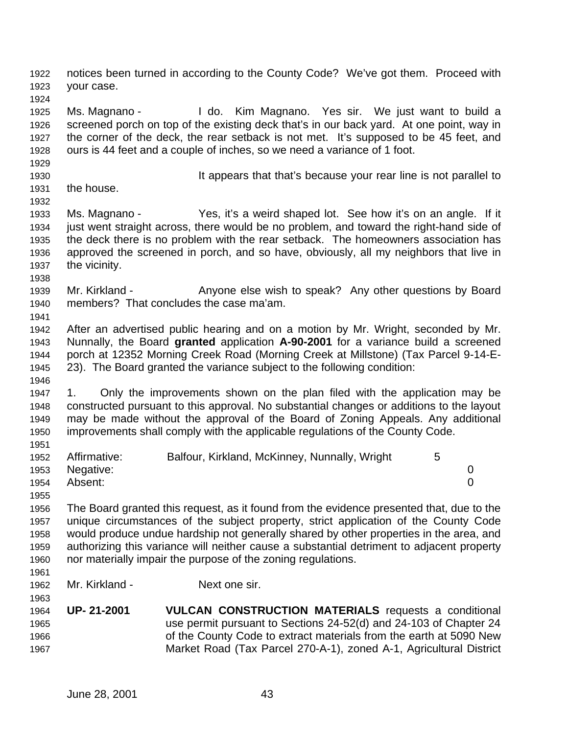notices been turned in according to the County Code? We've got them. Proceed with your case.

 Ms. Magnano - I do. Kim Magnano. Yes sir. We just want to build a screened porch on top of the existing deck that's in our back yard. At one point, way in the corner of the deck, the rear setback is not met. It's supposed to be 45 feet, and ours is 44 feet and a couple of inches, so we need a variance of 1 foot.

It appears that that's because your rear line is not parallel to

 the house. 

 Ms. Magnano - Yes, it's a weird shaped lot. See how it's on an angle. If it just went straight across, there would be no problem, and toward the right-hand side of the deck there is no problem with the rear setback. The homeowners association has approved the screened in porch, and so have, obviously, all my neighbors that live in the vicinity.

1939 Mr. Kirkland - Anyone else wish to speak? Any other questions by Board members? That concludes the case ma'am.

 After an advertised public hearing and on a motion by Mr. Wright, seconded by Mr. Nunnally, the Board **granted** application **A-90-2001** for a variance build a screened porch at 12352 Morning Creek Road (Morning Creek at Millstone) (Tax Parcel 9-14-E-23). The Board granted the variance subject to the following condition:

 1. Only the improvements shown on the plan filed with the application may be constructed pursuant to this approval. No substantial changes or additions to the layout may be made without the approval of the Board of Zoning Appeals. Any additional improvements shall comply with the applicable regulations of the County Code. 

| 1952 | Affirmative:   | Balfour, Kirkland, McKinney, Nunnally, Wright |  |
|------|----------------|-----------------------------------------------|--|
|      | 1953 Negative: |                                               |  |
|      | 1954 Absent:   |                                               |  |

 The Board granted this request, as it found from the evidence presented that, due to the unique circumstances of the subject property, strict application of the County Code would produce undue hardship not generally shared by other properties in the area, and authorizing this variance will neither cause a substantial detriment to adjacent property nor materially impair the purpose of the zoning regulations. 

Mr. Kirkland - Next one sir.

 **UP- 21-2001 VULCAN CONSTRUCTION MATERIALS** requests a conditional use permit pursuant to Sections 24-52(d) and 24-103 of Chapter 24 of the County Code to extract materials from the earth at 5090 New Market Road (Tax Parcel 270-A-1), zoned A-1, Agricultural District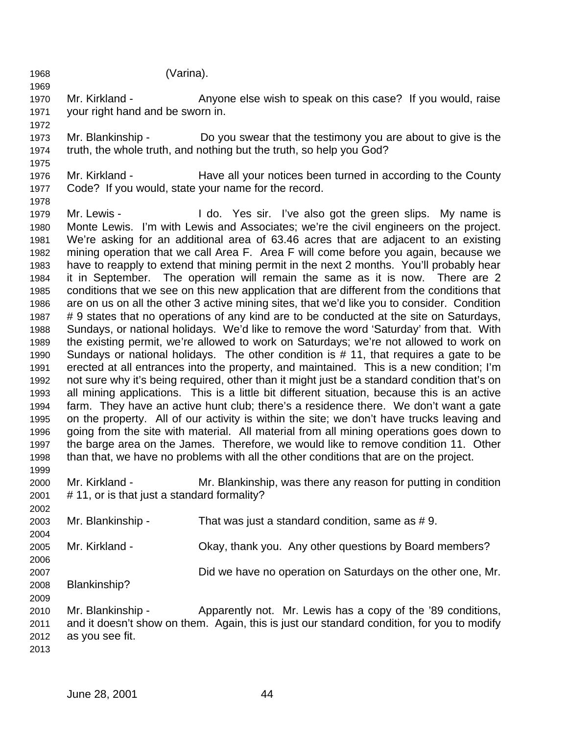(Varina).

 Mr. Kirkland - Anyone else wish to speak on this case? If you would, raise your right hand and be sworn in. 

- Mr. Blankinship Do you swear that the testimony you are about to give is the truth, the whole truth, and nothing but the truth, so help you God?
- Mr. Kirkland Have all your notices been turned in according to the County Code? If you would, state your name for the record.
- 1979 Mr. Lewis - I do. Yes sir. I've also got the green slips. My name is Monte Lewis. I'm with Lewis and Associates; we're the civil engineers on the project. We're asking for an additional area of 63.46 acres that are adjacent to an existing mining operation that we call Area F. Area F will come before you again, because we have to reapply to extend that mining permit in the next 2 months. You'll probably hear it in September. The operation will remain the same as it is now. There are 2 conditions that we see on this new application that are different from the conditions that are on us on all the other 3 active mining sites, that we'd like you to consider. Condition # 9 states that no operations of any kind are to be conducted at the site on Saturdays, Sundays, or national holidays. We'd like to remove the word 'Saturday' from that. With the existing permit, we're allowed to work on Saturdays; we're not allowed to work on Sundays or national holidays. The other condition is # 11, that requires a gate to be erected at all entrances into the property, and maintained. This is a new condition; I'm not sure why it's being required, other than it might just be a standard condition that's on all mining applications. This is a little bit different situation, because this is an active farm. They have an active hunt club; there's a residence there. We don't want a gate on the property. All of our activity is within the site; we don't have trucks leaving and going from the site with material. All material from all mining operations goes down to the barge area on the James. Therefore, we would like to remove condition 11. Other than that, we have no problems with all the other conditions that are on the project.
- Mr. Kirkland Mr. Blankinship, was there any reason for putting in condition # 11, or is that just a standard formality?

 Mr. Blankinship - That was just a standard condition, same as # 9. Mr. Kirkland - Okay, thank you. Any other questions by Board members? Did we have no operation on Saturdays on the other one, Mr. Blankinship? Mr. Blankinship - Apparently not. Mr. Lewis has a copy of the '89 conditions, and it doesn't show on them. Again, this is just our standard condition, for you to modify

as you see fit.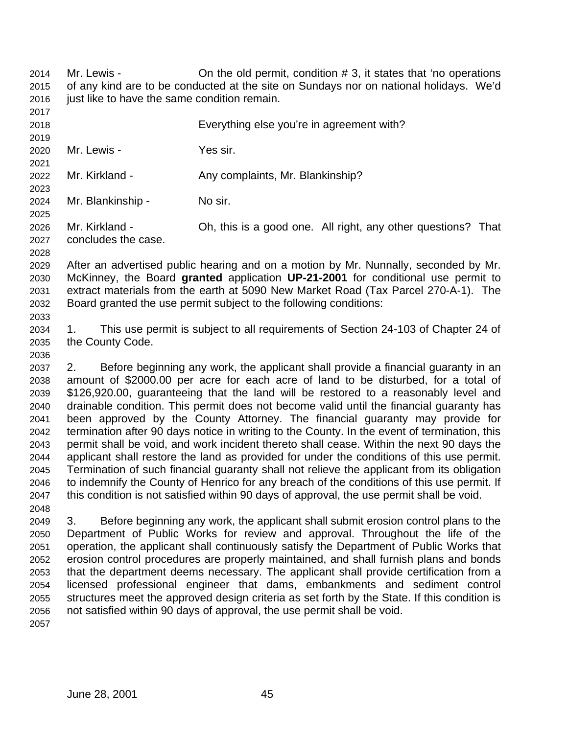Mr. Lewis - On the old permit, condition # 3, it states that 'no operations of any kind are to be conducted at the site on Sundays nor on national holidays. We'd 2016 just like to have the same condition remain.

 Everything else you're in agreement with? Mr. Lewis - Yes sir. 2022 Mr. Kirkland - Any complaints, Mr. Blankinship? Mr. Blankinship - No sir. Mr. Kirkland - Oh, this is a good one. All right, any other questions? That concludes the case.

 After an advertised public hearing and on a motion by Mr. Nunnally, seconded by Mr. McKinney, the Board **granted** application **UP-21-2001** for conditional use permit to extract materials from the earth at 5090 New Market Road (Tax Parcel 270-A-1). The Board granted the use permit subject to the following conditions: 

 1. This use permit is subject to all requirements of Section 24-103 of Chapter 24 of the County Code.

 2. Before beginning any work, the applicant shall provide a financial guaranty in an amount of \$2000.00 per acre for each acre of land to be disturbed, for a total of \$126,920.00, guaranteeing that the land will be restored to a reasonably level and drainable condition. This permit does not become valid until the financial guaranty has been approved by the County Attorney. The financial guaranty may provide for termination after 90 days notice in writing to the County. In the event of termination, this permit shall be void, and work incident thereto shall cease. Within the next 90 days the applicant shall restore the land as provided for under the conditions of this use permit. Termination of such financial guaranty shall not relieve the applicant from its obligation to indemnify the County of Henrico for any breach of the conditions of this use permit. If this condition is not satisfied within 90 days of approval, the use permit shall be void. 

 3. Before beginning any work, the applicant shall submit erosion control plans to the Department of Public Works for review and approval. Throughout the life of the operation, the applicant shall continuously satisfy the Department of Public Works that erosion control procedures are properly maintained, and shall furnish plans and bonds that the department deems necessary. The applicant shall provide certification from a licensed professional engineer that dams, embankments and sediment control structures meet the approved design criteria as set forth by the State. If this condition is not satisfied within 90 days of approval, the use permit shall be void.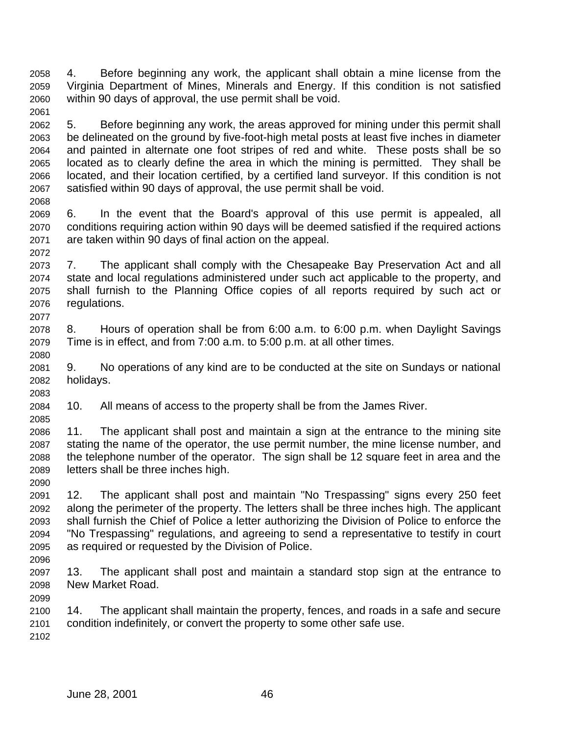4. Before beginning any work, the applicant shall obtain a mine license from the Virginia Department of Mines, Minerals and Energy. If this condition is not satisfied within 90 days of approval, the use permit shall be void. 

 5. Before beginning any work, the areas approved for mining under this permit shall be delineated on the ground by five-foot-high metal posts at least five inches in diameter and painted in alternate one foot stripes of red and white. These posts shall be so located as to clearly define the area in which the mining is permitted. They shall be located, and their location certified, by a certified land surveyor. If this condition is not satisfied within 90 days of approval, the use permit shall be void.

 6. In the event that the Board's approval of this use permit is appealed, all conditions requiring action within 90 days will be deemed satisfied if the required actions are taken within 90 days of final action on the appeal.

 7. The applicant shall comply with the Chesapeake Bay Preservation Act and all state and local regulations administered under such act applicable to the property, and shall furnish to the Planning Office copies of all reports required by such act or regulations. 

 8. Hours of operation shall be from 6:00 a.m. to 6:00 p.m. when Daylight Savings Time is in effect, and from 7:00 a.m. to 5:00 p.m. at all other times.

 9. No operations of any kind are to be conducted at the site on Sundays or national holidays.

10. All means of access to the property shall be from the James River.

 11. The applicant shall post and maintain a sign at the entrance to the mining site stating the name of the operator, the use permit number, the mine license number, and the telephone number of the operator. The sign shall be 12 square feet in area and the letters shall be three inches high.

 12. The applicant shall post and maintain "No Trespassing" signs every 250 feet along the perimeter of the property. The letters shall be three inches high. The applicant shall furnish the Chief of Police a letter authorizing the Division of Police to enforce the "No Trespassing" regulations, and agreeing to send a representative to testify in court as required or requested by the Division of Police.

 13. The applicant shall post and maintain a standard stop sign at the entrance to New Market Road. 

 14. The applicant shall maintain the property, fences, and roads in a safe and secure condition indefinitely, or convert the property to some other safe use.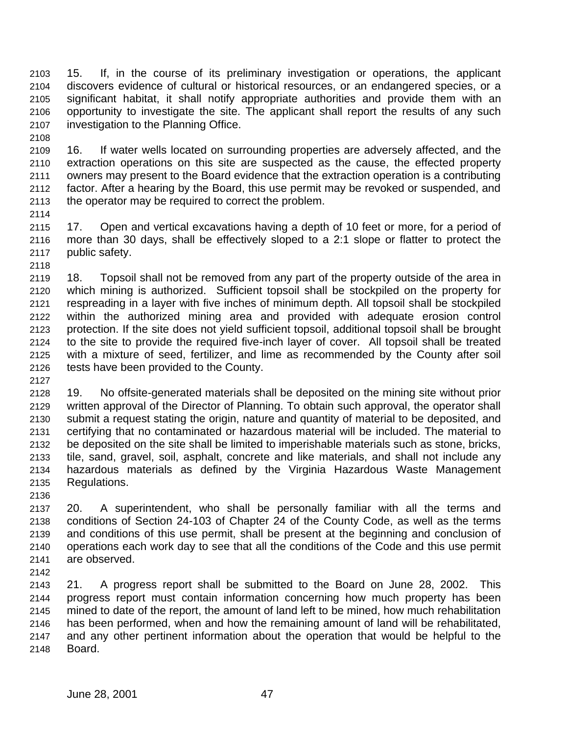15. If, in the course of its preliminary investigation or operations, the applicant discovers evidence of cultural or historical resources, or an endangered species, or a significant habitat, it shall notify appropriate authorities and provide them with an opportunity to investigate the site. The applicant shall report the results of any such investigation to the Planning Office.

 16. If water wells located on surrounding properties are adversely affected, and the extraction operations on this site are suspected as the cause, the effected property owners may present to the Board evidence that the extraction operation is a contributing factor. After a hearing by the Board, this use permit may be revoked or suspended, and the operator may be required to correct the problem.

 17. Open and vertical excavations having a depth of 10 feet or more, for a period of more than 30 days, shall be effectively sloped to a 2:1 slope or flatter to protect the public safety. 

 18. Topsoil shall not be removed from any part of the property outside of the area in which mining is authorized. Sufficient topsoil shall be stockpiled on the property for respreading in a layer with five inches of minimum depth. All topsoil shall be stockpiled within the authorized mining area and provided with adequate erosion control protection. If the site does not yield sufficient topsoil, additional topsoil shall be brought to the site to provide the required five-inch layer of cover. All topsoil shall be treated with a mixture of seed, fertilizer, and lime as recommended by the County after soil tests have been provided to the County.

 19. No offsite-generated materials shall be deposited on the mining site without prior written approval of the Director of Planning. To obtain such approval, the operator shall submit a request stating the origin, nature and quantity of material to be deposited, and certifying that no contaminated or hazardous material will be included. The material to be deposited on the site shall be limited to imperishable materials such as stone, bricks, tile, sand, gravel, soil, asphalt, concrete and like materials, and shall not include any hazardous materials as defined by the Virginia Hazardous Waste Management Regulations.

 20. A superintendent, who shall be personally familiar with all the terms and conditions of Section 24-103 of Chapter 24 of the County Code, as well as the terms and conditions of this use permit, shall be present at the beginning and conclusion of operations each work day to see that all the conditions of the Code and this use permit are observed.

 21. A progress report shall be submitted to the Board on June 28, 2002. This progress report must contain information concerning how much property has been mined to date of the report, the amount of land left to be mined, how much rehabilitation has been performed, when and how the remaining amount of land will be rehabilitated, and any other pertinent information about the operation that would be helpful to the Board.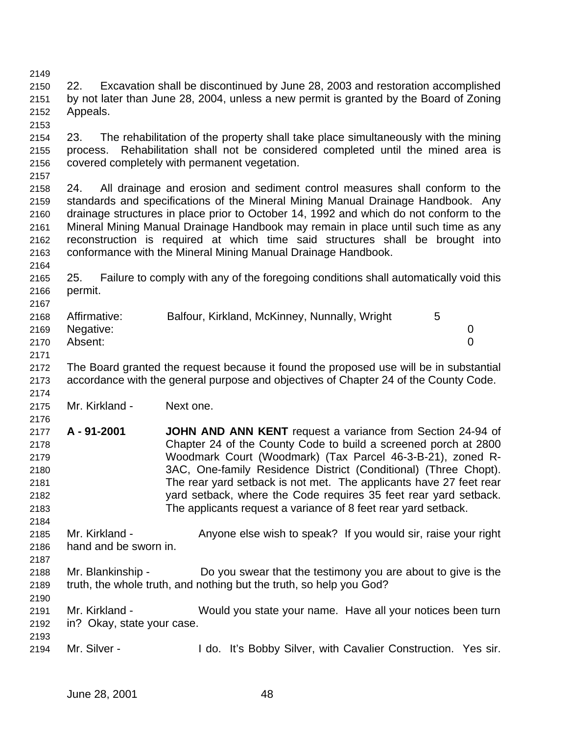22. Excavation shall be discontinued by June 28, 2003 and restoration accomplished by not later than June 28, 2004, unless a new permit is granted by the Board of Zoning Appeals. 23. The rehabilitation of the property shall take place simultaneously with the mining process. Rehabilitation shall not be considered completed until the mined area is covered completely with permanent vegetation. 24. All drainage and erosion and sediment control measures shall conform to the standards and specifications of the Mineral Mining Manual Drainage Handbook. Any drainage structures in place prior to October 14, 1992 and which do not conform to the Mineral Mining Manual Drainage Handbook may remain in place until such time as any reconstruction is required at which time said structures shall be brought into conformance with the Mineral Mining Manual Drainage Handbook. 25. Failure to comply with any of the foregoing conditions shall automatically void this permit. Affirmative: Balfour, Kirkland, McKinney, Nunnally, Wright 5 Negative: 0 Absent: 0 The Board granted the request because it found the proposed use will be in substantial accordance with the general purpose and objectives of Chapter 24 of the County Code. Mr. Kirkland - Next one. **A - 91-2001 JOHN AND ANN KENT** request a variance from Section 24-94 of Chapter 24 of the County Code to build a screened porch at 2800 Woodmark Court (Woodmark) (Tax Parcel 46-3-B-21), zoned R- 3AC, One-family Residence District (Conditional) (Three Chopt). The rear yard setback is not met. The applicants have 27 feet rear yard setback, where the Code requires 35 feet rear yard setback. The applicants request a variance of 8 feet rear yard setback. Mr. Kirkland - Anyone else wish to speak? If you would sir, raise your right hand and be sworn in. Mr. Blankinship - Do you swear that the testimony you are about to give is the truth, the whole truth, and nothing but the truth, so help you God? Mr. Kirkland - Would you state your name. Have all your notices been turn in? Okay, state your case. Mr. Silver - I do. It's Bobby Silver, with Cavalier Construction. Yes sir.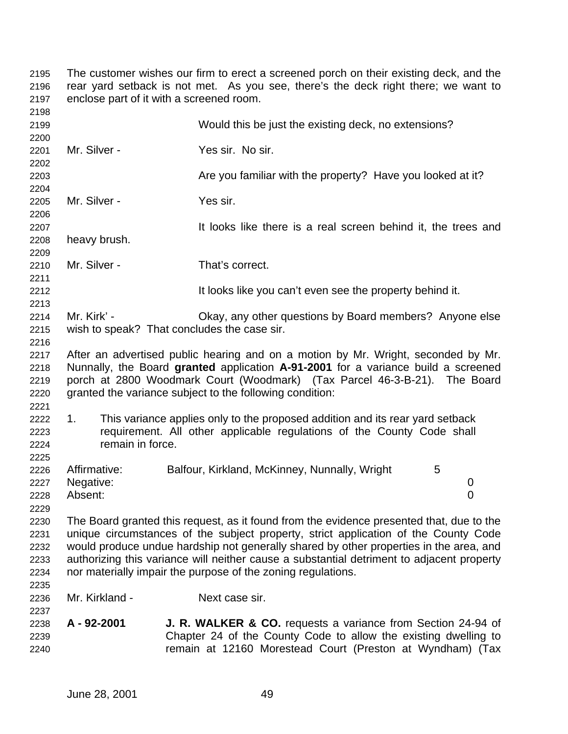The customer wishes our firm to erect a screened porch on their existing deck, and the rear yard setback is not met. As you see, there's the deck right there; we want to enclose part of it with a screened room. Would this be just the existing deck, no extensions? Mr. Silver - Yes sir. No sir. Are you familiar with the property? Have you looked at it? Mr. Silver - Yes sir. **It looks like there is a real screen behind it, the trees and 2207**  heavy brush. Mr. Silver - That's correct. It looks like you can't even see the property behind it. Mr. Kirk' - Okay, any other questions by Board members? Anyone else wish to speak? That concludes the case sir. After an advertised public hearing and on a motion by Mr. Wright, seconded by Mr. Nunnally, the Board **granted** application **A-91-2001** for a variance build a screened porch at 2800 Woodmark Court (Woodmark) (Tax Parcel 46-3-B-21). The Board granted the variance subject to the following condition: 1. This variance applies only to the proposed addition and its rear yard setback requirement. All other applicable regulations of the County Code shall remain in force. 2226 Affirmative: Balfour, Kirkland, McKinney, Nunnally, Wright 5 Negative: 0 Absent: 0 The Board granted this request, as it found from the evidence presented that, due to the unique circumstances of the subject property, strict application of the County Code would produce undue hardship not generally shared by other properties in the area, and authorizing this variance will neither cause a substantial detriment to adjacent property nor materially impair the purpose of the zoning regulations. Mr. Kirkland - Next case sir. **A - 92-2001 J. R. WALKER & CO.** requests a variance from Section 24-94 of Chapter 24 of the County Code to allow the existing dwelling to remain at 12160 Morestead Court (Preston at Wyndham) (Tax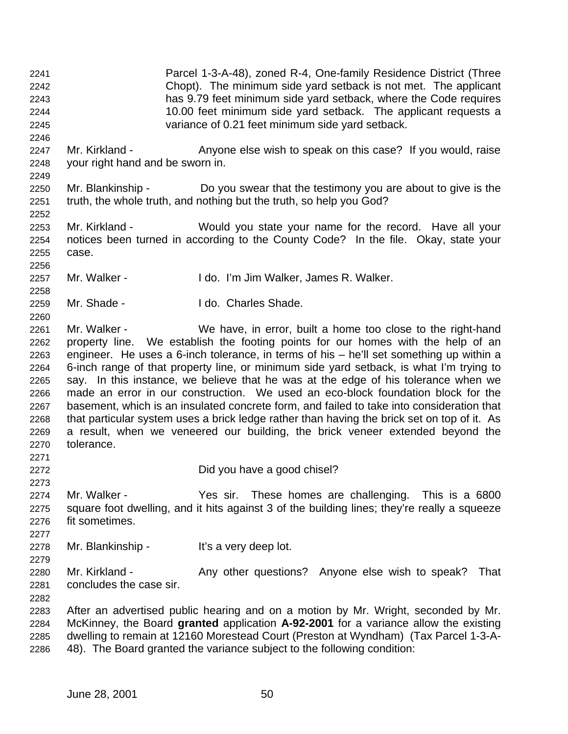Parcel 1-3-A-48), zoned R-4, One-family Residence District (Three Chopt). The minimum side yard setback is not met. The applicant has 9.79 feet minimum side yard setback, where the Code requires 10.00 feet minimum side yard setback. The applicant requests a variance of 0.21 feet minimum side yard setback. 2247 Mr. Kirkland - Anyone else wish to speak on this case? If you would, raise your right hand and be sworn in. Mr. Blankinship - Do you swear that the testimony you are about to give is the truth, the whole truth, and nothing but the truth, so help you God? Mr. Kirkland - Would you state your name for the record. Have all your notices been turned in according to the County Code? In the file. Okay, state your case. Mr. Walker - I do. I'm Jim Walker, James R. Walker. Mr. Shade - I do. Charles Shade. Mr. Walker - We have, in error, built a home too close to the right-hand property line. We establish the footing points for our homes with the help of an engineer. He uses a 6-inch tolerance, in terms of his – he'll set something up within a 6-inch range of that property line, or minimum side yard setback, is what I'm trying to say. In this instance, we believe that he was at the edge of his tolerance when we made an error in our construction. We used an eco-block foundation block for the basement, which is an insulated concrete form, and failed to take into consideration that that particular system uses a brick ledge rather than having the brick set on top of it. As a result, when we veneered our building, the brick veneer extended beyond the tolerance. Did you have a good chisel? Mr. Walker - Yes sir. These homes are challenging. This is a 6800 square foot dwelling, and it hits against 3 of the building lines; they're really a squeeze fit sometimes. Mr. Blankinship - It's a very deep lot. 2280 Mr. Kirkland - Any other questions? Anyone else wish to speak? That concludes the case sir. After an advertised public hearing and on a motion by Mr. Wright, seconded by Mr. McKinney, the Board **granted** application **A-92-2001** for a variance allow the existing dwelling to remain at 12160 Morestead Court (Preston at Wyndham) (Tax Parcel 1-3-A-48). The Board granted the variance subject to the following condition: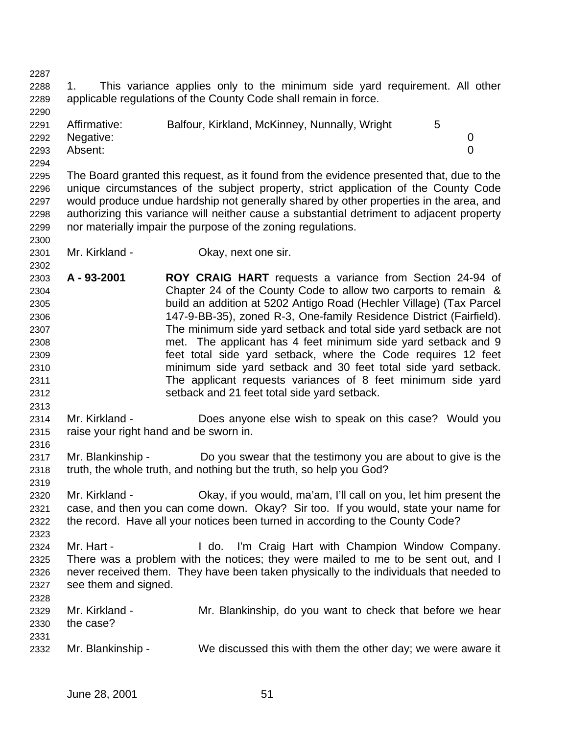1. This variance applies only to the minimum side yard requirement. All other applicable regulations of the County Code shall remain in force. 

| 2291 | Affirmative:   | Balfour, Kirkland, McKinney, Nunnally, Wright |  |
|------|----------------|-----------------------------------------------|--|
|      | 2292 Negative: |                                               |  |
| 2293 | Absent:        |                                               |  |
| 2294 |                |                                               |  |

 The Board granted this request, as it found from the evidence presented that, due to the unique circumstances of the subject property, strict application of the County Code would produce undue hardship not generally shared by other properties in the area, and authorizing this variance will neither cause a substantial detriment to adjacent property nor materially impair the purpose of the zoning regulations.

Mr. Kirkland - Okay, next one sir.

 **A - 93-2001 ROY CRAIG HART** requests a variance from Section 24-94 of Chapter 24 of the County Code to allow two carports to remain & build an addition at 5202 Antigo Road (Hechler Village) (Tax Parcel 147-9-BB-35), zoned R-3, One-family Residence District (Fairfield). The minimum side yard setback and total side yard setback are not met. The applicant has 4 feet minimum side yard setback and 9 feet total side yard setback, where the Code requires 12 feet minimum side yard setback and 30 feet total side yard setback. The applicant requests variances of 8 feet minimum side yard setback and 21 feet total side yard setback.

 Mr. Kirkland - Does anyone else wish to speak on this case? Would you raise your right hand and be sworn in.

2317 Mr. Blankinship - Do you swear that the testimony you are about to give is the truth, the whole truth, and nothing but the truth, so help you God?

 Mr. Kirkland - Okay, if you would, ma'am, I'll call on you, let him present the case, and then you can come down. Okay? Sir too. If you would, state your name for the record. Have all your notices been turned in according to the County Code?

 Mr. Hart - I do. I'm Craig Hart with Champion Window Company. There was a problem with the notices; they were mailed to me to be sent out, and I never received them. They have been taken physically to the individuals that needed to see them and signed. 

 Mr. Kirkland - Mr. Blankinship, do you want to check that before we hear the case? Mr. Blankinship - We discussed this with them the other day; we were aware it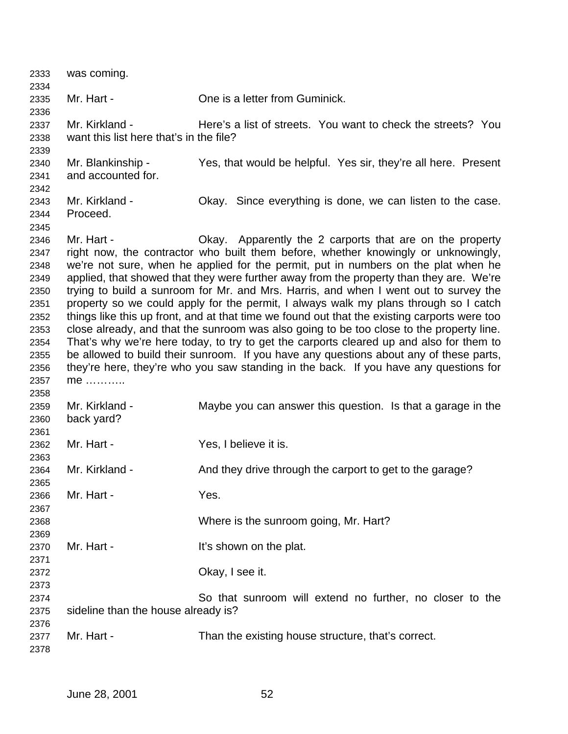| 2333         | was coming.                             |                                                                                              |
|--------------|-----------------------------------------|----------------------------------------------------------------------------------------------|
| 2334         | Mr. Hart -                              | One is a letter from Guminick.                                                               |
| 2335<br>2336 |                                         |                                                                                              |
| 2337         | Mr. Kirkland -                          | Here's a list of streets. You want to check the streets? You                                 |
| 2338         | want this list here that's in the file? |                                                                                              |
| 2339         |                                         |                                                                                              |
| 2340         | Mr. Blankinship -                       | Yes, that would be helpful. Yes sir, they're all here. Present                               |
| 2341         | and accounted for.                      |                                                                                              |
| 2342         |                                         |                                                                                              |
| 2343         | Mr. Kirkland -                          | Okay. Since everything is done, we can listen to the case.                                   |
| 2344         | Proceed.                                |                                                                                              |
| 2345         |                                         |                                                                                              |
| 2346         | Mr. Hart -                              | Okay. Apparently the 2 carports that are on the property                                     |
| 2347         |                                         | right now, the contractor who built them before, whether knowingly or unknowingly,           |
| 2348         |                                         | we're not sure, when he applied for the permit, put in numbers on the plat when he           |
| 2349         |                                         | applied, that showed that they were further away from the property than they are. We're      |
| 2350         |                                         | trying to build a sunroom for Mr. and Mrs. Harris, and when I went out to survey the         |
| 2351         |                                         | property so we could apply for the permit, I always walk my plans through so I catch         |
| 2352         |                                         | things like this up front, and at that time we found out that the existing carports were too |
| 2353         |                                         | close already, and that the sunroom was also going to be too close to the property line.     |
| 2354         |                                         | That's why we're here today, to try to get the carports cleared up and also for them to      |
| 2355         |                                         | be allowed to build their sunroom. If you have any questions about any of these parts,       |
| 2356         |                                         | they're here, they're who you saw standing in the back. If you have any questions for        |
| 2357         | me                                      |                                                                                              |
| 2358         |                                         |                                                                                              |
| 2359         | Mr. Kirkland -                          | Maybe you can answer this question. Is that a garage in the                                  |
| 2360         | back yard?                              |                                                                                              |
| 2361         |                                         |                                                                                              |
| 2362         | Mr. Hart -                              | Yes, I believe it is.                                                                        |
| 2363         |                                         |                                                                                              |
| 2364         | Mr. Kirkland -                          | And they drive through the carport to get to the garage?                                     |
| 2365         |                                         |                                                                                              |
| 2366         | Mr. Hart -                              | Yes.                                                                                         |
| 2367         |                                         |                                                                                              |
| 2368         |                                         | Where is the sunroom going, Mr. Hart?                                                        |
| 2369         |                                         |                                                                                              |
| 2370         | Mr. Hart -                              | It's shown on the plat.                                                                      |
| 2371         |                                         |                                                                                              |
| 2372         |                                         | Okay, I see it.                                                                              |
| 2373         |                                         |                                                                                              |
| 2374         |                                         | So that sunroom will extend no further, no closer to the                                     |
| 2375         | sideline than the house already is?     |                                                                                              |
| 2376         | Mr. Hart -                              | Than the existing house structure, that's correct.                                           |
| 2377<br>2378 |                                         |                                                                                              |
|              |                                         |                                                                                              |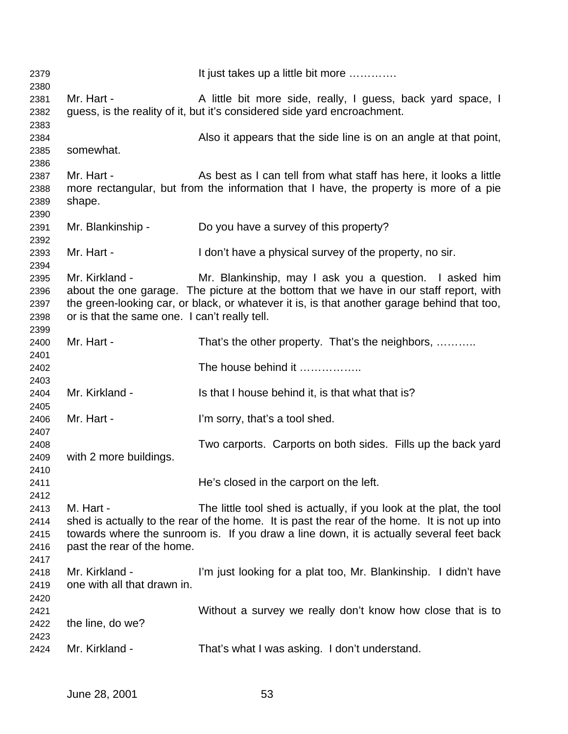| 2379         |                                               | It just takes up a little bit more                                                                                                                         |
|--------------|-----------------------------------------------|------------------------------------------------------------------------------------------------------------------------------------------------------------|
| 2380<br>2381 | Mr. Hart -                                    | A little bit more side, really, I guess, back yard space, I                                                                                                |
| 2382         |                                               | guess, is the reality of it, but it's considered side yard encroachment.                                                                                   |
| 2383         |                                               |                                                                                                                                                            |
| 2384         |                                               | Also it appears that the side line is on an angle at that point,                                                                                           |
| 2385         | somewhat.                                     |                                                                                                                                                            |
| 2386         |                                               |                                                                                                                                                            |
| 2387<br>2388 | Mr. Hart -                                    | As best as I can tell from what staff has here, it looks a little<br>more rectangular, but from the information that I have, the property is more of a pie |
| 2389         | shape.                                        |                                                                                                                                                            |
| 2390         |                                               |                                                                                                                                                            |
| 2391         | Mr. Blankinship -                             | Do you have a survey of this property?                                                                                                                     |
| 2392<br>2393 | Mr. Hart -                                    | I don't have a physical survey of the property, no sir.                                                                                                    |
| 2394         |                                               |                                                                                                                                                            |
| 2395         | Mr. Kirkland -                                | Mr. Blankinship, may I ask you a question. I asked him                                                                                                     |
| 2396         |                                               | about the one garage. The picture at the bottom that we have in our staff report, with                                                                     |
| 2397         |                                               | the green-looking car, or black, or whatever it is, is that another garage behind that too,                                                                |
| 2398         | or is that the same one. I can't really tell. |                                                                                                                                                            |
| 2399         |                                               |                                                                                                                                                            |
| 2400         | Mr. Hart -                                    | That's the other property. That's the neighbors,                                                                                                           |
| 2401         |                                               | The house behind it                                                                                                                                        |
| 2402<br>2403 |                                               |                                                                                                                                                            |
| 2404         | Mr. Kirkland -                                | Is that I house behind it, is that what that is?                                                                                                           |
| 2405         |                                               |                                                                                                                                                            |
| 2406         | Mr. Hart -                                    | I'm sorry, that's a tool shed.                                                                                                                             |
| 2407         |                                               |                                                                                                                                                            |
| 2408         |                                               | Two carports. Carports on both sides. Fills up the back yard                                                                                               |
| 2409         | with 2 more buildings.                        |                                                                                                                                                            |
| 2410         |                                               |                                                                                                                                                            |
| 2411<br>2412 |                                               | He's closed in the carport on the left.                                                                                                                    |
| 2413         | M. Hart -                                     | The little tool shed is actually, if you look at the plat, the tool                                                                                        |
| 2414         |                                               | shed is actually to the rear of the home. It is past the rear of the home. It is not up into                                                               |
| 2415         |                                               | towards where the sunroom is. If you draw a line down, it is actually several feet back                                                                    |
| 2416         | past the rear of the home.                    |                                                                                                                                                            |
| 2417         |                                               |                                                                                                                                                            |
| 2418         | Mr. Kirkland -                                | I'm just looking for a plat too, Mr. Blankinship. I didn't have                                                                                            |
| 2419         | one with all that drawn in.                   |                                                                                                                                                            |
| 2420         |                                               | Without a survey we really don't know how close that is to                                                                                                 |
| 2421<br>2422 | the line, do we?                              |                                                                                                                                                            |
| 2423         |                                               |                                                                                                                                                            |
| 2424         | Mr. Kirkland -                                | That's what I was asking. I don't understand.                                                                                                              |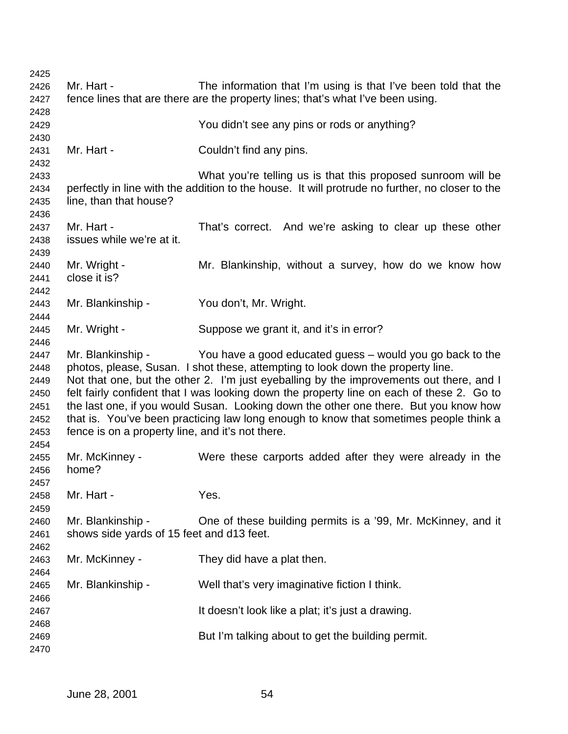| 2425 |                                                  |                                                                                                 |
|------|--------------------------------------------------|-------------------------------------------------------------------------------------------------|
| 2426 | Mr. Hart -                                       | The information that I'm using is that I've been told that the                                  |
| 2427 |                                                  | fence lines that are there are the property lines; that's what I've been using.                 |
| 2428 |                                                  |                                                                                                 |
| 2429 |                                                  | You didn't see any pins or rods or anything?                                                    |
| 2430 |                                                  |                                                                                                 |
| 2431 | Mr. Hart -                                       | Couldn't find any pins.                                                                         |
| 2432 |                                                  |                                                                                                 |
| 2433 |                                                  | What you're telling us is that this proposed sunroom will be                                    |
| 2434 |                                                  | perfectly in line with the addition to the house. It will protrude no further, no closer to the |
| 2435 | line, than that house?                           |                                                                                                 |
| 2436 |                                                  |                                                                                                 |
| 2437 | Mr. Hart -                                       | That's correct. And we're asking to clear up these other                                        |
| 2438 | issues while we're at it.                        |                                                                                                 |
| 2439 |                                                  |                                                                                                 |
| 2440 | Mr. Wright -                                     | Mr. Blankinship, without a survey, how do we know how                                           |
| 2441 | close it is?                                     |                                                                                                 |
| 2442 |                                                  |                                                                                                 |
| 2443 | Mr. Blankinship -                                | You don't, Mr. Wright.                                                                          |
| 2444 |                                                  |                                                                                                 |
| 2445 | Mr. Wright -                                     | Suppose we grant it, and it's in error?                                                         |
| 2446 |                                                  |                                                                                                 |
| 2447 |                                                  | Mr. Blankinship - You have a good educated guess – would you go back to the                     |
| 2448 |                                                  | photos, please, Susan. I shot these, attempting to look down the property line.                 |
| 2449 |                                                  | Not that one, but the other 2. I'm just eyeballing by the improvements out there, and I         |
| 2450 |                                                  | felt fairly confident that I was looking down the property line on each of these 2. Go to       |
| 2451 |                                                  | the last one, if you would Susan. Looking down the other one there. But you know how            |
| 2452 |                                                  | that is. You've been practicing law long enough to know that sometimes people think a           |
| 2453 | fence is on a property line, and it's not there. |                                                                                                 |
| 2454 |                                                  |                                                                                                 |
| 2455 | Mr. McKinney -                                   | Were these carports added after they were already in the                                        |
| 2456 | home?                                            |                                                                                                 |
| 2457 |                                                  |                                                                                                 |
| 2458 | Mr. Hart -                                       | Yes.                                                                                            |
| 2459 |                                                  |                                                                                                 |
|      | Mr. Blankinship -                                | One of these building permits is a '99, Mr. McKinney, and it                                    |
| 2460 |                                                  |                                                                                                 |
| 2461 | shows side yards of 15 feet and d13 feet.        |                                                                                                 |
| 2462 |                                                  |                                                                                                 |
| 2463 | Mr. McKinney -                                   | They did have a plat then.                                                                      |
| 2464 |                                                  |                                                                                                 |
| 2465 | Mr. Blankinship -                                | Well that's very imaginative fiction I think.                                                   |
| 2466 |                                                  |                                                                                                 |
| 2467 |                                                  | It doesn't look like a plat; it's just a drawing.                                               |
| 2468 |                                                  |                                                                                                 |
| 2469 |                                                  | But I'm talking about to get the building permit.                                               |
| 2470 |                                                  |                                                                                                 |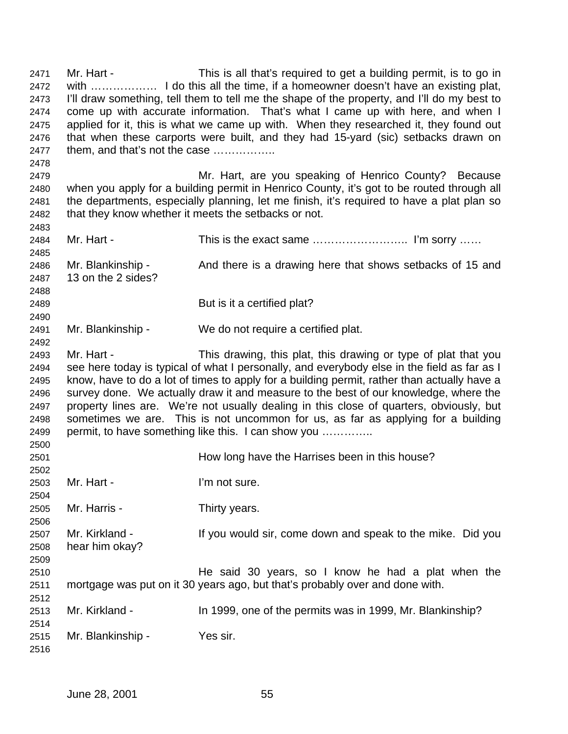Mr. Hart - This is all that's required to get a building permit, is to go in with ……………… I do this all the time, if a homeowner doesn't have an existing plat, I'll draw something, tell them to tell me the shape of the property, and I'll do my best to come up with accurate information. That's what I came up with here, and when I applied for it, this is what we came up with. When they researched it, they found out that when these carports were built, and they had 15-yard (sic) setbacks drawn on them, and that's not the case …………….. Mr. Hart, are you speaking of Henrico County? Because when you apply for a building permit in Henrico County, it's got to be routed through all the departments, especially planning, let me finish, it's required to have a plat plan so that they know whether it meets the setbacks or not. Mr. Hart - This is the exact same …………………….. I'm sorry …… 2486 Mr. Blankinship - And there is a drawing here that shows setbacks of 15 and 13 on the 2 sides? But is it a certified plat? Mr. Blankinship - We do not require a certified plat. Mr. Hart - This drawing, this plat, this drawing or type of plat that you see here today is typical of what I personally, and everybody else in the field as far as I know, have to do a lot of times to apply for a building permit, rather than actually have a survey done. We actually draw it and measure to the best of our knowledge, where the property lines are. We're not usually dealing in this close of quarters, obviously, but sometimes we are. This is not uncommon for us, as far as applying for a building permit, to have something like this. I can show you ………….. How long have the Harrises been in this house? Mr. Hart - I'm not sure. Mr. Harris - Thirty years. Mr. Kirkland - If you would sir, come down and speak to the mike. Did you hear him okay? He said 30 years, so I know he had a plat when the mortgage was put on it 30 years ago, but that's probably over and done with. Mr. Kirkland - In 1999, one of the permits was in 1999, Mr. Blankinship? Mr. Blankinship - Yes sir.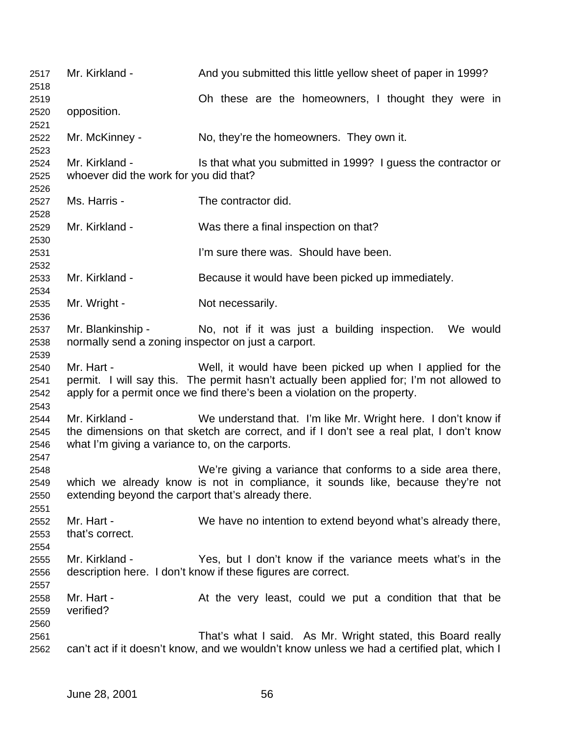2517 Mr. Kirkland - And you submitted this little yellow sheet of paper in 1999? Oh these are the homeowners, I thought they were in opposition. 2522 Mr. McKinney - No, they're the homeowners. They own it. 2524 Mr. Kirkland - Is that what you submitted in 1999? I guess the contractor or whoever did the work for you did that? Ms. Harris - The contractor did. Mr. Kirkland - Was there a final inspection on that? I'm sure there was. Should have been. Mr. Kirkland - Because it would have been picked up immediately. 2535 Mr. Wright - Not necessarily. Mr. Blankinship - No, not if it was just a building inspection. We would normally send a zoning inspector on just a carport. Mr. Hart - Well, it would have been picked up when I applied for the permit. I will say this. The permit hasn't actually been applied for; I'm not allowed to apply for a permit once we find there's been a violation on the property. Mr. Kirkland - We understand that. I'm like Mr. Wright here. I don't know if the dimensions on that sketch are correct, and if I don't see a real plat, I don't know what I'm giving a variance to, on the carports. We're giving a variance that conforms to a side area there, which we already know is not in compliance, it sounds like, because they're not extending beyond the carport that's already there. Mr. Hart - We have no intention to extend beyond what's already there, that's correct. Mr. Kirkland - Yes, but I don't know if the variance meets what's in the description here. I don't know if these figures are correct. 2558 Mr. Hart - At the very least, could we put a condition that that be verified? That's what I said. As Mr. Wright stated, this Board really can't act if it doesn't know, and we wouldn't know unless we had a certified plat, which I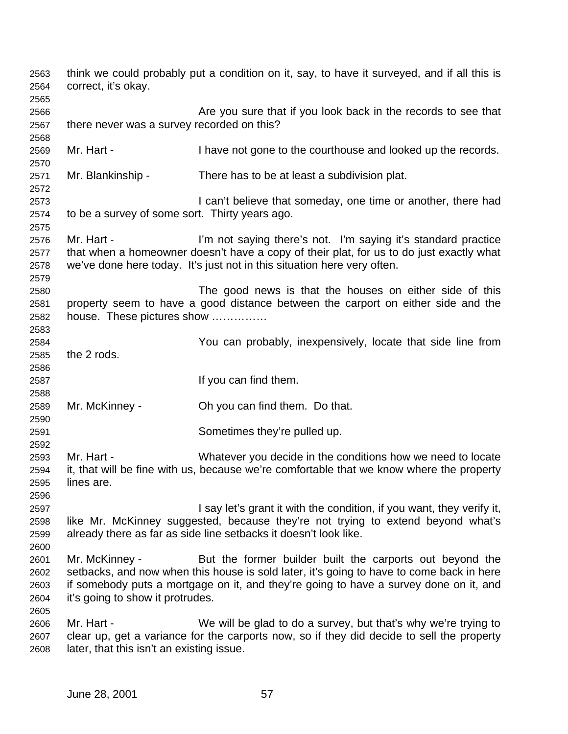think we could probably put a condition on it, say, to have it surveyed, and if all this is correct, it's okay. Are you sure that if you look back in the records to see that there never was a survey recorded on this? Mr. Hart - I have not gone to the courthouse and looked up the records. Mr. Blankinship - There has to be at least a subdivision plat. I can't believe that someday, one time or another, there had to be a survey of some sort. Thirty years ago. Mr. Hart - I'm not saying there's not. I'm saying it's standard practice that when a homeowner doesn't have a copy of their plat, for us to do just exactly what we've done here today. It's just not in this situation here very often. The good news is that the houses on either side of this property seem to have a good distance between the carport on either side and the house. These pictures show …………… You can probably, inexpensively, locate that side line from the 2 rods. If you can find them. Mr. McKinney - Oh you can find them. Do that. Sometimes they're pulled up. Mr. Hart - Whatever you decide in the conditions how we need to locate it, that will be fine with us, because we're comfortable that we know where the property lines are. I say let's grant it with the condition, if you want, they verify it, like Mr. McKinney suggested, because they're not trying to extend beyond what's already there as far as side line setbacks it doesn't look like. Mr. McKinney - But the former builder built the carports out beyond the setbacks, and now when this house is sold later, it's going to have to come back in here if somebody puts a mortgage on it, and they're going to have a survey done on it, and it's going to show it protrudes. Mr. Hart - We will be glad to do a survey, but that's why we're trying to clear up, get a variance for the carports now, so if they did decide to sell the property later, that this isn't an existing issue.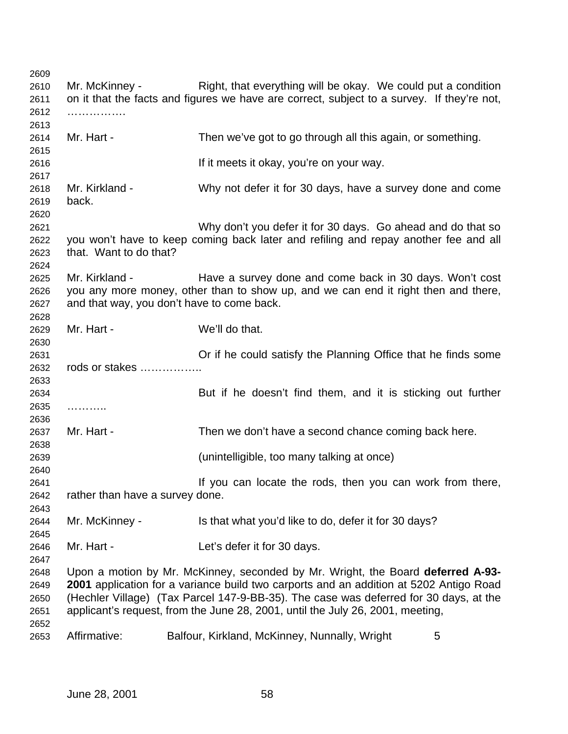2610 Mr. McKinney - Right, that everything will be okay. We could put a condition on it that the facts and figures we have are correct, subject to a survey. If they're not, ……………. Mr. Hart - Then we've got to go through all this again, or something. If it meets it okay, you're on your way. Mr. Kirkland - Why not defer it for 30 days, have a survey done and come back. Why don't you defer it for 30 days. Go ahead and do that so you won't have to keep coming back later and refiling and repay another fee and all that. Want to do that? Mr. Kirkland - Have a survey done and come back in 30 days. Won't cost you any more money, other than to show up, and we can end it right then and there, and that way, you don't have to come back. Mr. Hart - We'll do that. Or if he could satisfy the Planning Office that he finds some rods or stakes …………….. But if he doesn't find them, and it is sticking out further ……….. 2637 Mr. Hart - Then we don't have a second chance coming back here. (unintelligible, too many talking at once) If you can locate the rods, then you can work from there, rather than have a survey done. Mr. McKinney - Is that what you'd like to do, defer it for 30 days? Mr. Hart - Let's defer it for 30 days. Upon a motion by Mr. McKinney, seconded by Mr. Wright, the Board **deferred A-93- 2001** application for a variance build two carports and an addition at 5202 Antigo Road (Hechler Village) (Tax Parcel 147-9-BB-35). The case was deferred for 30 days, at the applicant's request, from the June 28, 2001, until the July 26, 2001, meeting, 2653 Affirmative: Balfour, Kirkland, McKinney, Nunnally, Wright 5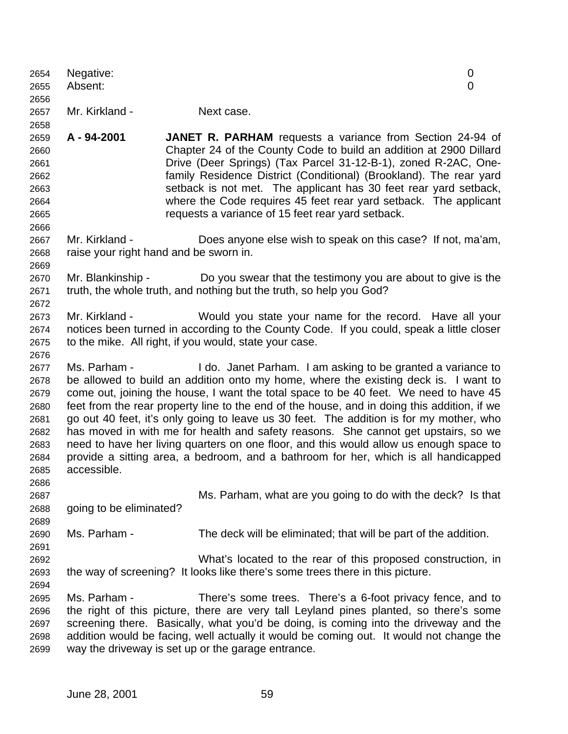| 2654         | Negative:                              |                                                                                                                                                                                      | 0 |
|--------------|----------------------------------------|--------------------------------------------------------------------------------------------------------------------------------------------------------------------------------------|---|
| 2655         | Absent:                                |                                                                                                                                                                                      | 0 |
| 2656         |                                        |                                                                                                                                                                                      |   |
| 2657         | Mr. Kirkland -                         | Next case.                                                                                                                                                                           |   |
| 2658         |                                        |                                                                                                                                                                                      |   |
| 2659         | A - 94-2001                            | <b>JANET R. PARHAM</b> requests a variance from Section 24-94 of                                                                                                                     |   |
| 2660         |                                        | Chapter 24 of the County Code to build an addition at 2900 Dillard                                                                                                                   |   |
| 2661         |                                        | Drive (Deer Springs) (Tax Parcel 31-12-B-1), zoned R-2AC, One-                                                                                                                       |   |
| 2662         |                                        | family Residence District (Conditional) (Brookland). The rear yard                                                                                                                   |   |
| 2663         |                                        | setback is not met. The applicant has 30 feet rear yard setback,                                                                                                                     |   |
| 2664         |                                        | where the Code requires 45 feet rear yard setback. The applicant                                                                                                                     |   |
| 2665         |                                        | requests a variance of 15 feet rear yard setback.                                                                                                                                    |   |
| 2666         |                                        |                                                                                                                                                                                      |   |
| 2667         | Mr. Kirkland -                         | Does anyone else wish to speak on this case? If not, ma'am,                                                                                                                          |   |
| 2668         | raise your right hand and be sworn in. |                                                                                                                                                                                      |   |
| 2669         |                                        |                                                                                                                                                                                      |   |
| 2670         | Mr. Blankinship -                      | Do you swear that the testimony you are about to give is the                                                                                                                         |   |
| 2671         |                                        | truth, the whole truth, and nothing but the truth, so help you God?                                                                                                                  |   |
| 2672         |                                        |                                                                                                                                                                                      |   |
| 2673         | Mr. Kirkland -                         | Would you state your name for the record. Have all your                                                                                                                              |   |
| 2674         |                                        | notices been turned in according to the County Code. If you could, speak a little closer                                                                                             |   |
| 2675         |                                        | to the mike. All right, if you would, state your case.                                                                                                                               |   |
| 2676         |                                        |                                                                                                                                                                                      |   |
| 2677         | Ms. Parham -                           | I do. Janet Parham. I am asking to be granted a variance to                                                                                                                          |   |
| 2678         |                                        | be allowed to build an addition onto my home, where the existing deck is. I want to                                                                                                  |   |
| 2679<br>2680 |                                        | come out, joining the house, I want the total space to be 40 feet. We need to have 45<br>feet from the rear property line to the end of the house, and in doing this addition, if we |   |
| 2681         |                                        | go out 40 feet, it's only going to leave us 30 feet. The addition is for my mother, who                                                                                              |   |
| 2682         |                                        | has moved in with me for health and safety reasons. She cannot get upstairs, so we                                                                                                   |   |
| 2683         |                                        | need to have her living quarters on one floor, and this would allow us enough space to                                                                                               |   |
| 2684         |                                        | provide a sitting area, a bedroom, and a bathroom for her, which is all handicapped                                                                                                  |   |
| 2685         | accessible.                            |                                                                                                                                                                                      |   |
| 2686         |                                        |                                                                                                                                                                                      |   |
| 2687         |                                        | Ms. Parham, what are you going to do with the deck? Is that                                                                                                                          |   |
| 2688         | going to be eliminated?                |                                                                                                                                                                                      |   |
| 2689         |                                        |                                                                                                                                                                                      |   |
| 2690         | Ms. Parham -                           | The deck will be eliminated; that will be part of the addition.                                                                                                                      |   |
| 2691         |                                        |                                                                                                                                                                                      |   |
| 2692         |                                        | What's located to the rear of this proposed construction, in                                                                                                                         |   |
| 2693         |                                        | the way of screening? It looks like there's some trees there in this picture.                                                                                                        |   |
| 2694         |                                        |                                                                                                                                                                                      |   |
| 2695         | Ms. Parham -                           | There's some trees. There's a 6-foot privacy fence, and to                                                                                                                           |   |
| 2696         |                                        | the right of this picture, there are very tall Leyland pines planted, so there's some                                                                                                |   |
| 2697         |                                        | screening there. Basically, what you'd be doing, is coming into the driveway and the                                                                                                 |   |
| 2698         |                                        | addition would be facing, well actually it would be coming out. It would not change the                                                                                              |   |
| 2699         |                                        | way the driveway is set up or the garage entrance.                                                                                                                                   |   |
|              |                                        |                                                                                                                                                                                      |   |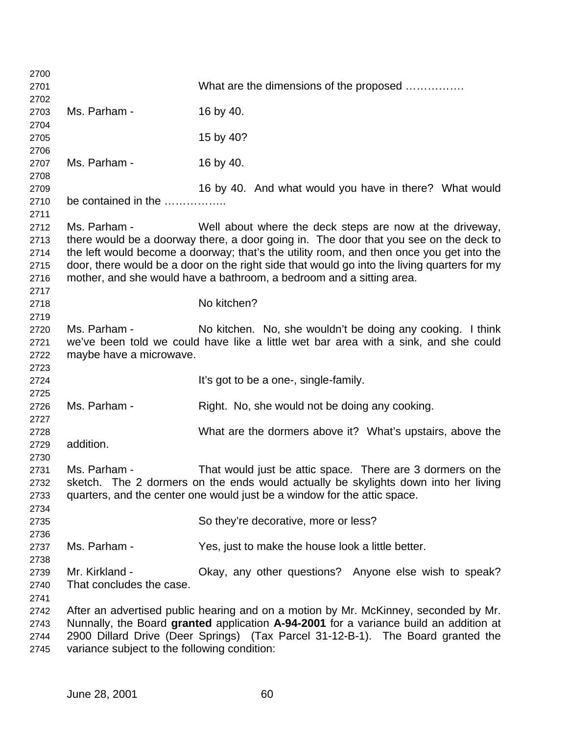| 2700 |                                              |                                                                                             |
|------|----------------------------------------------|---------------------------------------------------------------------------------------------|
| 2701 |                                              | What are the dimensions of the proposed                                                     |
| 2702 |                                              |                                                                                             |
| 2703 | Ms. Parham -                                 | 16 by 40.                                                                                   |
| 2704 |                                              |                                                                                             |
| 2705 |                                              | 15 by 40?                                                                                   |
| 2706 |                                              |                                                                                             |
| 2707 | Ms. Parham -                                 | 16 by 40.                                                                                   |
| 2708 |                                              |                                                                                             |
| 2709 |                                              | 16 by 40. And what would you have in there? What would                                      |
| 2710 | be contained in the                          |                                                                                             |
| 2711 |                                              |                                                                                             |
| 2712 | Ms. Parham -                                 | Well about where the deck steps are now at the driveway,                                    |
| 2713 |                                              | there would be a doorway there, a door going in. The door that you see on the deck to       |
| 2714 |                                              | the left would become a doorway; that's the utility room, and then once you get into the    |
| 2715 |                                              | door, there would be a door on the right side that would go into the living quarters for my |
| 2716 |                                              | mother, and she would have a bathroom, a bedroom and a sitting area.                        |
| 2717 |                                              |                                                                                             |
| 2718 |                                              | No kitchen?                                                                                 |
| 2719 |                                              |                                                                                             |
| 2720 | Ms. Parham -                                 | No kitchen. No, she wouldn't be doing any cooking. I think                                  |
| 2721 |                                              | we've been told we could have like a little wet bar area with a sink, and she could         |
| 2722 | maybe have a microwave.                      |                                                                                             |
| 2723 |                                              |                                                                                             |
| 2724 |                                              | It's got to be a one-, single-family.                                                       |
| 2725 |                                              |                                                                                             |
| 2726 | Ms. Parham -                                 | Right. No, she would not be doing any cooking.                                              |
| 2727 |                                              |                                                                                             |
| 2728 |                                              | What are the dormers above it? What's upstairs, above the                                   |
| 2729 | addition.                                    |                                                                                             |
| 2730 |                                              |                                                                                             |
| 2731 | Ms. Parham -                                 | That would just be attic space. There are 3 dormers on the                                  |
| 2732 |                                              | sketch. The 2 dormers on the ends would actually be skylights down into her living          |
| 2733 |                                              | quarters, and the center one would just be a window for the attic space.                    |
| 2734 |                                              |                                                                                             |
| 2735 |                                              | So they're decorative, more or less?                                                        |
| 2736 |                                              |                                                                                             |
| 2737 | Ms. Parham -                                 | Yes, just to make the house look a little better.                                           |
| 2738 |                                              |                                                                                             |
| 2739 | Mr. Kirkland -                               | Okay, any other questions? Anyone else wish to speak?                                       |
| 2740 | That concludes the case.                     |                                                                                             |
| 2741 |                                              |                                                                                             |
| 2742 |                                              | After an advertised public hearing and on a motion by Mr. McKinney, seconded by Mr.         |
| 2743 |                                              | Nunnally, the Board granted application A-94-2001 for a variance build an addition at       |
| 2744 |                                              | 2900 Dillard Drive (Deer Springs) (Tax Parcel 31-12-B-1). The Board granted the             |
| 2745 | variance subject to the following condition: |                                                                                             |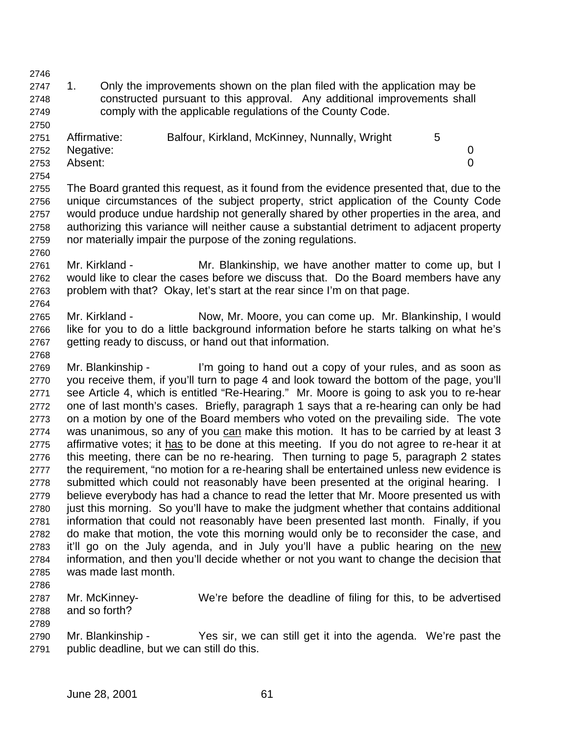1. Only the improvements shown on the plan filed with the application may be constructed pursuant to this approval. Any additional improvements shall comply with the applicable regulations of the County Code.

| 2751 | Affirmative:   | Balfour, Kirkland, McKinney, Nunnally, Wright |  |
|------|----------------|-----------------------------------------------|--|
|      | 2752 Negative: |                                               |  |
| 2753 | Absent:        |                                               |  |

 The Board granted this request, as it found from the evidence presented that, due to the unique circumstances of the subject property, strict application of the County Code would produce undue hardship not generally shared by other properties in the area, and authorizing this variance will neither cause a substantial detriment to adjacent property nor materially impair the purpose of the zoning regulations.

- Mr. Kirkland Mr. Blankinship, we have another matter to come up, but I would like to clear the cases before we discuss that. Do the Board members have any problem with that? Okay, let's start at the rear since I'm on that page.
- Mr. Kirkland Now, Mr. Moore, you can come up. Mr. Blankinship, I would like for you to do a little background information before he starts talking on what he's 2767 getting ready to discuss, or hand out that information.
- Mr. Blankinship I'm going to hand out a copy of your rules, and as soon as you receive them, if you'll turn to page 4 and look toward the bottom of the page, you'll see Article 4, which is entitled "Re-Hearing." Mr. Moore is going to ask you to re-hear one of last month's cases. Briefly, paragraph 1 says that a re-hearing can only be had on a motion by one of the Board members who voted on the prevailing side. The vote 2774 was unanimous, so any of you can make this motion. It has to be carried by at least 3 affirmative votes; it has to be done at this meeting. If you do not agree to re-hear it at this meeting, there can be no re-hearing. Then turning to page 5, paragraph 2 states the requirement, "no motion for a re-hearing shall be entertained unless new evidence is 2778 submitted which could not reasonably have been presented at the original hearing. I believe everybody has had a chance to read the letter that Mr. Moore presented us with 2780 just this morning. So you'll have to make the judgment whether that contains additional information that could not reasonably have been presented last month. Finally, if you do make that motion, the vote this morning would only be to reconsider the case, and it'll go on the July agenda, and in July you'll have a public hearing on the new information, and then you'll decide whether or not you want to change the decision that was made last month.
- Mr. McKinney- We're before the deadline of filing for this, to be advertised and so forth?
- Mr. Blankinship Yes sir, we can still get it into the agenda. We're past the public deadline, but we can still do this.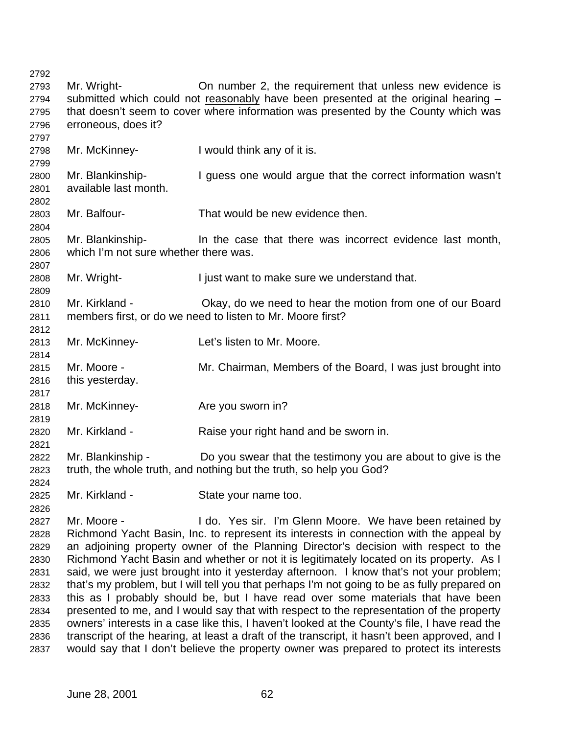| On number 2, the requirement that unless new evidence is<br>Mr. Wright-<br>2793<br>submitted which could not reasonably have been presented at the original hearing -<br>2794<br>that doesn't seem to cover where information was presented by the County which was<br>2795<br>erroneous, does it?<br>2796<br>2797<br>Mr. McKinney-<br>I would think any of it is.<br>2798<br>2799<br>Mr. Blankinship-<br>I guess one would argue that the correct information wasn't<br>2800<br>available last month.<br>2801<br>2802<br>Mr. Balfour-<br>That would be new evidence then.<br>2803<br>2804<br>Mr. Blankinship-<br>In the case that there was incorrect evidence last month,<br>2805<br>which I'm not sure whether there was.<br>2806<br>2807<br>Mr. Wright-<br>I just want to make sure we understand that.<br>2808<br>2809<br>Mr. Kirkland -<br>Okay, do we need to hear the motion from one of our Board<br>2810<br>members first, or do we need to listen to Mr. Moore first?<br>2811<br>2812<br>Mr. McKinney-<br>Let's listen to Mr. Moore.<br>2813<br>2814<br>Mr. Moore -<br>Mr. Chairman, Members of the Board, I was just brought into<br>2815<br>this yesterday.<br>2816<br>2817<br>Mr. McKinney-<br>Are you sworn in?<br>2818<br>2819<br>Mr. Kirkland -<br>Raise your right hand and be sworn in.<br>2820<br>2821<br>Mr. Blankinship -<br>Do you swear that the testimony you are about to give is the<br>2822<br>truth, the whole truth, and nothing but the truth, so help you God?<br>2823<br>2824<br>Mr. Kirkland -<br>State your name too.<br>2825<br>2826<br>Mr. Moore -<br>I do. Yes sir. I'm Glenn Moore. We have been retained by<br>2827<br>Richmond Yacht Basin, Inc. to represent its interests in connection with the appeal by<br>2828<br>an adjoining property owner of the Planning Director's decision with respect to the<br>2829<br>Richmond Yacht Basin and whether or not it is legitimately located on its property. As I<br>2830<br>said, we were just brought into it yesterday afternoon. I know that's not your problem;<br>2831<br>that's my problem, but I will tell you that perhaps I'm not going to be as fully prepared on<br>2832<br>this as I probably should be, but I have read over some materials that have been<br>2833<br>presented to me, and I would say that with respect to the representation of the property<br>2834<br>owners' interests in a case like this, I haven't looked at the County's file, I have read the<br>2835<br>transcript of the hearing, at least a draft of the transcript, it hasn't been approved, and I<br>2836<br>would say that I don't believe the property owner was prepared to protect its interests<br>2837 | 2792 |  |
|--------------------------------------------------------------------------------------------------------------------------------------------------------------------------------------------------------------------------------------------------------------------------------------------------------------------------------------------------------------------------------------------------------------------------------------------------------------------------------------------------------------------------------------------------------------------------------------------------------------------------------------------------------------------------------------------------------------------------------------------------------------------------------------------------------------------------------------------------------------------------------------------------------------------------------------------------------------------------------------------------------------------------------------------------------------------------------------------------------------------------------------------------------------------------------------------------------------------------------------------------------------------------------------------------------------------------------------------------------------------------------------------------------------------------------------------------------------------------------------------------------------------------------------------------------------------------------------------------------------------------------------------------------------------------------------------------------------------------------------------------------------------------------------------------------------------------------------------------------------------------------------------------------------------------------------------------------------------------------------------------------------------------------------------------------------------------------------------------------------------------------------------------------------------------------------------------------------------------------------------------------------------------------------------------------------------------------------------------------------------------------------------------------------------------------------------------------------------------------------------------------------------------------------------------------------------------------------------------------------------------------------------------------------------------------------------------|------|--|
|                                                                                                                                                                                                                                                                                                                                                                                                                                                                                                                                                                                                                                                                                                                                                                                                                                                                                                                                                                                                                                                                                                                                                                                                                                                                                                                                                                                                                                                                                                                                                                                                                                                                                                                                                                                                                                                                                                                                                                                                                                                                                                                                                                                                                                                                                                                                                                                                                                                                                                                                                                                                                                                                                                  |      |  |
|                                                                                                                                                                                                                                                                                                                                                                                                                                                                                                                                                                                                                                                                                                                                                                                                                                                                                                                                                                                                                                                                                                                                                                                                                                                                                                                                                                                                                                                                                                                                                                                                                                                                                                                                                                                                                                                                                                                                                                                                                                                                                                                                                                                                                                                                                                                                                                                                                                                                                                                                                                                                                                                                                                  |      |  |
|                                                                                                                                                                                                                                                                                                                                                                                                                                                                                                                                                                                                                                                                                                                                                                                                                                                                                                                                                                                                                                                                                                                                                                                                                                                                                                                                                                                                                                                                                                                                                                                                                                                                                                                                                                                                                                                                                                                                                                                                                                                                                                                                                                                                                                                                                                                                                                                                                                                                                                                                                                                                                                                                                                  |      |  |
|                                                                                                                                                                                                                                                                                                                                                                                                                                                                                                                                                                                                                                                                                                                                                                                                                                                                                                                                                                                                                                                                                                                                                                                                                                                                                                                                                                                                                                                                                                                                                                                                                                                                                                                                                                                                                                                                                                                                                                                                                                                                                                                                                                                                                                                                                                                                                                                                                                                                                                                                                                                                                                                                                                  |      |  |
|                                                                                                                                                                                                                                                                                                                                                                                                                                                                                                                                                                                                                                                                                                                                                                                                                                                                                                                                                                                                                                                                                                                                                                                                                                                                                                                                                                                                                                                                                                                                                                                                                                                                                                                                                                                                                                                                                                                                                                                                                                                                                                                                                                                                                                                                                                                                                                                                                                                                                                                                                                                                                                                                                                  |      |  |
|                                                                                                                                                                                                                                                                                                                                                                                                                                                                                                                                                                                                                                                                                                                                                                                                                                                                                                                                                                                                                                                                                                                                                                                                                                                                                                                                                                                                                                                                                                                                                                                                                                                                                                                                                                                                                                                                                                                                                                                                                                                                                                                                                                                                                                                                                                                                                                                                                                                                                                                                                                                                                                                                                                  |      |  |
|                                                                                                                                                                                                                                                                                                                                                                                                                                                                                                                                                                                                                                                                                                                                                                                                                                                                                                                                                                                                                                                                                                                                                                                                                                                                                                                                                                                                                                                                                                                                                                                                                                                                                                                                                                                                                                                                                                                                                                                                                                                                                                                                                                                                                                                                                                                                                                                                                                                                                                                                                                                                                                                                                                  |      |  |
|                                                                                                                                                                                                                                                                                                                                                                                                                                                                                                                                                                                                                                                                                                                                                                                                                                                                                                                                                                                                                                                                                                                                                                                                                                                                                                                                                                                                                                                                                                                                                                                                                                                                                                                                                                                                                                                                                                                                                                                                                                                                                                                                                                                                                                                                                                                                                                                                                                                                                                                                                                                                                                                                                                  |      |  |
|                                                                                                                                                                                                                                                                                                                                                                                                                                                                                                                                                                                                                                                                                                                                                                                                                                                                                                                                                                                                                                                                                                                                                                                                                                                                                                                                                                                                                                                                                                                                                                                                                                                                                                                                                                                                                                                                                                                                                                                                                                                                                                                                                                                                                                                                                                                                                                                                                                                                                                                                                                                                                                                                                                  |      |  |
|                                                                                                                                                                                                                                                                                                                                                                                                                                                                                                                                                                                                                                                                                                                                                                                                                                                                                                                                                                                                                                                                                                                                                                                                                                                                                                                                                                                                                                                                                                                                                                                                                                                                                                                                                                                                                                                                                                                                                                                                                                                                                                                                                                                                                                                                                                                                                                                                                                                                                                                                                                                                                                                                                                  |      |  |
|                                                                                                                                                                                                                                                                                                                                                                                                                                                                                                                                                                                                                                                                                                                                                                                                                                                                                                                                                                                                                                                                                                                                                                                                                                                                                                                                                                                                                                                                                                                                                                                                                                                                                                                                                                                                                                                                                                                                                                                                                                                                                                                                                                                                                                                                                                                                                                                                                                                                                                                                                                                                                                                                                                  |      |  |
|                                                                                                                                                                                                                                                                                                                                                                                                                                                                                                                                                                                                                                                                                                                                                                                                                                                                                                                                                                                                                                                                                                                                                                                                                                                                                                                                                                                                                                                                                                                                                                                                                                                                                                                                                                                                                                                                                                                                                                                                                                                                                                                                                                                                                                                                                                                                                                                                                                                                                                                                                                                                                                                                                                  |      |  |
|                                                                                                                                                                                                                                                                                                                                                                                                                                                                                                                                                                                                                                                                                                                                                                                                                                                                                                                                                                                                                                                                                                                                                                                                                                                                                                                                                                                                                                                                                                                                                                                                                                                                                                                                                                                                                                                                                                                                                                                                                                                                                                                                                                                                                                                                                                                                                                                                                                                                                                                                                                                                                                                                                                  |      |  |
|                                                                                                                                                                                                                                                                                                                                                                                                                                                                                                                                                                                                                                                                                                                                                                                                                                                                                                                                                                                                                                                                                                                                                                                                                                                                                                                                                                                                                                                                                                                                                                                                                                                                                                                                                                                                                                                                                                                                                                                                                                                                                                                                                                                                                                                                                                                                                                                                                                                                                                                                                                                                                                                                                                  |      |  |
|                                                                                                                                                                                                                                                                                                                                                                                                                                                                                                                                                                                                                                                                                                                                                                                                                                                                                                                                                                                                                                                                                                                                                                                                                                                                                                                                                                                                                                                                                                                                                                                                                                                                                                                                                                                                                                                                                                                                                                                                                                                                                                                                                                                                                                                                                                                                                                                                                                                                                                                                                                                                                                                                                                  |      |  |
|                                                                                                                                                                                                                                                                                                                                                                                                                                                                                                                                                                                                                                                                                                                                                                                                                                                                                                                                                                                                                                                                                                                                                                                                                                                                                                                                                                                                                                                                                                                                                                                                                                                                                                                                                                                                                                                                                                                                                                                                                                                                                                                                                                                                                                                                                                                                                                                                                                                                                                                                                                                                                                                                                                  |      |  |
|                                                                                                                                                                                                                                                                                                                                                                                                                                                                                                                                                                                                                                                                                                                                                                                                                                                                                                                                                                                                                                                                                                                                                                                                                                                                                                                                                                                                                                                                                                                                                                                                                                                                                                                                                                                                                                                                                                                                                                                                                                                                                                                                                                                                                                                                                                                                                                                                                                                                                                                                                                                                                                                                                                  |      |  |
|                                                                                                                                                                                                                                                                                                                                                                                                                                                                                                                                                                                                                                                                                                                                                                                                                                                                                                                                                                                                                                                                                                                                                                                                                                                                                                                                                                                                                                                                                                                                                                                                                                                                                                                                                                                                                                                                                                                                                                                                                                                                                                                                                                                                                                                                                                                                                                                                                                                                                                                                                                                                                                                                                                  |      |  |
|                                                                                                                                                                                                                                                                                                                                                                                                                                                                                                                                                                                                                                                                                                                                                                                                                                                                                                                                                                                                                                                                                                                                                                                                                                                                                                                                                                                                                                                                                                                                                                                                                                                                                                                                                                                                                                                                                                                                                                                                                                                                                                                                                                                                                                                                                                                                                                                                                                                                                                                                                                                                                                                                                                  |      |  |
|                                                                                                                                                                                                                                                                                                                                                                                                                                                                                                                                                                                                                                                                                                                                                                                                                                                                                                                                                                                                                                                                                                                                                                                                                                                                                                                                                                                                                                                                                                                                                                                                                                                                                                                                                                                                                                                                                                                                                                                                                                                                                                                                                                                                                                                                                                                                                                                                                                                                                                                                                                                                                                                                                                  |      |  |
|                                                                                                                                                                                                                                                                                                                                                                                                                                                                                                                                                                                                                                                                                                                                                                                                                                                                                                                                                                                                                                                                                                                                                                                                                                                                                                                                                                                                                                                                                                                                                                                                                                                                                                                                                                                                                                                                                                                                                                                                                                                                                                                                                                                                                                                                                                                                                                                                                                                                                                                                                                                                                                                                                                  |      |  |
|                                                                                                                                                                                                                                                                                                                                                                                                                                                                                                                                                                                                                                                                                                                                                                                                                                                                                                                                                                                                                                                                                                                                                                                                                                                                                                                                                                                                                                                                                                                                                                                                                                                                                                                                                                                                                                                                                                                                                                                                                                                                                                                                                                                                                                                                                                                                                                                                                                                                                                                                                                                                                                                                                                  |      |  |
|                                                                                                                                                                                                                                                                                                                                                                                                                                                                                                                                                                                                                                                                                                                                                                                                                                                                                                                                                                                                                                                                                                                                                                                                                                                                                                                                                                                                                                                                                                                                                                                                                                                                                                                                                                                                                                                                                                                                                                                                                                                                                                                                                                                                                                                                                                                                                                                                                                                                                                                                                                                                                                                                                                  |      |  |
|                                                                                                                                                                                                                                                                                                                                                                                                                                                                                                                                                                                                                                                                                                                                                                                                                                                                                                                                                                                                                                                                                                                                                                                                                                                                                                                                                                                                                                                                                                                                                                                                                                                                                                                                                                                                                                                                                                                                                                                                                                                                                                                                                                                                                                                                                                                                                                                                                                                                                                                                                                                                                                                                                                  |      |  |
|                                                                                                                                                                                                                                                                                                                                                                                                                                                                                                                                                                                                                                                                                                                                                                                                                                                                                                                                                                                                                                                                                                                                                                                                                                                                                                                                                                                                                                                                                                                                                                                                                                                                                                                                                                                                                                                                                                                                                                                                                                                                                                                                                                                                                                                                                                                                                                                                                                                                                                                                                                                                                                                                                                  |      |  |
|                                                                                                                                                                                                                                                                                                                                                                                                                                                                                                                                                                                                                                                                                                                                                                                                                                                                                                                                                                                                                                                                                                                                                                                                                                                                                                                                                                                                                                                                                                                                                                                                                                                                                                                                                                                                                                                                                                                                                                                                                                                                                                                                                                                                                                                                                                                                                                                                                                                                                                                                                                                                                                                                                                  |      |  |
|                                                                                                                                                                                                                                                                                                                                                                                                                                                                                                                                                                                                                                                                                                                                                                                                                                                                                                                                                                                                                                                                                                                                                                                                                                                                                                                                                                                                                                                                                                                                                                                                                                                                                                                                                                                                                                                                                                                                                                                                                                                                                                                                                                                                                                                                                                                                                                                                                                                                                                                                                                                                                                                                                                  |      |  |
|                                                                                                                                                                                                                                                                                                                                                                                                                                                                                                                                                                                                                                                                                                                                                                                                                                                                                                                                                                                                                                                                                                                                                                                                                                                                                                                                                                                                                                                                                                                                                                                                                                                                                                                                                                                                                                                                                                                                                                                                                                                                                                                                                                                                                                                                                                                                                                                                                                                                                                                                                                                                                                                                                                  |      |  |
|                                                                                                                                                                                                                                                                                                                                                                                                                                                                                                                                                                                                                                                                                                                                                                                                                                                                                                                                                                                                                                                                                                                                                                                                                                                                                                                                                                                                                                                                                                                                                                                                                                                                                                                                                                                                                                                                                                                                                                                                                                                                                                                                                                                                                                                                                                                                                                                                                                                                                                                                                                                                                                                                                                  |      |  |
|                                                                                                                                                                                                                                                                                                                                                                                                                                                                                                                                                                                                                                                                                                                                                                                                                                                                                                                                                                                                                                                                                                                                                                                                                                                                                                                                                                                                                                                                                                                                                                                                                                                                                                                                                                                                                                                                                                                                                                                                                                                                                                                                                                                                                                                                                                                                                                                                                                                                                                                                                                                                                                                                                                  |      |  |
|                                                                                                                                                                                                                                                                                                                                                                                                                                                                                                                                                                                                                                                                                                                                                                                                                                                                                                                                                                                                                                                                                                                                                                                                                                                                                                                                                                                                                                                                                                                                                                                                                                                                                                                                                                                                                                                                                                                                                                                                                                                                                                                                                                                                                                                                                                                                                                                                                                                                                                                                                                                                                                                                                                  |      |  |
|                                                                                                                                                                                                                                                                                                                                                                                                                                                                                                                                                                                                                                                                                                                                                                                                                                                                                                                                                                                                                                                                                                                                                                                                                                                                                                                                                                                                                                                                                                                                                                                                                                                                                                                                                                                                                                                                                                                                                                                                                                                                                                                                                                                                                                                                                                                                                                                                                                                                                                                                                                                                                                                                                                  |      |  |
|                                                                                                                                                                                                                                                                                                                                                                                                                                                                                                                                                                                                                                                                                                                                                                                                                                                                                                                                                                                                                                                                                                                                                                                                                                                                                                                                                                                                                                                                                                                                                                                                                                                                                                                                                                                                                                                                                                                                                                                                                                                                                                                                                                                                                                                                                                                                                                                                                                                                                                                                                                                                                                                                                                  |      |  |
|                                                                                                                                                                                                                                                                                                                                                                                                                                                                                                                                                                                                                                                                                                                                                                                                                                                                                                                                                                                                                                                                                                                                                                                                                                                                                                                                                                                                                                                                                                                                                                                                                                                                                                                                                                                                                                                                                                                                                                                                                                                                                                                                                                                                                                                                                                                                                                                                                                                                                                                                                                                                                                                                                                  |      |  |
|                                                                                                                                                                                                                                                                                                                                                                                                                                                                                                                                                                                                                                                                                                                                                                                                                                                                                                                                                                                                                                                                                                                                                                                                                                                                                                                                                                                                                                                                                                                                                                                                                                                                                                                                                                                                                                                                                                                                                                                                                                                                                                                                                                                                                                                                                                                                                                                                                                                                                                                                                                                                                                                                                                  |      |  |
|                                                                                                                                                                                                                                                                                                                                                                                                                                                                                                                                                                                                                                                                                                                                                                                                                                                                                                                                                                                                                                                                                                                                                                                                                                                                                                                                                                                                                                                                                                                                                                                                                                                                                                                                                                                                                                                                                                                                                                                                                                                                                                                                                                                                                                                                                                                                                                                                                                                                                                                                                                                                                                                                                                  |      |  |
|                                                                                                                                                                                                                                                                                                                                                                                                                                                                                                                                                                                                                                                                                                                                                                                                                                                                                                                                                                                                                                                                                                                                                                                                                                                                                                                                                                                                                                                                                                                                                                                                                                                                                                                                                                                                                                                                                                                                                                                                                                                                                                                                                                                                                                                                                                                                                                                                                                                                                                                                                                                                                                                                                                  |      |  |
|                                                                                                                                                                                                                                                                                                                                                                                                                                                                                                                                                                                                                                                                                                                                                                                                                                                                                                                                                                                                                                                                                                                                                                                                                                                                                                                                                                                                                                                                                                                                                                                                                                                                                                                                                                                                                                                                                                                                                                                                                                                                                                                                                                                                                                                                                                                                                                                                                                                                                                                                                                                                                                                                                                  |      |  |
|                                                                                                                                                                                                                                                                                                                                                                                                                                                                                                                                                                                                                                                                                                                                                                                                                                                                                                                                                                                                                                                                                                                                                                                                                                                                                                                                                                                                                                                                                                                                                                                                                                                                                                                                                                                                                                                                                                                                                                                                                                                                                                                                                                                                                                                                                                                                                                                                                                                                                                                                                                                                                                                                                                  |      |  |
|                                                                                                                                                                                                                                                                                                                                                                                                                                                                                                                                                                                                                                                                                                                                                                                                                                                                                                                                                                                                                                                                                                                                                                                                                                                                                                                                                                                                                                                                                                                                                                                                                                                                                                                                                                                                                                                                                                                                                                                                                                                                                                                                                                                                                                                                                                                                                                                                                                                                                                                                                                                                                                                                                                  |      |  |
|                                                                                                                                                                                                                                                                                                                                                                                                                                                                                                                                                                                                                                                                                                                                                                                                                                                                                                                                                                                                                                                                                                                                                                                                                                                                                                                                                                                                                                                                                                                                                                                                                                                                                                                                                                                                                                                                                                                                                                                                                                                                                                                                                                                                                                                                                                                                                                                                                                                                                                                                                                                                                                                                                                  |      |  |
|                                                                                                                                                                                                                                                                                                                                                                                                                                                                                                                                                                                                                                                                                                                                                                                                                                                                                                                                                                                                                                                                                                                                                                                                                                                                                                                                                                                                                                                                                                                                                                                                                                                                                                                                                                                                                                                                                                                                                                                                                                                                                                                                                                                                                                                                                                                                                                                                                                                                                                                                                                                                                                                                                                  |      |  |
|                                                                                                                                                                                                                                                                                                                                                                                                                                                                                                                                                                                                                                                                                                                                                                                                                                                                                                                                                                                                                                                                                                                                                                                                                                                                                                                                                                                                                                                                                                                                                                                                                                                                                                                                                                                                                                                                                                                                                                                                                                                                                                                                                                                                                                                                                                                                                                                                                                                                                                                                                                                                                                                                                                  |      |  |
|                                                                                                                                                                                                                                                                                                                                                                                                                                                                                                                                                                                                                                                                                                                                                                                                                                                                                                                                                                                                                                                                                                                                                                                                                                                                                                                                                                                                                                                                                                                                                                                                                                                                                                                                                                                                                                                                                                                                                                                                                                                                                                                                                                                                                                                                                                                                                                                                                                                                                                                                                                                                                                                                                                  |      |  |
|                                                                                                                                                                                                                                                                                                                                                                                                                                                                                                                                                                                                                                                                                                                                                                                                                                                                                                                                                                                                                                                                                                                                                                                                                                                                                                                                                                                                                                                                                                                                                                                                                                                                                                                                                                                                                                                                                                                                                                                                                                                                                                                                                                                                                                                                                                                                                                                                                                                                                                                                                                                                                                                                                                  |      |  |
|                                                                                                                                                                                                                                                                                                                                                                                                                                                                                                                                                                                                                                                                                                                                                                                                                                                                                                                                                                                                                                                                                                                                                                                                                                                                                                                                                                                                                                                                                                                                                                                                                                                                                                                                                                                                                                                                                                                                                                                                                                                                                                                                                                                                                                                                                                                                                                                                                                                                                                                                                                                                                                                                                                  |      |  |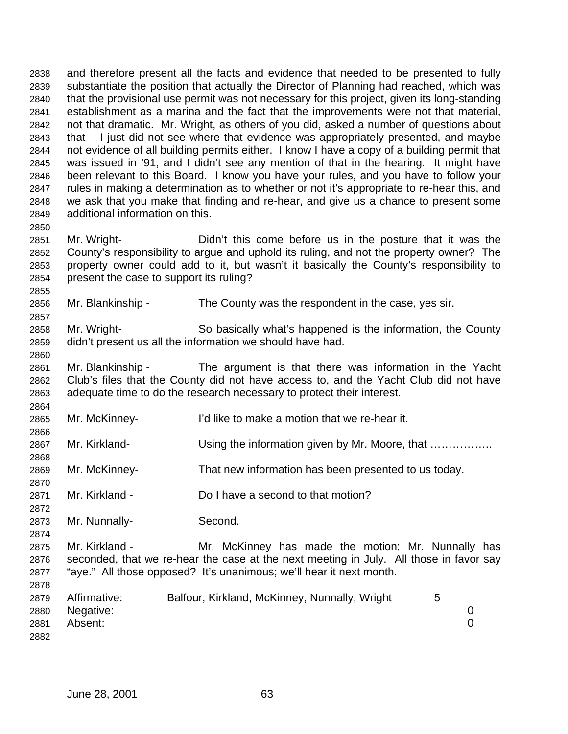and therefore present all the facts and evidence that needed to be presented to fully substantiate the position that actually the Director of Planning had reached, which was that the provisional use permit was not necessary for this project, given its long-standing establishment as a marina and the fact that the improvements were not that material, not that dramatic. Mr. Wright, as others of you did, asked a number of questions about that – I just did not see where that evidence was appropriately presented, and maybe not evidence of all building permits either. I know I have a copy of a building permit that was issued in '91, and I didn't see any mention of that in the hearing. It might have been relevant to this Board. I know you have your rules, and you have to follow your rules in making a determination as to whether or not it's appropriate to re-hear this, and we ask that you make that finding and re-hear, and give us a chance to present some additional information on this. 

 Mr. Wright- Didn't this come before us in the posture that it was the County's responsibility to argue and uphold its ruling, and not the property owner? The property owner could add to it, but wasn't it basically the County's responsibility to present the case to support its ruling?

Mr. Blankinship - The County was the respondent in the case, yes sir.

 Mr. Wright- So basically what's happened is the information, the County didn't present us all the information we should have had.

 Mr. Blankinship - The argument is that there was information in the Yacht Club's files that the County did not have access to, and the Yacht Club did not have adequate time to do the research necessary to protect their interest. 

Mr. McKinney- I'd like to make a motion that we re-hear it.

2867 Mr. Kirkland- Using the information given by Mr. Moore, that …………….

Mr. McKinney- That new information has been presented to us today.

Mr. Kirkland - Do I have a second to that motion?

Mr. Nunnally- Second.

2875 Mr. Kirkland - Mr. McKinney has made the motion; Mr. Nunnally has seconded, that we re-hear the case at the next meeting in July. All those in favor say "aye." All those opposed? It's unanimous; we'll hear it next month.

| 2879 | Affirmative:   | Balfour, Kirkland, McKinney, Nunnally, Wright |  |
|------|----------------|-----------------------------------------------|--|
|      | 2880 Negative: |                                               |  |
| 2881 | Absent:        |                                               |  |
| 2882 |                |                                               |  |